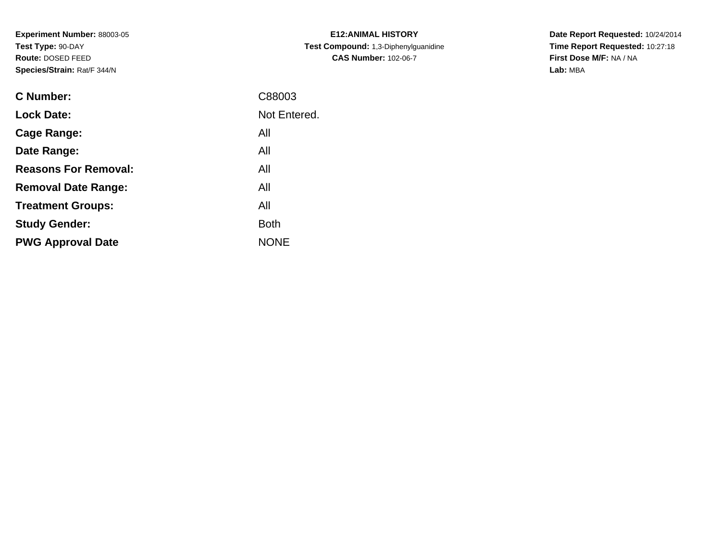**Experiment Number:** 88003-05**Test Type:** 90-DAY **Route:** DOSED FEED**Species/Strain:** Rat/F 344/N

| <b>E12:ANIMAL HISTORY</b>                   |
|---------------------------------------------|
| <b>Test Compound:</b> 1,3-Diphenylguanidine |
| <b>CAS Number: 102-06-7</b>                 |

**Date Report Requested:** 10/24/2014 **Time Report Requested:** 10:27:18**First Dose M/F:** NA / NA**Lab:** MBA

| <b>C</b> Number:            | C88003       |
|-----------------------------|--------------|
| <b>Lock Date:</b>           | Not Entered. |
| Cage Range:                 | All          |
| Date Range:                 | All          |
| <b>Reasons For Removal:</b> | All          |
| <b>Removal Date Range:</b>  | All          |
| <b>Treatment Groups:</b>    | All          |
| <b>Study Gender:</b>        | <b>Both</b>  |
| <b>PWG Approval Date</b>    | <b>NONE</b>  |
|                             |              |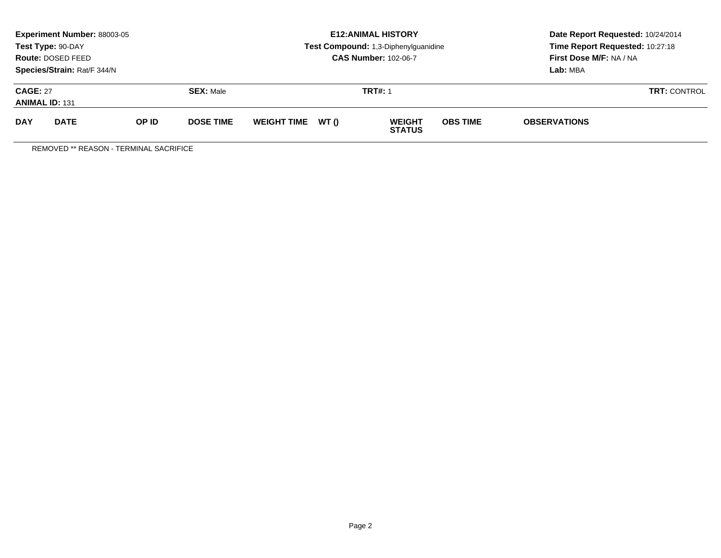| <b>Experiment Number: 88003-05</b><br>Test Type: 90-DAY<br>Route: DOSED FEED<br>Species/Strain: Rat/F 344/N |             |       |                  |                    |                | <b>E12: ANIMAL HISTORY</b><br>Test Compound: 1,3-Diphenylguanidine<br><b>CAS Number: 102-06-7</b> | Date Report Requested: 10/24/2014<br>Time Report Requested: 10:27:18<br>First Dose M/F: NA / NA<br>Lab: MBA<br><b>TRT: CONTROL</b> |                     |  |
|-------------------------------------------------------------------------------------------------------------|-------------|-------|------------------|--------------------|----------------|---------------------------------------------------------------------------------------------------|------------------------------------------------------------------------------------------------------------------------------------|---------------------|--|
| <b>CAGE: 27</b><br><b>SEX: Male</b><br><b>ANIMAL ID: 131</b>                                                |             |       |                  |                    | <b>TRT#: 1</b> |                                                                                                   |                                                                                                                                    |                     |  |
| <b>DAY</b>                                                                                                  | <b>DATE</b> | OP ID | <b>DOSE TIME</b> | <b>WEIGHT TIME</b> | WT ()          | <b>WEIGHT</b><br><b>STATUS</b>                                                                    | <b>OBS TIME</b>                                                                                                                    | <b>OBSERVATIONS</b> |  |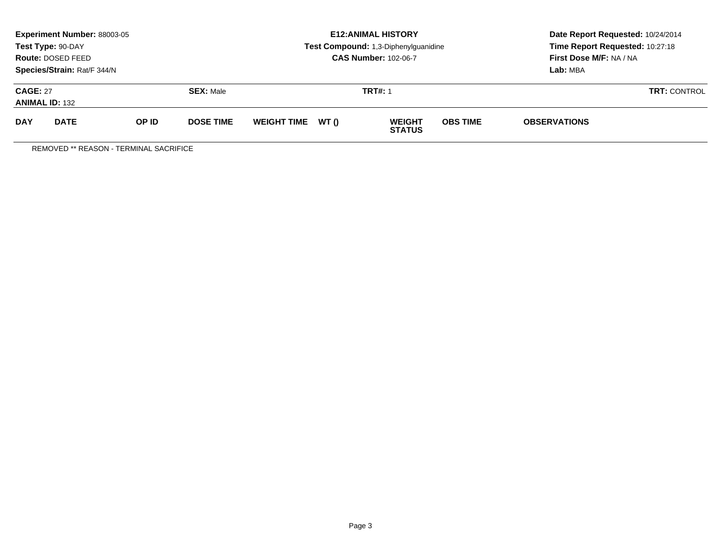| <b>Experiment Number: 88003-05</b><br>Test Type: 90-DAY<br>Route: DOSED FEED<br>Species/Strain: Rat/F 344/N |             |       |                  |                   | <b>E12: ANIMAL HISTORY</b><br>Test Compound: 1,3-Diphenylguanidine<br><b>CAS Number: 102-06-7</b> | Date Report Requested: 10/24/2014<br>Time Report Requested: 10:27:18<br>First Dose M/F: NA / NA<br>Lab: MBA |                     |  |
|-------------------------------------------------------------------------------------------------------------|-------------|-------|------------------|-------------------|---------------------------------------------------------------------------------------------------|-------------------------------------------------------------------------------------------------------------|---------------------|--|
| <b>CAGE: 27</b><br><b>SEX: Male</b><br><b>ANIMAL ID: 132</b>                                                |             |       |                  | <b>TRT#: 1</b>    | <b>TRT: CONTROL</b>                                                                               |                                                                                                             |                     |  |
| <b>DAY</b>                                                                                                  | <b>DATE</b> | OP ID | <b>DOSE TIME</b> | WEIGHT TIME WT () | <b>WEIGHT</b><br><b>STATUS</b>                                                                    | <b>OBS TIME</b>                                                                                             | <b>OBSERVATIONS</b> |  |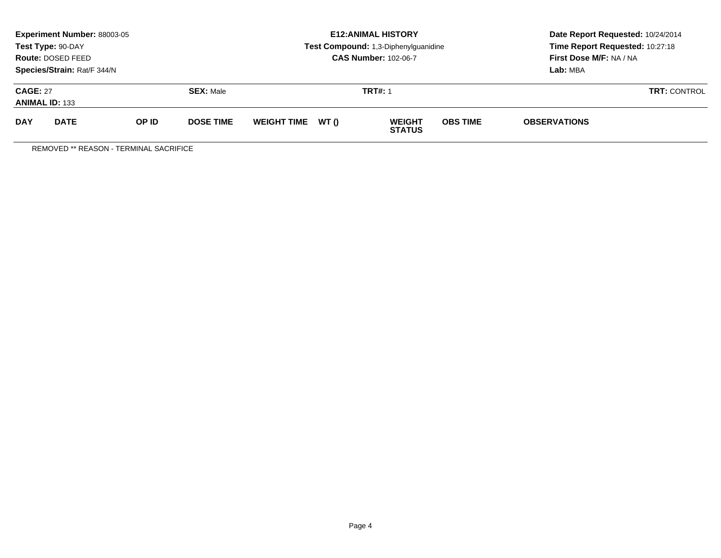| <b>Experiment Number: 88003-05</b><br>Test Type: 90-DAY<br>Route: DOSED FEED<br>Species/Strain: Rat/F 344/N |             |       |                  |                   | <b>E12: ANIMAL HISTORY</b><br>Test Compound: 1,3-Diphenylguanidine<br><b>CAS Number: 102-06-7</b> | Date Report Requested: 10/24/2014<br>Time Report Requested: 10:27:18<br>First Dose M/F: NA / NA<br>Lab: MBA |  |  |
|-------------------------------------------------------------------------------------------------------------|-------------|-------|------------------|-------------------|---------------------------------------------------------------------------------------------------|-------------------------------------------------------------------------------------------------------------|--|--|
| <b>CAGE: 27</b><br><b>SEX: Male</b><br><b>ANIMAL ID: 133</b>                                                |             |       |                  | <b>TRT#: 1</b>    | <b>TRT: CONTROL</b>                                                                               |                                                                                                             |  |  |
| <b>DAY</b>                                                                                                  | <b>DATE</b> | OP ID | <b>DOSE TIME</b> | WEIGHT TIME WT () | <b>OBS TIME</b><br><b>WEIGHT</b><br><b>STATUS</b>                                                 | <b>OBSERVATIONS</b>                                                                                         |  |  |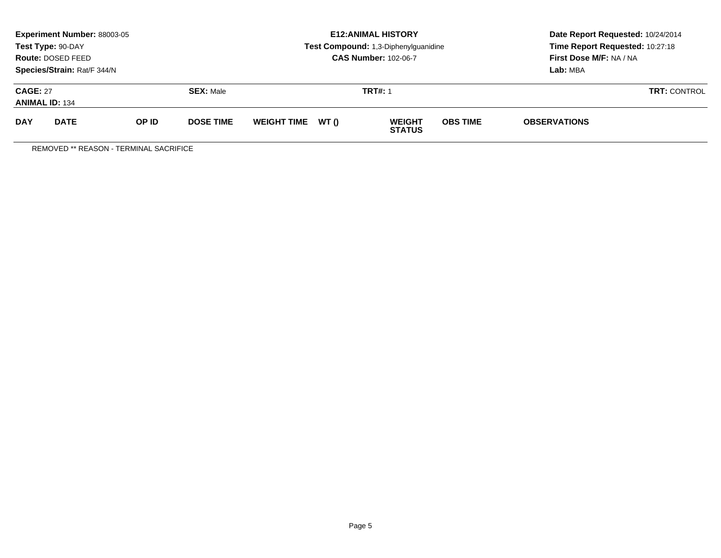| Experiment Number: 88003-05<br>Test Type: 90-DAY<br>Route: DOSED FEED<br>Species/Strain: Rat/F 344/N |             |       |                  |                   | <b>E12: ANIMAL HISTORY</b><br>Test Compound: 1,3-Diphenylguanidine<br><b>CAS Number: 102-06-7</b> | Date Report Requested: 10/24/2014<br>Time Report Requested: 10:27:18<br>First Dose M/F: NA / NA<br>Lab: MBA |  |  |
|------------------------------------------------------------------------------------------------------|-------------|-------|------------------|-------------------|---------------------------------------------------------------------------------------------------|-------------------------------------------------------------------------------------------------------------|--|--|
| <b>CAGE: 27</b><br><b>SEX: Male</b><br><b>ANIMAL ID: 134</b>                                         |             |       |                  | <b>TRT#: 1</b>    | <b>TRT: CONTROL</b>                                                                               |                                                                                                             |  |  |
| <b>DAY</b>                                                                                           | <b>DATE</b> | OP ID | <b>DOSE TIME</b> | WEIGHT TIME WT () | <b>OBS TIME</b><br><b>WEIGHT</b><br><b>STATUS</b>                                                 | <b>OBSERVATIONS</b>                                                                                         |  |  |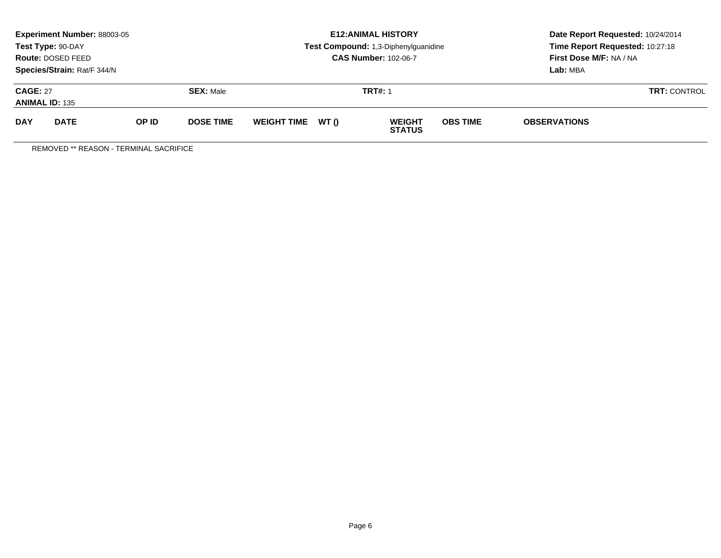| <b>Experiment Number: 88003-05</b><br>Test Type: 90-DAY<br>Route: DOSED FEED<br>Species/Strain: Rat/F 344/N |             |       |                  |                   | <b>E12: ANIMAL HISTORY</b><br>Test Compound: 1,3-Diphenylguanidine<br><b>CAS Number: 102-06-7</b> | Date Report Requested: 10/24/2014<br>Time Report Requested: 10:27:18<br>First Dose M/F: NA / NA<br>Lab: MBA |                     |  |
|-------------------------------------------------------------------------------------------------------------|-------------|-------|------------------|-------------------|---------------------------------------------------------------------------------------------------|-------------------------------------------------------------------------------------------------------------|---------------------|--|
| <b>CAGE: 27</b><br><b>SEX: Male</b><br><b>ANIMAL ID: 135</b>                                                |             |       |                  | <b>TRT#: 1</b>    | <b>TRT: CONTROL</b>                                                                               |                                                                                                             |                     |  |
| <b>DAY</b>                                                                                                  | <b>DATE</b> | OP ID | <b>DOSE TIME</b> | WEIGHT TIME WT () | <b>WEIGHT</b><br><b>STATUS</b>                                                                    | <b>OBS TIME</b>                                                                                             | <b>OBSERVATIONS</b> |  |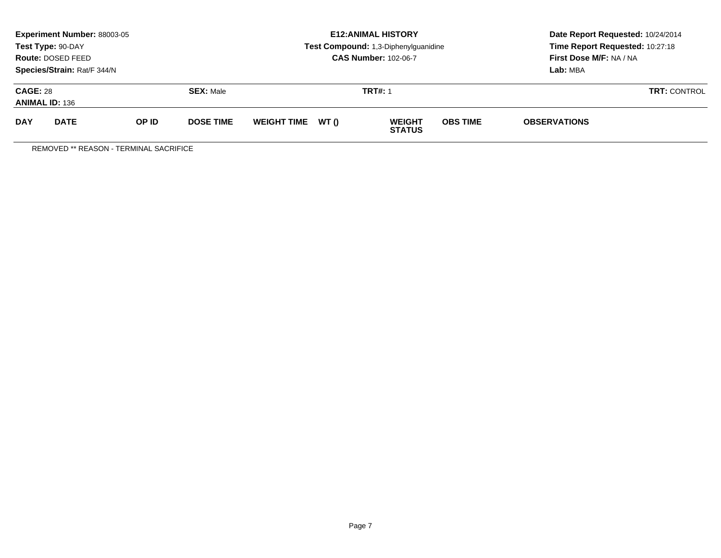| <b>Experiment Number: 88003-05</b><br>Test Type: 90-DAY<br>Route: DOSED FEED<br>Species/Strain: Rat/F 344/N |             |       |                  |                   | <b>E12: ANIMAL HISTORY</b><br>Test Compound: 1,3-Diphenylguanidine<br><b>CAS Number: 102-06-7</b> | Date Report Requested: 10/24/2014<br>Time Report Requested: 10:27:18<br>First Dose M/F: NA / NA<br>Lab: MBA |                     |  |
|-------------------------------------------------------------------------------------------------------------|-------------|-------|------------------|-------------------|---------------------------------------------------------------------------------------------------|-------------------------------------------------------------------------------------------------------------|---------------------|--|
| <b>CAGE: 28</b><br><b>SEX: Male</b><br><b>ANIMAL ID: 136</b>                                                |             |       |                  | <b>TRT#: 1</b>    | <b>TRT: CONTROL</b>                                                                               |                                                                                                             |                     |  |
| <b>DAY</b>                                                                                                  | <b>DATE</b> | OP ID | <b>DOSE TIME</b> | WEIGHT TIME WT () | <b>WEIGHT</b><br><b>STATUS</b>                                                                    | <b>OBS TIME</b>                                                                                             | <b>OBSERVATIONS</b> |  |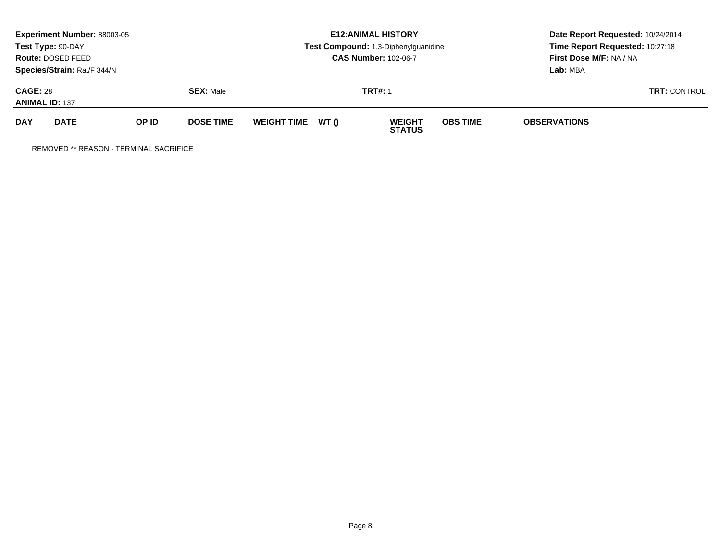| <b>Experiment Number: 88003-05</b><br>Test Type: 90-DAY<br>Route: DOSED FEED<br>Species/Strain: Rat/F 344/N |             |       |                  |                   | <b>E12: ANIMAL HISTORY</b><br>Test Compound: 1,3-Diphenylguanidine<br><b>CAS Number: 102-06-7</b> | Date Report Requested: 10/24/2014<br>Time Report Requested: 10:27:18<br>First Dose M/F: NA / NA<br>Lab: MBA |                     |  |
|-------------------------------------------------------------------------------------------------------------|-------------|-------|------------------|-------------------|---------------------------------------------------------------------------------------------------|-------------------------------------------------------------------------------------------------------------|---------------------|--|
| <b>CAGE: 28</b><br><b>SEX: Male</b><br><b>ANIMAL ID: 137</b>                                                |             |       |                  | <b>TRT#: 1</b>    | <b>TRT: CONTROL</b>                                                                               |                                                                                                             |                     |  |
| <b>DAY</b>                                                                                                  | <b>DATE</b> | OP ID | <b>DOSE TIME</b> | WEIGHT TIME WT () | <b>WEIGHT</b><br><b>STATUS</b>                                                                    | <b>OBS TIME</b>                                                                                             | <b>OBSERVATIONS</b> |  |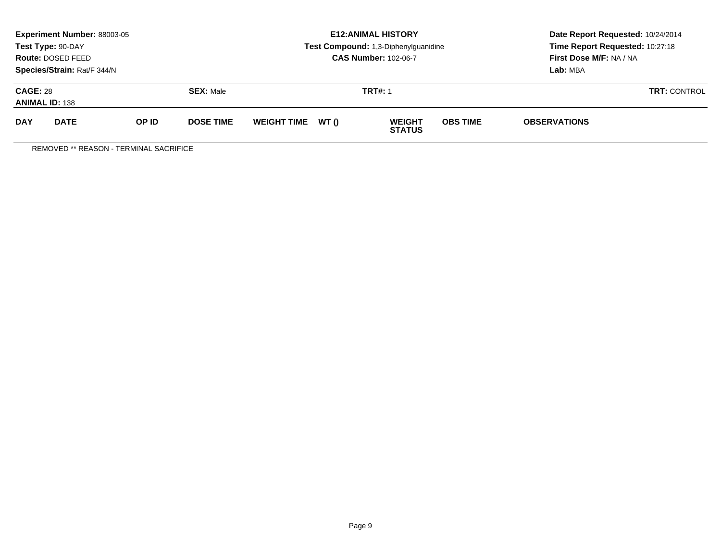| <b>Experiment Number: 88003-05</b><br>Test Type: 90-DAY<br>Route: DOSED FEED<br>Species/Strain: Rat/F 344/N |             |       |                  |                   | <b>E12: ANIMAL HISTORY</b><br>Test Compound: 1,3-Diphenylguanidine<br><b>CAS Number: 102-06-7</b> | Date Report Requested: 10/24/2014<br>Time Report Requested: 10:27:18<br>First Dose M/F: NA / NA<br>Lab: MBA |                     |  |
|-------------------------------------------------------------------------------------------------------------|-------------|-------|------------------|-------------------|---------------------------------------------------------------------------------------------------|-------------------------------------------------------------------------------------------------------------|---------------------|--|
| <b>CAGE: 28</b><br><b>SEX: Male</b><br><b>ANIMAL ID: 138</b>                                                |             |       |                  | <b>TRT#: 1</b>    | <b>TRT: CONTROL</b>                                                                               |                                                                                                             |                     |  |
| <b>DAY</b>                                                                                                  | <b>DATE</b> | OP ID | <b>DOSE TIME</b> | WEIGHT TIME WT () | <b>WEIGHT</b><br><b>STATUS</b>                                                                    | <b>OBS TIME</b>                                                                                             | <b>OBSERVATIONS</b> |  |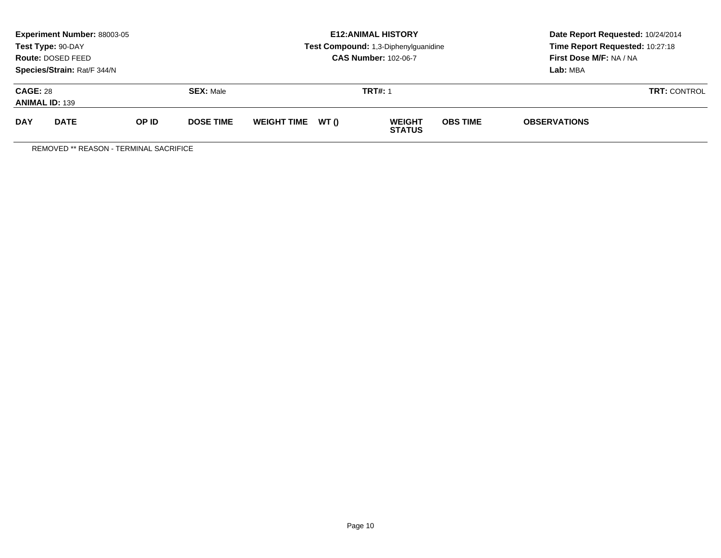| Experiment Number: 88003-05<br>Test Type: 90-DAY<br>Route: DOSED FEED<br>Species/Strain: Rat/F 344/N |             |       |                  |                   | <b>E12: ANIMAL HISTORY</b><br>Test Compound: 1,3-Diphenylguanidine<br><b>CAS Number: 102-06-7</b> | Date Report Requested: 10/24/2014<br>Time Report Requested: 10:27:18<br>First Dose M/F: NA / NA<br>Lab: MBA |  |  |
|------------------------------------------------------------------------------------------------------|-------------|-------|------------------|-------------------|---------------------------------------------------------------------------------------------------|-------------------------------------------------------------------------------------------------------------|--|--|
| <b>CAGE: 28</b><br><b>SEX: Male</b><br><b>ANIMAL ID: 139</b>                                         |             |       |                  | <b>TRT#: 1</b>    | <b>TRT: CONTROL</b>                                                                               |                                                                                                             |  |  |
| <b>DAY</b>                                                                                           | <b>DATE</b> | OP ID | <b>DOSE TIME</b> | WEIGHT TIME WT () | <b>OBS TIME</b><br><b>WEIGHT</b><br><b>STATUS</b>                                                 | <b>OBSERVATIONS</b>                                                                                         |  |  |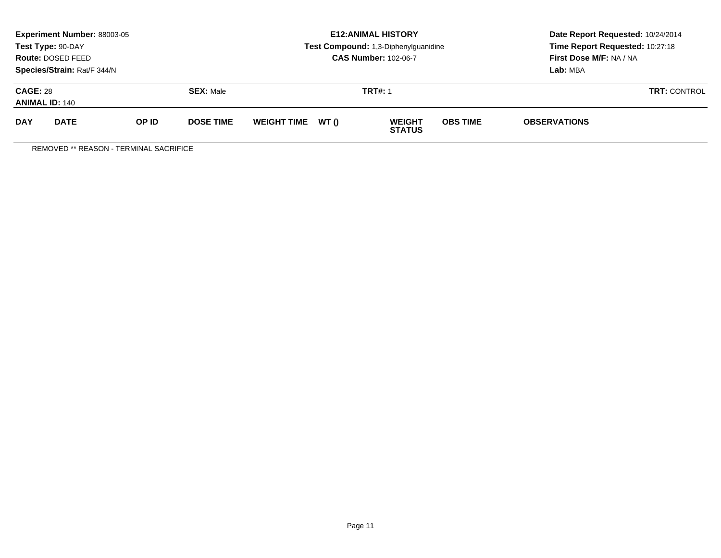| Experiment Number: 88003-05<br>Test Type: 90-DAY<br>Route: DOSED FEED<br>Species/Strain: Rat/F 344/N |             |       |                  |                   | <b>E12: ANIMAL HISTORY</b><br>Test Compound: 1,3-Diphenylguanidine<br><b>CAS Number: 102-06-7</b> | Date Report Requested: 10/24/2014<br>Time Report Requested: 10:27:18<br>First Dose M/F: NA / NA<br>Lab: MBA |  |  |
|------------------------------------------------------------------------------------------------------|-------------|-------|------------------|-------------------|---------------------------------------------------------------------------------------------------|-------------------------------------------------------------------------------------------------------------|--|--|
| <b>CAGE: 28</b><br><b>SEX: Male</b><br><b>ANIMAL ID: 140</b>                                         |             |       |                  | <b>TRT#: 1</b>    | <b>TRT: CONTROL</b>                                                                               |                                                                                                             |  |  |
| <b>DAY</b>                                                                                           | <b>DATE</b> | OP ID | <b>DOSE TIME</b> | WEIGHT TIME WT () | <b>OBS TIME</b><br><b>WEIGHT</b><br><b>STATUS</b>                                                 | <b>OBSERVATIONS</b>                                                                                         |  |  |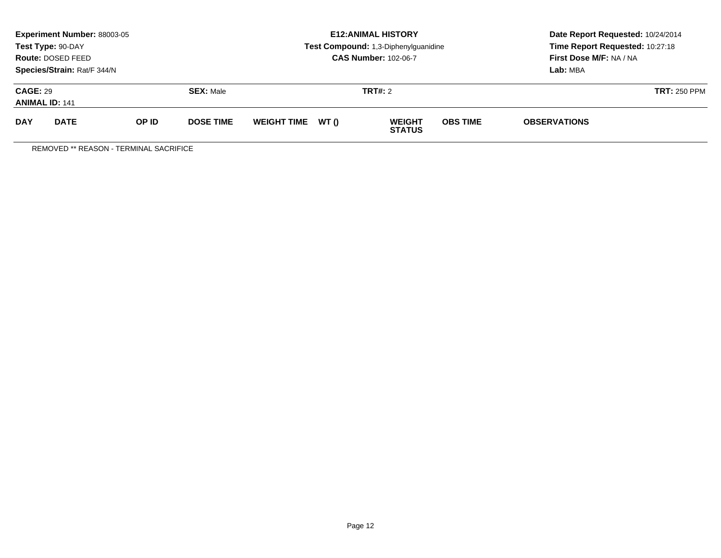|                                          | <b>Experiment Number: 88003-05</b><br>Test Type: 90-DAY<br>Route: DOSED FEED<br>Species/Strain: Rat/F 344/N |       |                  |                    |       | <b>E12:ANIMAL HISTORY</b><br>Test Compound: 1,3-Diphenylguanidine<br><b>CAS Number: 102-06-7</b> | Date Report Requested: 10/24/2014<br>Time Report Requested: 10:27:18<br>First Dose M/F: NA / NA<br>Lab: MBA |                     |  |
|------------------------------------------|-------------------------------------------------------------------------------------------------------------|-------|------------------|--------------------|-------|--------------------------------------------------------------------------------------------------|-------------------------------------------------------------------------------------------------------------|---------------------|--|
| <b>CAGE: 29</b><br><b>ANIMAL ID: 141</b> |                                                                                                             |       | <b>SEX: Male</b> |                    |       | <b>TRT#: 2</b>                                                                                   |                                                                                                             | <b>TRT: 250 PPM</b> |  |
| <b>DAY</b>                               | <b>DATE</b>                                                                                                 | OP ID | <b>DOSE TIME</b> | <b>WEIGHT TIME</b> | WT () | <b>WEIGHT</b><br><b>STATUS</b>                                                                   | <b>OBS TIME</b>                                                                                             | <b>OBSERVATIONS</b> |  |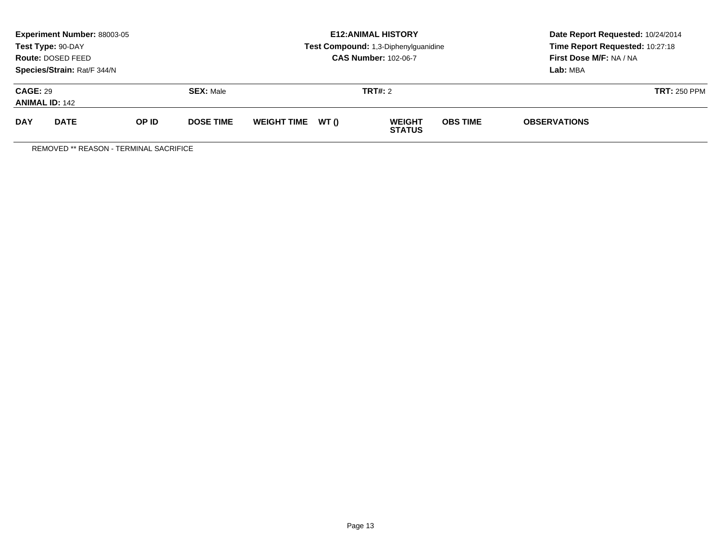|                                          | <b>Experiment Number: 88003-05</b><br>Test Type: 90-DAY<br>Route: DOSED FEED<br>Species/Strain: Rat/F 344/N |       |                  |                    |       | <b>E12:ANIMAL HISTORY</b><br>Test Compound: 1,3-Diphenylguanidine<br><b>CAS Number: 102-06-7</b> | Date Report Requested: 10/24/2014<br>Time Report Requested: 10:27:18<br>First Dose M/F: NA / NA<br>Lab: MBA |                     |  |
|------------------------------------------|-------------------------------------------------------------------------------------------------------------|-------|------------------|--------------------|-------|--------------------------------------------------------------------------------------------------|-------------------------------------------------------------------------------------------------------------|---------------------|--|
| <b>CAGE: 29</b><br><b>ANIMAL ID: 142</b> |                                                                                                             |       | <b>SEX: Male</b> |                    |       | <b>TRT#: 2</b>                                                                                   |                                                                                                             | <b>TRT: 250 PPM</b> |  |
| <b>DAY</b>                               | <b>DATE</b>                                                                                                 | OP ID | <b>DOSE TIME</b> | <b>WEIGHT TIME</b> | WT () | <b>WEIGHT</b><br><b>STATUS</b>                                                                   | <b>OBS TIME</b>                                                                                             | <b>OBSERVATIONS</b> |  |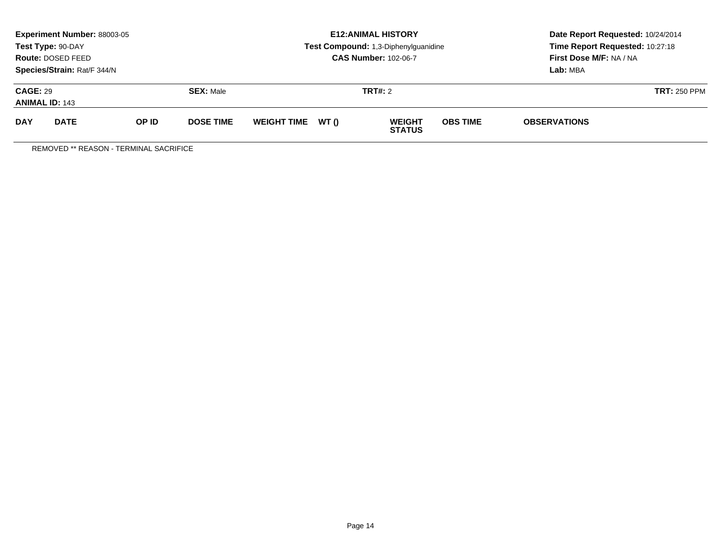|                                          | Experiment Number: 88003-05<br>Test Type: 90-DAY<br><b>Route: DOSED FEED</b><br>Species/Strain: Rat/F 344/N |       |                  |                    |       | <b>E12: ANIMAL HISTORY</b><br>Test Compound: 1,3-Diphenylguanidine<br><b>CAS Number: 102-06-7</b> | Date Report Requested: 10/24/2014<br>Time Report Requested: 10:27:18<br>First Dose M/F: NA / NA<br>Lab: MBA |                     |  |
|------------------------------------------|-------------------------------------------------------------------------------------------------------------|-------|------------------|--------------------|-------|---------------------------------------------------------------------------------------------------|-------------------------------------------------------------------------------------------------------------|---------------------|--|
| <b>CAGE: 29</b><br><b>ANIMAL ID: 143</b> |                                                                                                             |       | <b>SEX: Male</b> |                    |       | <b>TRT#: 2</b>                                                                                    |                                                                                                             | <b>TRT: 250 PPM</b> |  |
| <b>DAY</b>                               | <b>DATE</b>                                                                                                 | OP ID | <b>DOSE TIME</b> | <b>WEIGHT TIME</b> | WT () | <b>WEIGHT</b><br><b>STATUS</b>                                                                    | <b>OBS TIME</b>                                                                                             | <b>OBSERVATIONS</b> |  |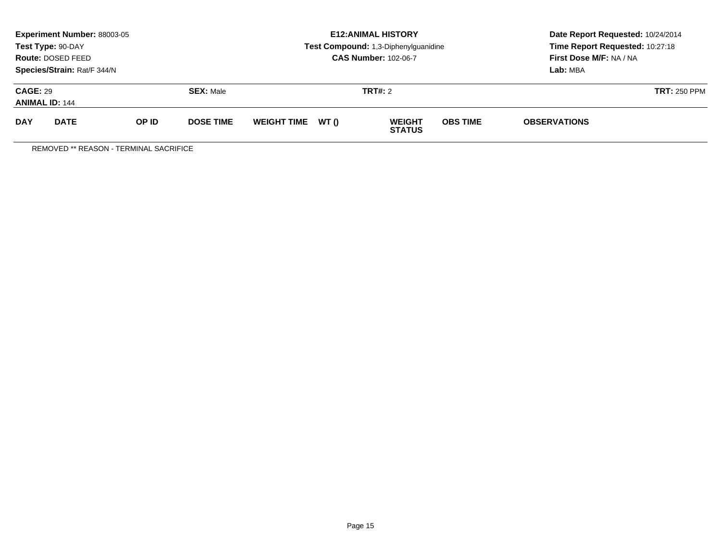|                                          | <b>Experiment Number: 88003-05</b><br>Test Type: 90-DAY<br>Route: DOSED FEED<br>Species/Strain: Rat/F 344/N |       |                  |                    |       | <b>E12:ANIMAL HISTORY</b><br>Test Compound: 1,3-Diphenylguanidine<br><b>CAS Number: 102-06-7</b> | Date Report Requested: 10/24/2014<br>Time Report Requested: 10:27:18<br>First Dose M/F: NA / NA<br>Lab: MBA |                     |  |
|------------------------------------------|-------------------------------------------------------------------------------------------------------------|-------|------------------|--------------------|-------|--------------------------------------------------------------------------------------------------|-------------------------------------------------------------------------------------------------------------|---------------------|--|
| <b>CAGE: 29</b><br><b>ANIMAL ID: 144</b> |                                                                                                             |       | <b>SEX: Male</b> |                    |       | <b>TRT#: 2</b>                                                                                   |                                                                                                             | <b>TRT: 250 PPM</b> |  |
| <b>DAY</b>                               | <b>DATE</b>                                                                                                 | OP ID | <b>DOSE TIME</b> | <b>WEIGHT TIME</b> | WT () | <b>WEIGHT</b><br><b>STATUS</b>                                                                   | <b>OBS TIME</b>                                                                                             | <b>OBSERVATIONS</b> |  |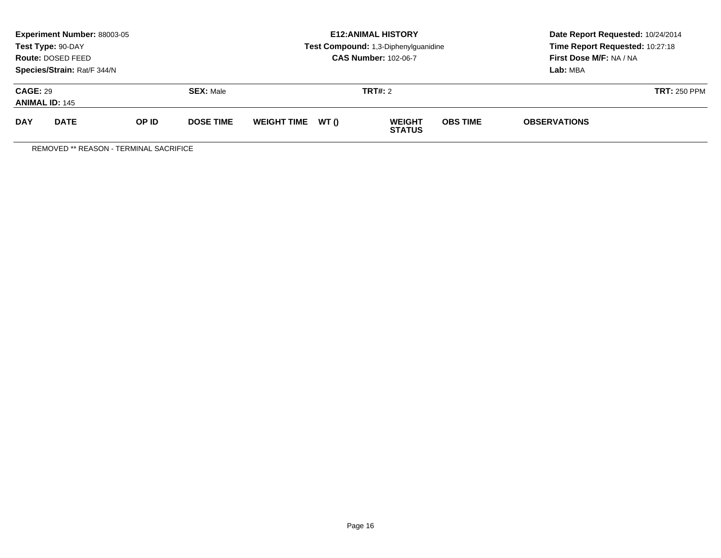|                                                                         | <b>Experiment Number: 88003-05</b><br>Test Type: 90-DAY<br>Route: DOSED FEED |       |                  |                    |       | <b>E12:ANIMAL HISTORY</b><br>Test Compound: 1,3-Diphenylguanidine<br><b>CAS Number: 102-06-7</b> | Date Report Requested: 10/24/2014<br>Time Report Requested: 10:27:18<br>First Dose M/F: NA / NA<br>Lab: MBA |                     |  |
|-------------------------------------------------------------------------|------------------------------------------------------------------------------|-------|------------------|--------------------|-------|--------------------------------------------------------------------------------------------------|-------------------------------------------------------------------------------------------------------------|---------------------|--|
| Species/Strain: Rat/F 344/N<br><b>CAGE: 29</b><br><b>ANIMAL ID: 145</b> |                                                                              |       | <b>SEX: Male</b> |                    |       | <b>TRT#: 2</b>                                                                                   |                                                                                                             | <b>TRT: 250 PPM</b> |  |
| <b>DAY</b>                                                              | <b>DATE</b>                                                                  | OP ID | <b>DOSE TIME</b> | <b>WEIGHT TIME</b> | WT () | <b>WEIGHT</b><br><b>STATUS</b>                                                                   | <b>OBS TIME</b>                                                                                             | <b>OBSERVATIONS</b> |  |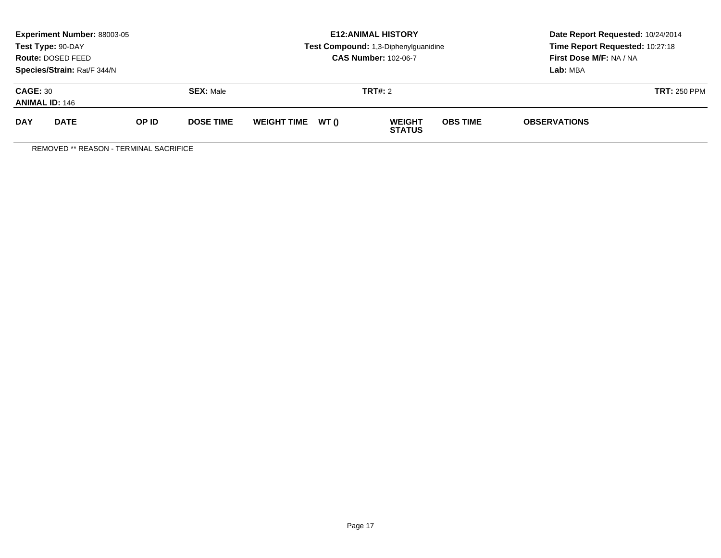|                                                                         | <b>Experiment Number: 88003-05</b><br>Test Type: 90-DAY<br>Route: DOSED FEED |       |                  |                    |       | <b>E12:ANIMAL HISTORY</b><br>Test Compound: 1,3-Diphenylguanidine<br><b>CAS Number: 102-06-7</b> | Date Report Requested: 10/24/2014<br>Time Report Requested: 10:27:18<br>First Dose M/F: NA / NA<br>Lab: MBA |                     |
|-------------------------------------------------------------------------|------------------------------------------------------------------------------|-------|------------------|--------------------|-------|--------------------------------------------------------------------------------------------------|-------------------------------------------------------------------------------------------------------------|---------------------|
| Species/Strain: Rat/F 344/N<br><b>CAGE: 30</b><br><b>ANIMAL ID: 146</b> |                                                                              |       | <b>SEX: Male</b> |                    |       | <b>TRT#: 2</b>                                                                                   |                                                                                                             | <b>TRT: 250 PPM</b> |
| <b>DAY</b>                                                              | <b>DATE</b>                                                                  | OP ID | <b>DOSE TIME</b> | <b>WEIGHT TIME</b> | WT () | <b>WEIGHT</b><br><b>STATUS</b>                                                                   | <b>OBS TIME</b>                                                                                             | <b>OBSERVATIONS</b> |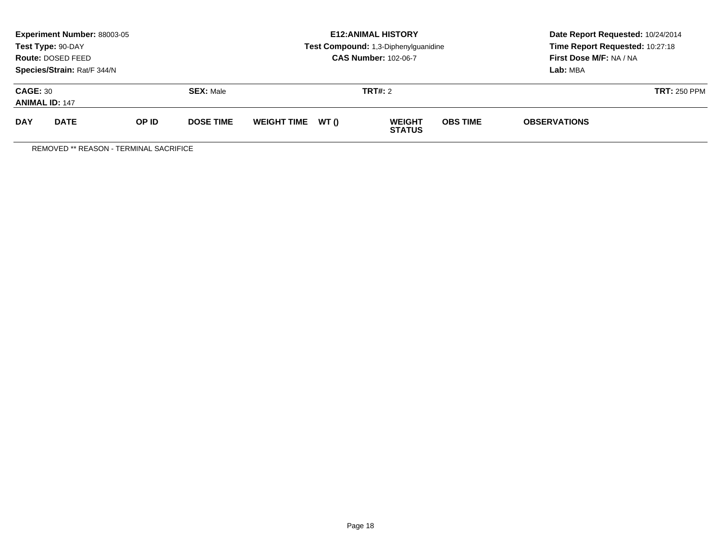|                                          | Experiment Number: 88003-05<br>Test Type: 90-DAY<br><b>Route: DOSED FEED</b><br>Species/Strain: Rat/F 344/N |       |                  |                    |       | <b>E12: ANIMAL HISTORY</b><br>Test Compound: 1,3-Diphenylguanidine<br><b>CAS Number: 102-06-7</b> | Date Report Requested: 10/24/2014<br>Time Report Requested: 10:27:18<br>First Dose M/F: NA / NA<br>Lab: MBA |                     |  |
|------------------------------------------|-------------------------------------------------------------------------------------------------------------|-------|------------------|--------------------|-------|---------------------------------------------------------------------------------------------------|-------------------------------------------------------------------------------------------------------------|---------------------|--|
| <b>CAGE: 30</b><br><b>ANIMAL ID: 147</b> |                                                                                                             |       | <b>SEX: Male</b> |                    |       | <b>TRT#: 2</b>                                                                                    |                                                                                                             | <b>TRT: 250 PPM</b> |  |
| <b>DAY</b>                               | <b>DATE</b>                                                                                                 | OP ID | <b>DOSE TIME</b> | <b>WEIGHT TIME</b> | WT () | <b>WEIGHT</b><br><b>STATUS</b>                                                                    | <b>OBS TIME</b>                                                                                             | <b>OBSERVATIONS</b> |  |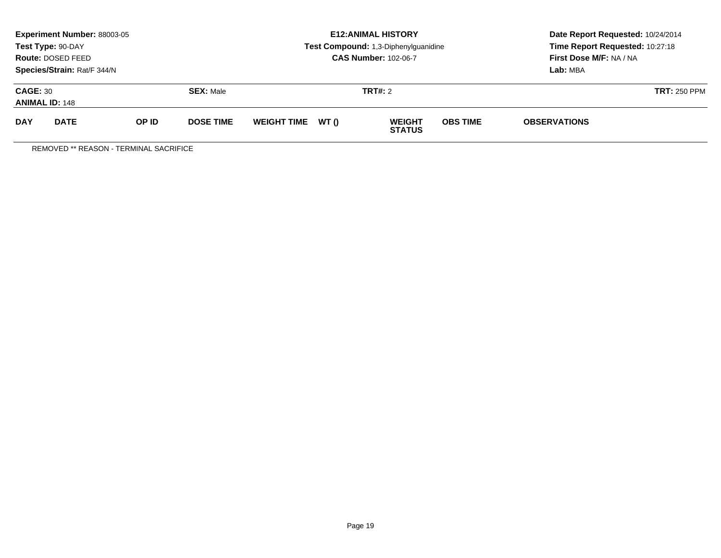|                                                                         | <b>Experiment Number: 88003-05</b><br>Test Type: 90-DAY<br>Route: DOSED FEED |       |                  |                    |       | <b>E12:ANIMAL HISTORY</b><br>Test Compound: 1,3-Diphenylguanidine<br><b>CAS Number: 102-06-7</b> | Date Report Requested: 10/24/2014<br>Time Report Requested: 10:27:18<br>First Dose M/F: NA / NA<br>Lab: MBA |                     |
|-------------------------------------------------------------------------|------------------------------------------------------------------------------|-------|------------------|--------------------|-------|--------------------------------------------------------------------------------------------------|-------------------------------------------------------------------------------------------------------------|---------------------|
| Species/Strain: Rat/F 344/N<br><b>CAGE: 30</b><br><b>ANIMAL ID: 148</b> |                                                                              |       | <b>SEX: Male</b> |                    |       | <b>TRT#: 2</b>                                                                                   |                                                                                                             | <b>TRT: 250 PPM</b> |
| <b>DAY</b>                                                              | <b>DATE</b>                                                                  | OP ID | <b>DOSE TIME</b> | <b>WEIGHT TIME</b> | WT () | <b>WEIGHT</b><br><b>STATUS</b>                                                                   | <b>OBS TIME</b>                                                                                             | <b>OBSERVATIONS</b> |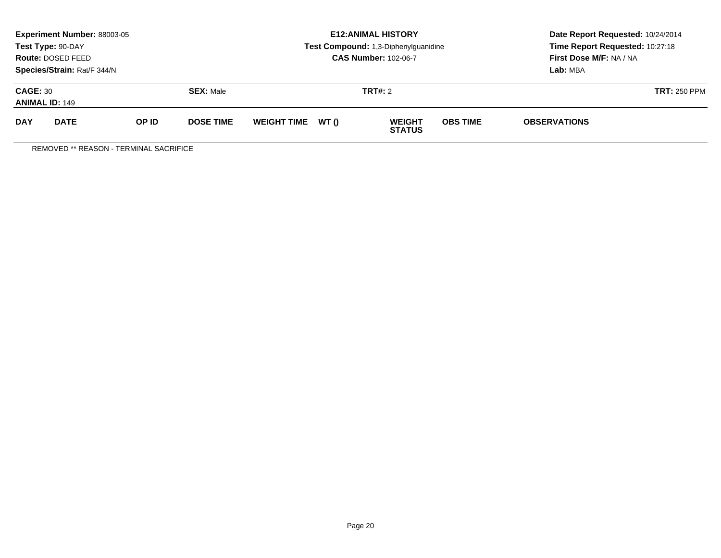|                                                                         | Experiment Number: 88003-05<br>Test Type: 90-DAY<br><b>Route: DOSED FEED</b> |       |                  |                    |       | <b>E12: ANIMAL HISTORY</b><br>Test Compound: 1,3-Diphenylguanidine<br><b>CAS Number: 102-06-7</b> | Date Report Requested: 10/24/2014<br>Time Report Requested: 10:27:18<br>First Dose M/F: NA / NA<br>Lab: MBA |                     |  |
|-------------------------------------------------------------------------|------------------------------------------------------------------------------|-------|------------------|--------------------|-------|---------------------------------------------------------------------------------------------------|-------------------------------------------------------------------------------------------------------------|---------------------|--|
| Species/Strain: Rat/F 344/N<br><b>CAGE: 30</b><br><b>ANIMAL ID: 149</b> |                                                                              |       | <b>SEX: Male</b> |                    |       | <b>TRT#: 2</b>                                                                                    |                                                                                                             | <b>TRT: 250 PPM</b> |  |
| <b>DAY</b>                                                              | <b>DATE</b>                                                                  | OP ID | <b>DOSE TIME</b> | <b>WEIGHT TIME</b> | WT () | <b>WEIGHT</b><br><b>STATUS</b>                                                                    | <b>OBS TIME</b>                                                                                             | <b>OBSERVATIONS</b> |  |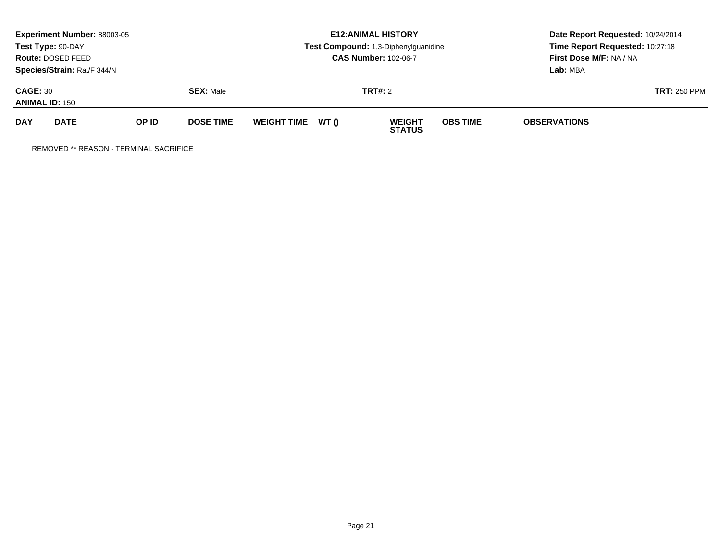|                                                                         | Experiment Number: 88003-05<br>Test Type: 90-DAY<br><b>Route: DOSED FEED</b> |       |                  |                    |       | <b>E12: ANIMAL HISTORY</b><br>Test Compound: 1,3-Diphenylguanidine<br><b>CAS Number: 102-06-7</b> | Date Report Requested: 10/24/2014<br>Time Report Requested: 10:27:18<br>First Dose M/F: NA / NA<br>Lab: MBA |                     |  |
|-------------------------------------------------------------------------|------------------------------------------------------------------------------|-------|------------------|--------------------|-------|---------------------------------------------------------------------------------------------------|-------------------------------------------------------------------------------------------------------------|---------------------|--|
| Species/Strain: Rat/F 344/N<br><b>CAGE: 30</b><br><b>ANIMAL ID: 150</b> |                                                                              |       | <b>SEX: Male</b> |                    |       | <b>TRT#: 2</b>                                                                                    |                                                                                                             | <b>TRT: 250 PPM</b> |  |
| <b>DAY</b>                                                              | <b>DATE</b>                                                                  | OP ID | <b>DOSE TIME</b> | <b>WEIGHT TIME</b> | WT () | <b>WEIGHT</b><br><b>STATUS</b>                                                                    | <b>OBS TIME</b>                                                                                             | <b>OBSERVATIONS</b> |  |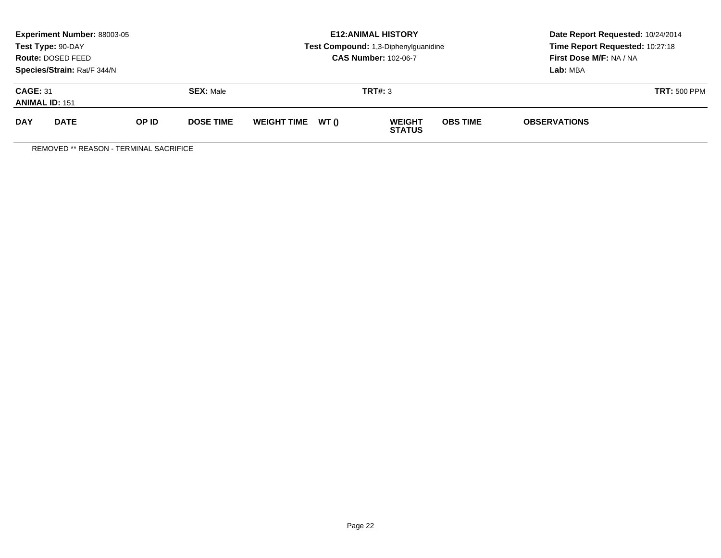|                                          | Experiment Number: 88003-05<br>Test Type: 90-DAY<br><b>Route: DOSED FEED</b><br>Species/Strain: Rat/F 344/N |       |                  | <b>E12: ANIMAL HISTORY</b><br>Test Compound: 1,3-Diphenylguanidine<br><b>CAS Number: 102-06-7</b> |       |                                |                 | Date Report Requested: 10/24/2014<br>Time Report Requested: 10:27:18<br>First Dose M/F: NA / NA<br>Lab: MBA |  |
|------------------------------------------|-------------------------------------------------------------------------------------------------------------|-------|------------------|---------------------------------------------------------------------------------------------------|-------|--------------------------------|-----------------|-------------------------------------------------------------------------------------------------------------|--|
| <b>CAGE: 31</b><br><b>ANIMAL ID: 151</b> |                                                                                                             |       | <b>SEX: Male</b> |                                                                                                   |       | TRT#: 3                        |                 | <b>TRT: 500 PPM</b>                                                                                         |  |
| <b>DAY</b>                               | <b>DATE</b>                                                                                                 | OP ID | <b>DOSE TIME</b> | <b>WEIGHT TIME</b>                                                                                | WT () | <b>WEIGHT</b><br><b>STATUS</b> | <b>OBS TIME</b> | <b>OBSERVATIONS</b>                                                                                         |  |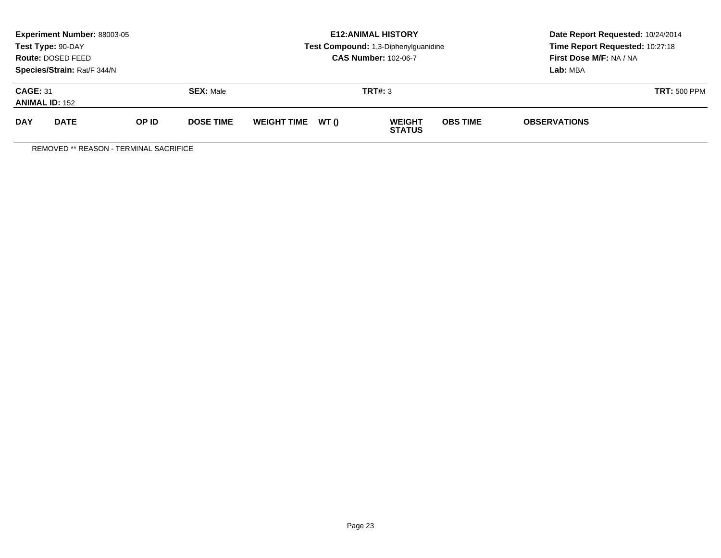|                                          | <b>Experiment Number: 88003-05</b><br>Test Type: 90-DAY<br><b>Route: DOSED FEED</b><br>Species/Strain: Rat/F 344/N |       |                  | <b>E12: ANIMAL HISTORY</b><br>Test Compound: 1,3-Diphenylguanidine<br><b>CAS Number: 102-06-7</b> |       |                                |                     | Date Report Requested: 10/24/2014<br>Time Report Requested: 10:27:18<br>First Dose M/F: NA / NA<br>Lab: MBA |  |
|------------------------------------------|--------------------------------------------------------------------------------------------------------------------|-------|------------------|---------------------------------------------------------------------------------------------------|-------|--------------------------------|---------------------|-------------------------------------------------------------------------------------------------------------|--|
| <b>CAGE: 31</b><br><b>ANIMAL ID: 152</b> |                                                                                                                    |       | <b>SEX: Male</b> |                                                                                                   |       | TRT#: 3                        | <b>TRT: 500 PPM</b> |                                                                                                             |  |
| <b>DAY</b>                               | <b>DATE</b>                                                                                                        | OP ID | <b>DOSE TIME</b> | <b>WEIGHT TIME</b>                                                                                | WT () | <b>WEIGHT</b><br><b>STATUS</b> | <b>OBS TIME</b>     | <b>OBSERVATIONS</b>                                                                                         |  |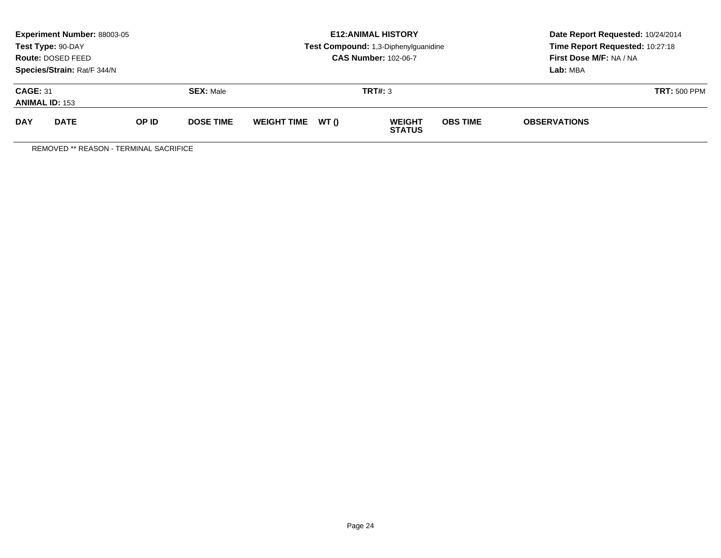|                                                              | Experiment Number: 88003-05<br>Test Type: 90-DAY<br><b>Route: DOSED FEED</b><br>Species/Strain: Rat/F 344/N |       |                  |                    |       | <b>E12: ANIMAL HISTORY</b><br>Test Compound: 1,3-Diphenylguanidine<br><b>CAS Number: 102-06-7</b> | Date Report Requested: 10/24/2014<br>Time Report Requested: 10:27:18<br>First Dose M/F: NA / NA<br>Lab: MBA |                     |                     |
|--------------------------------------------------------------|-------------------------------------------------------------------------------------------------------------|-------|------------------|--------------------|-------|---------------------------------------------------------------------------------------------------|-------------------------------------------------------------------------------------------------------------|---------------------|---------------------|
| <b>CAGE: 31</b><br><b>SEX: Male</b><br><b>ANIMAL ID: 153</b> |                                                                                                             |       |                  |                    |       | TRT#: 3                                                                                           |                                                                                                             |                     | <b>TRT: 500 PPM</b> |
| <b>DAY</b>                                                   | <b>DATE</b>                                                                                                 | OP ID | <b>DOSE TIME</b> | <b>WEIGHT TIME</b> | WT () | <b>WEIGHT</b><br><b>STATUS</b>                                                                    | <b>OBS TIME</b>                                                                                             | <b>OBSERVATIONS</b> |                     |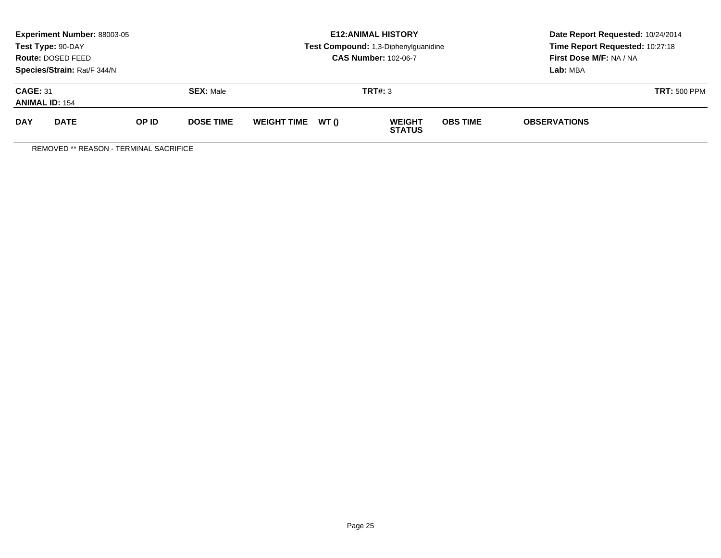|                                                              | <b>Experiment Number: 88003-05</b><br>Test Type: 90-DAY<br><b>Route: DOSED FEED</b><br>Species/Strain: Rat/F 344/N |       |                  |                    |       | <b>E12: ANIMAL HISTORY</b><br>Test Compound: 1,3-Diphenylguanidine<br><b>CAS Number: 102-06-7</b> | Date Report Requested: 10/24/2014<br>Time Report Requested: 10:27:18<br>First Dose M/F: NA / NA<br>Lab: MBA |                     |  |
|--------------------------------------------------------------|--------------------------------------------------------------------------------------------------------------------|-------|------------------|--------------------|-------|---------------------------------------------------------------------------------------------------|-------------------------------------------------------------------------------------------------------------|---------------------|--|
| <b>CAGE: 31</b><br><b>SEX: Male</b><br><b>ANIMAL ID: 154</b> |                                                                                                                    |       |                  |                    |       | TRT#: 3                                                                                           |                                                                                                             | <b>TRT: 500 PPM</b> |  |
| <b>DAY</b>                                                   | <b>DATE</b>                                                                                                        | OP ID | <b>DOSE TIME</b> | <b>WEIGHT TIME</b> | WT () | <b>WEIGHT</b><br><b>STATUS</b>                                                                    | <b>OBS TIME</b>                                                                                             | <b>OBSERVATIONS</b> |  |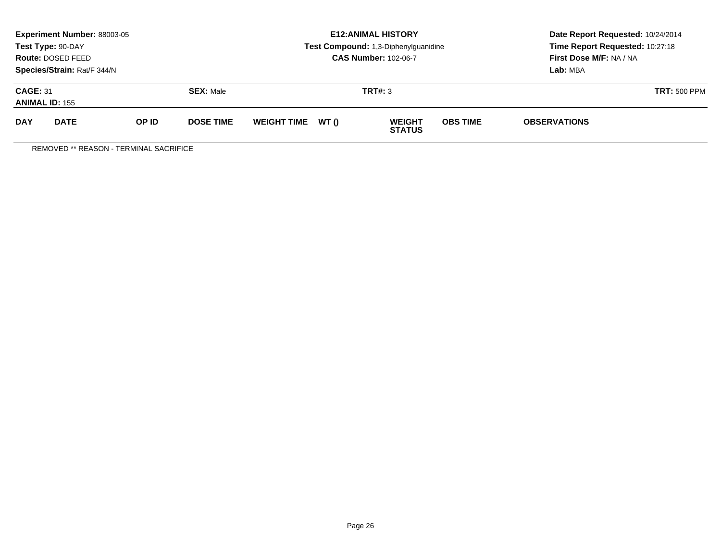|                                                              | <b>Experiment Number: 88003-05</b><br>Test Type: 90-DAY<br><b>Route: DOSED FEED</b><br>Species/Strain: Rat/F 344/N |       |                  |                    |       | <b>E12: ANIMAL HISTORY</b><br>Test Compound: 1,3-Diphenylguanidine<br><b>CAS Number: 102-06-7</b> | Date Report Requested: 10/24/2014<br>Time Report Requested: 10:27:18<br>First Dose M/F: NA / NA<br>Lab: MBA |                     |  |
|--------------------------------------------------------------|--------------------------------------------------------------------------------------------------------------------|-------|------------------|--------------------|-------|---------------------------------------------------------------------------------------------------|-------------------------------------------------------------------------------------------------------------|---------------------|--|
| <b>CAGE: 31</b><br><b>SEX: Male</b><br><b>ANIMAL ID: 155</b> |                                                                                                                    |       |                  |                    |       | TRT#: 3                                                                                           | <b>TRT: 500 PPM</b>                                                                                         |                     |  |
| <b>DAY</b>                                                   | <b>DATE</b>                                                                                                        | OP ID | <b>DOSE TIME</b> | <b>WEIGHT TIME</b> | WT () | <b>WEIGHT</b><br><b>STATUS</b>                                                                    | <b>OBS TIME</b>                                                                                             | <b>OBSERVATIONS</b> |  |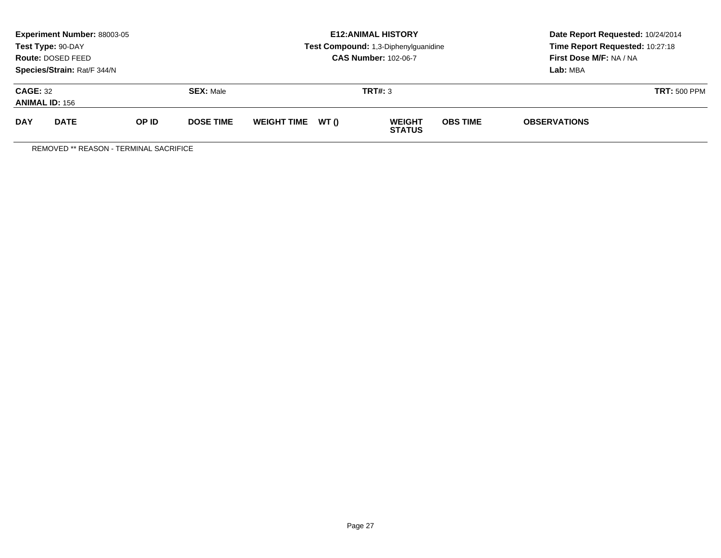|                                                              | <b>Experiment Number: 88003-05</b><br>Test Type: 90-DAY<br><b>Route: DOSED FEED</b><br>Species/Strain: Rat/F 344/N |       |                  |                    |       | <b>E12: ANIMAL HISTORY</b><br>Test Compound: 1,3-Diphenylguanidine<br><b>CAS Number: 102-06-7</b> | Date Report Requested: 10/24/2014<br>Time Report Requested: 10:27:18<br>First Dose M/F: NA / NA<br>Lab: MBA |                     |  |
|--------------------------------------------------------------|--------------------------------------------------------------------------------------------------------------------|-------|------------------|--------------------|-------|---------------------------------------------------------------------------------------------------|-------------------------------------------------------------------------------------------------------------|---------------------|--|
| <b>CAGE: 32</b><br><b>SEX: Male</b><br><b>ANIMAL ID: 156</b> |                                                                                                                    |       |                  |                    |       | TRT#: 3                                                                                           | <b>TRT: 500 PPM</b>                                                                                         |                     |  |
| <b>DAY</b>                                                   | <b>DATE</b>                                                                                                        | OP ID | <b>DOSE TIME</b> | <b>WEIGHT TIME</b> | WT () | <b>WEIGHT</b><br><b>STATUS</b>                                                                    | <b>OBS TIME</b>                                                                                             | <b>OBSERVATIONS</b> |  |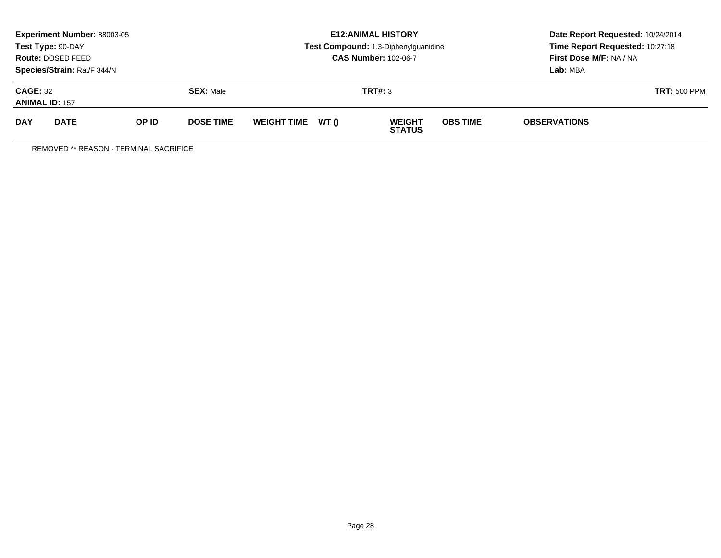|                                                              | <b>Experiment Number: 88003-05</b><br>Test Type: 90-DAY<br><b>Route: DOSED FEED</b><br>Species/Strain: Rat/F 344/N |       |                  |                    |       | <b>E12: ANIMAL HISTORY</b><br>Test Compound: 1,3-Diphenylguanidine<br><b>CAS Number: 102-06-7</b> | Date Report Requested: 10/24/2014<br>Time Report Requested: 10:27:18<br>First Dose M/F: NA / NA<br>Lab: MBA |                     |  |
|--------------------------------------------------------------|--------------------------------------------------------------------------------------------------------------------|-------|------------------|--------------------|-------|---------------------------------------------------------------------------------------------------|-------------------------------------------------------------------------------------------------------------|---------------------|--|
| <b>CAGE: 32</b><br><b>SEX: Male</b><br><b>ANIMAL ID: 157</b> |                                                                                                                    |       |                  |                    |       | TRT#: 3                                                                                           | <b>TRT: 500 PPM</b>                                                                                         |                     |  |
| <b>DAY</b>                                                   | <b>DATE</b>                                                                                                        | OP ID | <b>DOSE TIME</b> | <b>WEIGHT TIME</b> | WT () | <b>WEIGHT</b><br><b>STATUS</b>                                                                    | <b>OBS TIME</b>                                                                                             | <b>OBSERVATIONS</b> |  |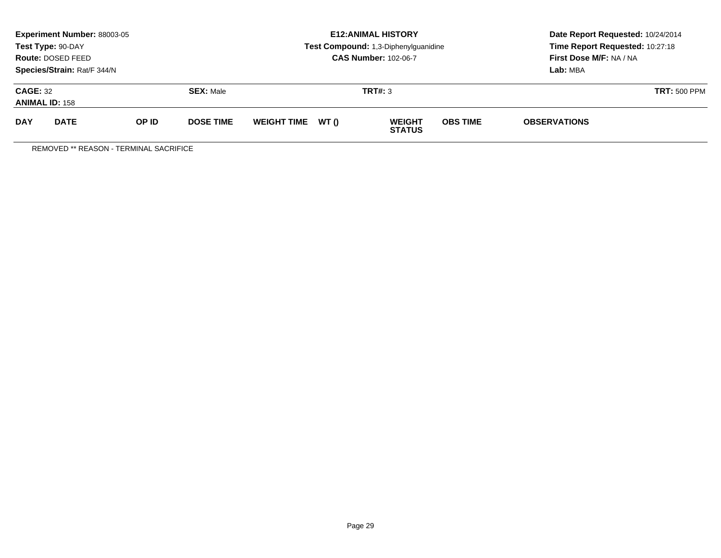|                                                              | <b>Experiment Number: 88003-05</b><br>Test Type: 90-DAY<br>Route: DOSED FEED<br>Species/Strain: Rat/F 344/N |       |                  |                    |       | <b>E12:ANIMAL HISTORY</b><br>Test Compound: 1,3-Diphenylguanidine<br><b>CAS Number: 102-06-7</b> | Date Report Requested: 10/24/2014<br>Time Report Requested: 10:27:18<br>First Dose M/F: NA / NA<br>Lab: MBA |                     |
|--------------------------------------------------------------|-------------------------------------------------------------------------------------------------------------|-------|------------------|--------------------|-------|--------------------------------------------------------------------------------------------------|-------------------------------------------------------------------------------------------------------------|---------------------|
| <b>CAGE: 32</b><br><b>SEX: Male</b><br><b>ANIMAL ID: 158</b> |                                                                                                             |       |                  |                    |       | TRT#: 3                                                                                          | <b>TRT: 500 PPM</b>                                                                                         |                     |
| <b>DAY</b>                                                   | <b>DATE</b>                                                                                                 | OP ID | <b>DOSE TIME</b> | <b>WEIGHT TIME</b> | WT () | <b>WEIGHT</b><br><b>STATUS</b>                                                                   | <b>OBS TIME</b>                                                                                             | <b>OBSERVATIONS</b> |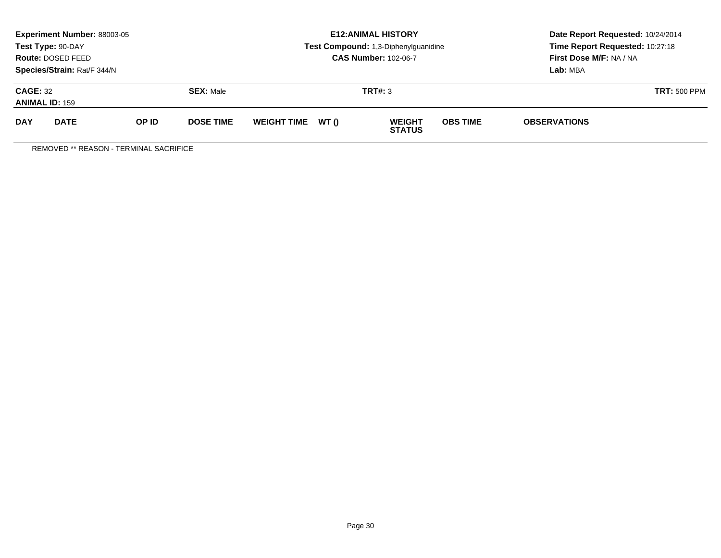|                                                              | <b>Experiment Number: 88003-05</b><br>Test Type: 90-DAY<br><b>Route: DOSED FEED</b><br>Species/Strain: Rat/F 344/N |       |                  |                    |       | <b>E12: ANIMAL HISTORY</b><br>Test Compound: 1,3-Diphenylguanidine<br><b>CAS Number: 102-06-7</b> | Date Report Requested: 10/24/2014<br>Time Report Requested: 10:27:18<br>First Dose M/F: NA / NA<br>Lab: MBA |                     |  |
|--------------------------------------------------------------|--------------------------------------------------------------------------------------------------------------------|-------|------------------|--------------------|-------|---------------------------------------------------------------------------------------------------|-------------------------------------------------------------------------------------------------------------|---------------------|--|
| <b>CAGE: 32</b><br><b>SEX: Male</b><br><b>ANIMAL ID: 159</b> |                                                                                                                    |       |                  |                    |       | TRT#: 3                                                                                           | <b>TRT: 500 PPM</b>                                                                                         |                     |  |
| <b>DAY</b>                                                   | <b>DATE</b>                                                                                                        | OP ID | <b>DOSE TIME</b> | <b>WEIGHT TIME</b> | WT () | <b>WEIGHT</b><br><b>STATUS</b>                                                                    | <b>OBS TIME</b>                                                                                             | <b>OBSERVATIONS</b> |  |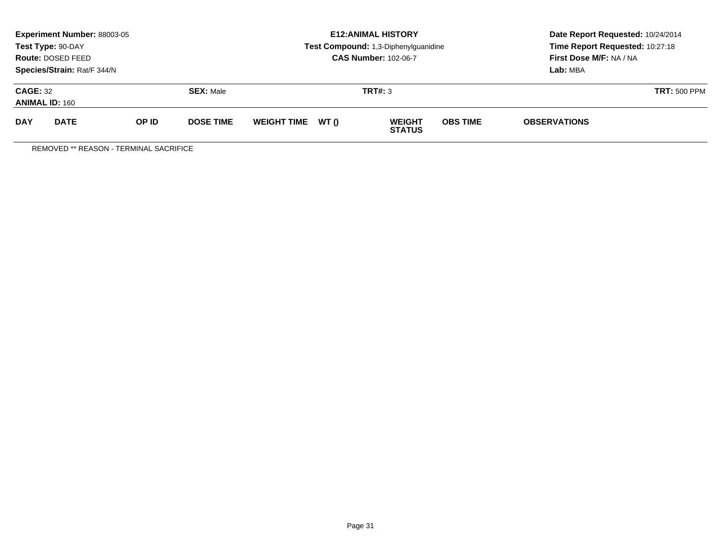|                                                              | <b>Experiment Number: 88003-05</b><br>Test Type: 90-DAY<br><b>Route: DOSED FEED</b><br>Species/Strain: Rat/F 344/N |       |                  |                    |       | <b>E12: ANIMAL HISTORY</b><br>Test Compound: 1,3-Diphenylguanidine<br><b>CAS Number: 102-06-7</b> | Date Report Requested: 10/24/2014<br>Time Report Requested: 10:27:18<br>First Dose M/F: NA / NA<br>Lab: MBA |                     |  |
|--------------------------------------------------------------|--------------------------------------------------------------------------------------------------------------------|-------|------------------|--------------------|-------|---------------------------------------------------------------------------------------------------|-------------------------------------------------------------------------------------------------------------|---------------------|--|
| <b>CAGE: 32</b><br><b>SEX: Male</b><br><b>ANIMAL ID: 160</b> |                                                                                                                    |       |                  |                    |       | TRT#: 3                                                                                           | <b>TRT: 500 PPM</b>                                                                                         |                     |  |
| <b>DAY</b>                                                   | <b>DATE</b>                                                                                                        | OP ID | <b>DOSE TIME</b> | <b>WEIGHT TIME</b> | WT () | <b>WEIGHT</b><br><b>STATUS</b>                                                                    | <b>OBS TIME</b>                                                                                             | <b>OBSERVATIONS</b> |  |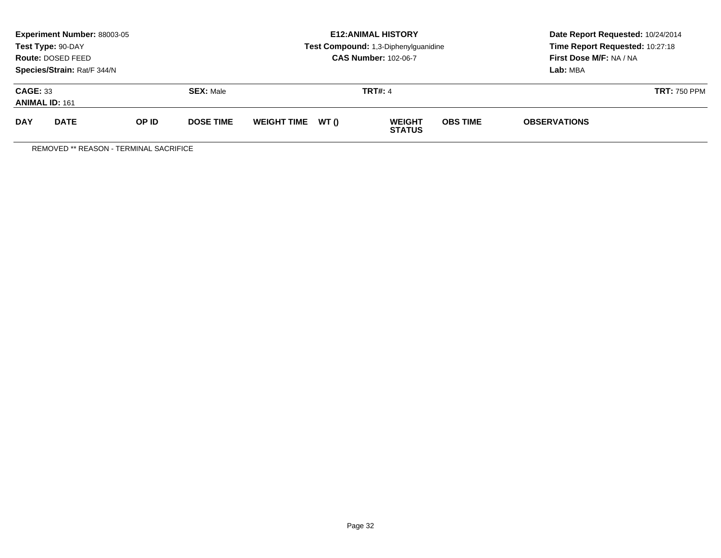|                                                              | <b>Experiment Number: 88003-05</b><br>Test Type: 90-DAY<br><b>Route: DOSED FEED</b><br>Species/Strain: Rat/F 344/N |       |                  |                    |       | <b>E12: ANIMAL HISTORY</b><br>Test Compound: 1,3-Diphenylguanidine<br><b>CAS Number: 102-06-7</b> | Date Report Requested: 10/24/2014<br>Time Report Requested: 10:27:18<br>First Dose M/F: NA / NA<br>Lab: MBA |                     |  |
|--------------------------------------------------------------|--------------------------------------------------------------------------------------------------------------------|-------|------------------|--------------------|-------|---------------------------------------------------------------------------------------------------|-------------------------------------------------------------------------------------------------------------|---------------------|--|
| <b>CAGE: 33</b><br><b>SEX: Male</b><br><b>ANIMAL ID: 161</b> |                                                                                                                    |       |                  |                    |       | <b>TRT#: 4</b>                                                                                    | <b>TRT: 750 PPM</b>                                                                                         |                     |  |
| <b>DAY</b>                                                   | <b>DATE</b>                                                                                                        | OP ID | <b>DOSE TIME</b> | <b>WEIGHT TIME</b> | WT () | <b>WEIGHT</b><br><b>STATUS</b>                                                                    | <b>OBS TIME</b>                                                                                             | <b>OBSERVATIONS</b> |  |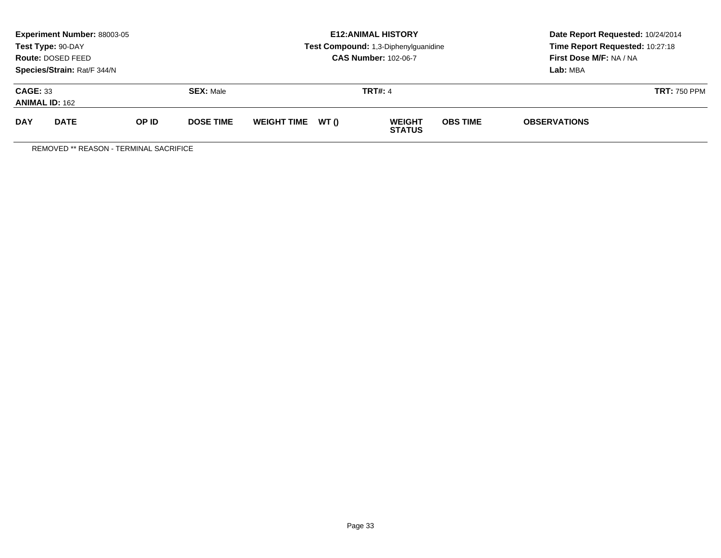|                                                              | <b>Experiment Number: 88003-05</b><br>Test Type: 90-DAY<br><b>Route: DOSED FEED</b><br>Species/Strain: Rat/F 344/N |       |                  |                    |       | <b>E12: ANIMAL HISTORY</b><br>Test Compound: 1,3-Diphenylguanidine<br><b>CAS Number: 102-06-7</b> | Date Report Requested: 10/24/2014<br>Time Report Requested: 10:27:18<br>First Dose M/F: NA / NA<br>Lab: MBA |                     |  |
|--------------------------------------------------------------|--------------------------------------------------------------------------------------------------------------------|-------|------------------|--------------------|-------|---------------------------------------------------------------------------------------------------|-------------------------------------------------------------------------------------------------------------|---------------------|--|
| <b>CAGE: 33</b><br><b>SEX: Male</b><br><b>ANIMAL ID: 162</b> |                                                                                                                    |       |                  |                    |       | <b>TRT#: 4</b>                                                                                    | <b>TRT: 750 PPM</b>                                                                                         |                     |  |
| <b>DAY</b>                                                   | <b>DATE</b>                                                                                                        | OP ID | <b>DOSE TIME</b> | <b>WEIGHT TIME</b> | WT () | <b>WEIGHT</b><br><b>STATUS</b>                                                                    | <b>OBS TIME</b>                                                                                             | <b>OBSERVATIONS</b> |  |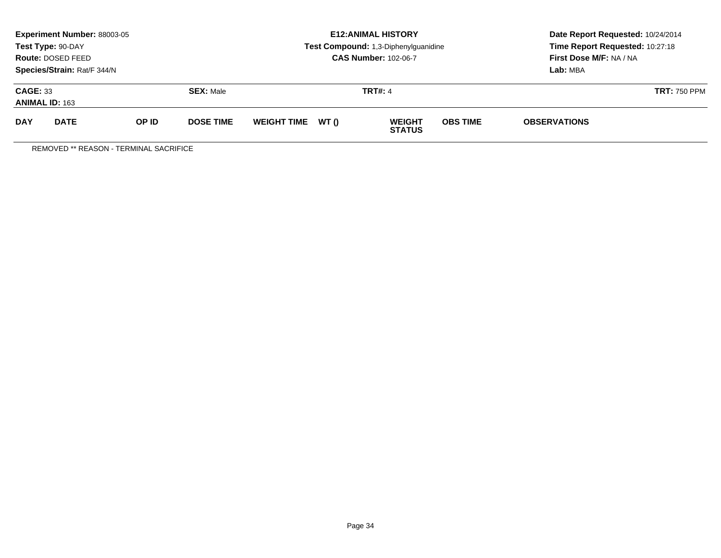|                                                              | <b>Experiment Number: 88003-05</b><br>Test Type: 90-DAY<br><b>Route: DOSED FEED</b><br>Species/Strain: Rat/F 344/N |       |                  |                    |       | <b>E12: ANIMAL HISTORY</b><br>Test Compound: 1,3-Diphenylguanidine<br><b>CAS Number: 102-06-7</b> | Date Report Requested: 10/24/2014<br>Time Report Requested: 10:27:18<br>First Dose M/F: NA / NA<br>Lab: MBA |                     |  |
|--------------------------------------------------------------|--------------------------------------------------------------------------------------------------------------------|-------|------------------|--------------------|-------|---------------------------------------------------------------------------------------------------|-------------------------------------------------------------------------------------------------------------|---------------------|--|
| <b>CAGE: 33</b><br><b>SEX: Male</b><br><b>ANIMAL ID: 163</b> |                                                                                                                    |       |                  |                    |       | <b>TRT#: 4</b>                                                                                    | <b>TRT: 750 PPM</b>                                                                                         |                     |  |
| <b>DAY</b>                                                   | <b>DATE</b>                                                                                                        | OP ID | <b>DOSE TIME</b> | <b>WEIGHT TIME</b> | WT () | <b>WEIGHT</b><br><b>STATUS</b>                                                                    | <b>OBS TIME</b>                                                                                             | <b>OBSERVATIONS</b> |  |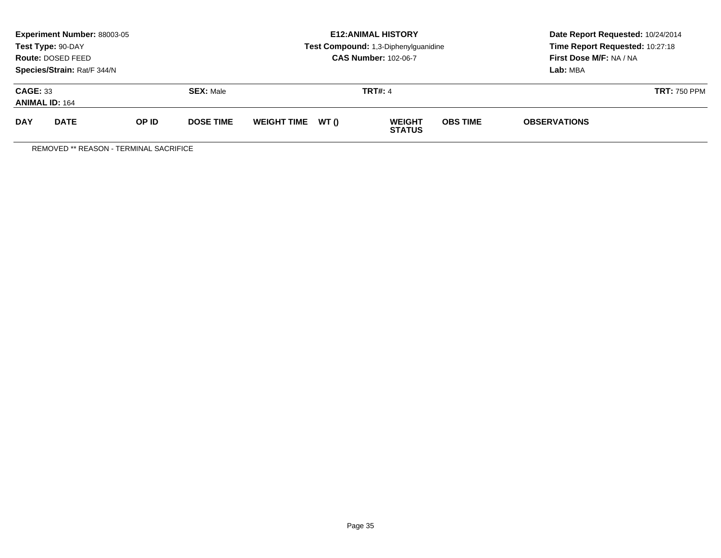|            | Experiment Number: 88003-05<br>Test Type: 90-DAY<br>Route: DOSED FEED<br>Species/Strain: Rat/F 344/N |       |                  |                   | <b>E12: ANIMAL HISTORY</b><br>Test Compound: 1,3-Diphenylguanidine<br><b>CAS Number: 102-06-7</b> | Date Report Requested: 10/24/2014<br>Time Report Requested: 10:27:18<br>First Dose M/F: NA / NA<br>Lab: MBA |
|------------|------------------------------------------------------------------------------------------------------|-------|------------------|-------------------|---------------------------------------------------------------------------------------------------|-------------------------------------------------------------------------------------------------------------|
|            | <b>CAGE: 33</b><br><b>SEX: Male</b><br><b>ANIMAL ID: 164</b>                                         |       |                  |                   | <b>TRT#: 4</b>                                                                                    | <b>TRT: 750 PPM</b>                                                                                         |
| <b>DAY</b> | <b>DATE</b>                                                                                          | OP ID | <b>DOSE TIME</b> | WEIGHT TIME WT () | <b>OBS TIME</b><br><b>WEIGHT</b><br><b>STATUS</b>                                                 | <b>OBSERVATIONS</b>                                                                                         |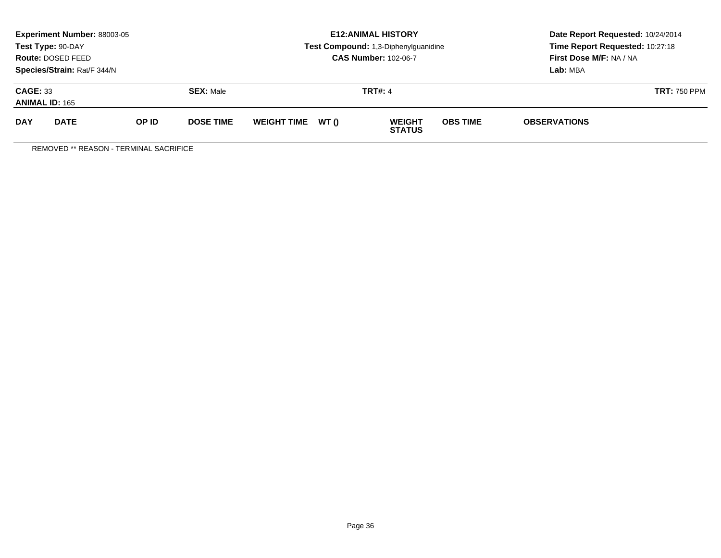| Experiment Number: 88003-05<br>Test Type: 90-DAY<br>Route: DOSED FEED<br>Species/Strain: Rat/F 344/N |             |       |                  | <b>E12: ANIMAL HISTORY</b><br>Test Compound: 1,3-Diphenylguanidine<br><b>CAS Number: 102-06-7</b> |  |                                                   | Date Report Requested: 10/24/2014<br>Time Report Requested: 10:27:18<br>First Dose M/F: NA / NA<br>Lab: MBA |
|------------------------------------------------------------------------------------------------------|-------------|-------|------------------|---------------------------------------------------------------------------------------------------|--|---------------------------------------------------|-------------------------------------------------------------------------------------------------------------|
| <b>CAGE: 33</b><br><b>ANIMAL ID: 165</b>                                                             |             |       | <b>SEX: Male</b> | <b>TRT#: 4</b>                                                                                    |  |                                                   | <b>TRT: 750 PPM</b>                                                                                         |
| <b>DAY</b>                                                                                           | <b>DATE</b> | OP ID | <b>DOSE TIME</b> | WEIGHT TIME WT ()                                                                                 |  | <b>OBS TIME</b><br><b>WEIGHT</b><br><b>STATUS</b> | <b>OBSERVATIONS</b>                                                                                         |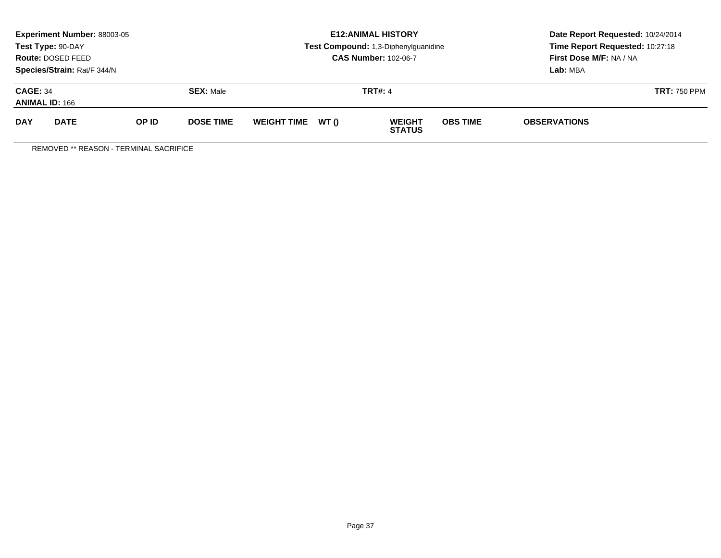|                                          | Experiment Number: 88003-05<br>Test Type: 90-DAY<br>Route: DOSED FEED<br>Species/Strain: Rat/F 344/N |       |                  |                   | <b>E12: ANIMAL HISTORY</b><br>Test Compound: 1,3-Diphenylguanidine<br><b>CAS Number: 102-06-7</b> | Date Report Requested: 10/24/2014<br>Time Report Requested: 10:27:18<br>First Dose M/F: NA / NA<br>Lab: MBA |  |
|------------------------------------------|------------------------------------------------------------------------------------------------------|-------|------------------|-------------------|---------------------------------------------------------------------------------------------------|-------------------------------------------------------------------------------------------------------------|--|
| <b>CAGE: 34</b><br><b>ANIMAL ID: 166</b> |                                                                                                      |       | <b>SEX: Male</b> |                   | <b>TRT#: 4</b>                                                                                    | <b>TRT: 750 PPM</b>                                                                                         |  |
| <b>DAY</b>                               | <b>DATE</b>                                                                                          | OP ID | <b>DOSE TIME</b> | WEIGHT TIME WT () | <b>OBS TIME</b><br><b>WEIGHT</b><br><b>STATUS</b>                                                 | <b>OBSERVATIONS</b>                                                                                         |  |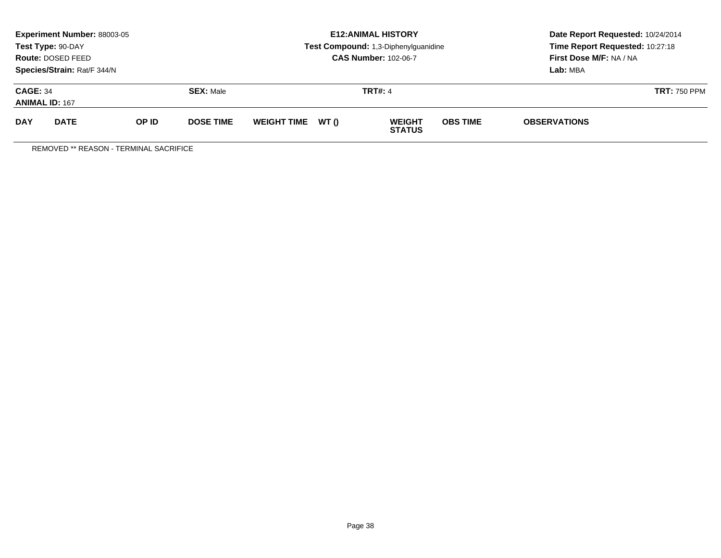|                                                        | <b>Experiment Number: 88003-05</b><br>Test Type: 90-DAY<br>Route: DOSED FEED<br>Species/Strain: Rat/F 344/N |  |                    |                                                            |  | <b>E12:ANIMAL HISTORY</b><br>Test Compound: 1,3-Diphenylguanidine<br><b>CAS Number: 102-06-7</b> | Date Report Requested: 10/24/2014<br>Time Report Requested: 10:27:18<br>First Dose M/F: NA / NA<br>Lab: MBA |                     |  |
|--------------------------------------------------------|-------------------------------------------------------------------------------------------------------------|--|--------------------|------------------------------------------------------------|--|--------------------------------------------------------------------------------------------------|-------------------------------------------------------------------------------------------------------------|---------------------|--|
| <b>CAGE: 34</b><br><b>ANIMAL ID: 167</b>               |                                                                                                             |  | <b>SEX: Male</b>   |                                                            |  | <b>TRT#: 4</b>                                                                                   |                                                                                                             | <b>TRT: 750 PPM</b> |  |
| <b>DAY</b><br><b>DATE</b><br>OP ID<br><b>DOSE TIME</b> |                                                                                                             |  | <b>WEIGHT TIME</b> | WT ()<br><b>OBS TIME</b><br><b>WEIGHT</b><br><b>STATUS</b> |  |                                                                                                  | <b>OBSERVATIONS</b>                                                                                         |                     |  |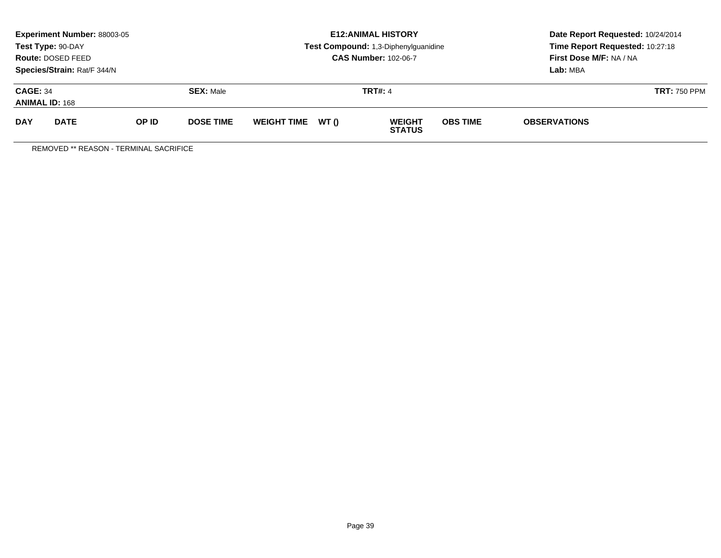|                                          | Experiment Number: 88003-05<br>Test Type: 90-DAY<br>Route: DOSED FEED<br>Species/Strain: Rat/F 344/N |       |                  |                   | <b>E12: ANIMAL HISTORY</b><br>Test Compound: 1,3-Diphenylguanidine<br><b>CAS Number: 102-06-7</b> | Date Report Requested: 10/24/2014<br>Time Report Requested: 10:27:18<br>First Dose M/F: NA / NA<br>Lab: MBA |  |
|------------------------------------------|------------------------------------------------------------------------------------------------------|-------|------------------|-------------------|---------------------------------------------------------------------------------------------------|-------------------------------------------------------------------------------------------------------------|--|
| <b>CAGE: 34</b><br><b>ANIMAL ID: 168</b> |                                                                                                      |       | <b>SEX: Male</b> |                   | <b>TRT#: 4</b>                                                                                    | <b>TRT: 750 PPM</b>                                                                                         |  |
| <b>DAY</b>                               | <b>DATE</b>                                                                                          | OP ID | <b>DOSE TIME</b> | WEIGHT TIME WT () | <b>OBS TIME</b><br><b>WEIGHT</b><br><b>STATUS</b>                                                 | <b>OBSERVATIONS</b>                                                                                         |  |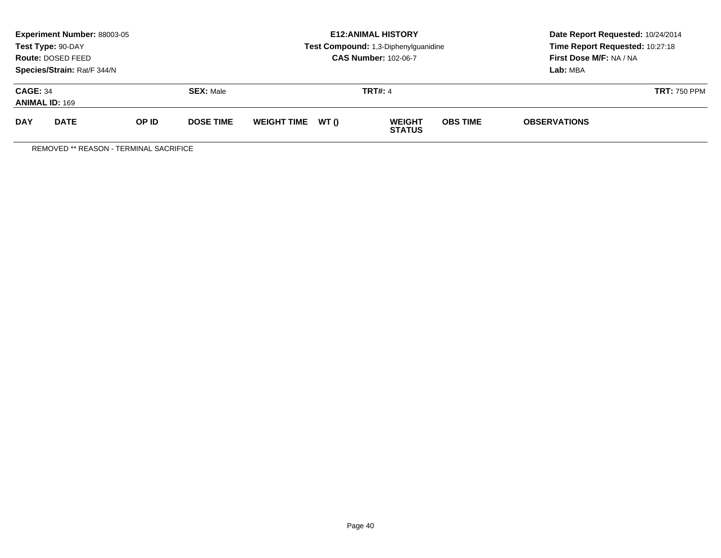|                                          | Experiment Number: 88003-05<br>Test Type: 90-DAY<br>Route: DOSED FEED<br>Species/Strain: Rat/F 344/N |       |                  |                   | <b>E12: ANIMAL HISTORY</b><br>Test Compound: 1,3-Diphenylguanidine<br><b>CAS Number: 102-06-7</b> | Date Report Requested: 10/24/2014<br>Time Report Requested: 10:27:18<br>First Dose M/F: NA / NA<br>Lab: MBA |  |
|------------------------------------------|------------------------------------------------------------------------------------------------------|-------|------------------|-------------------|---------------------------------------------------------------------------------------------------|-------------------------------------------------------------------------------------------------------------|--|
| <b>CAGE: 34</b><br><b>ANIMAL ID: 169</b> |                                                                                                      |       | <b>SEX: Male</b> |                   | <b>TRT#: 4</b>                                                                                    | <b>TRT: 750 PPM</b>                                                                                         |  |
| <b>DAY</b>                               | <b>DATE</b>                                                                                          | OP ID | <b>DOSE TIME</b> | WEIGHT TIME WT () | <b>OBS TIME</b><br><b>WEIGHT</b><br><b>STATUS</b>                                                 | <b>OBSERVATIONS</b>                                                                                         |  |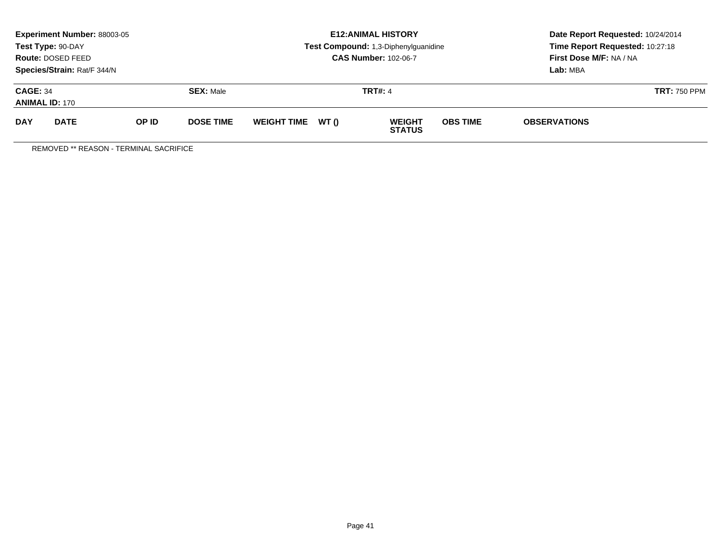|                                          | <b>Experiment Number: 88003-05</b><br>Test Type: 90-DAY<br>Route: DOSED FEED<br>Species/Strain: Rat/F 344/N |                  |  |                    |                | <b>E12: ANIMAL HISTORY</b><br>Test Compound: 1,3-Diphenylguanidine<br><b>CAS Number: 102-06-7</b> | Date Report Requested: 10/24/2014<br>Time Report Requested: 10:27:18<br>First Dose M/F: NA / NA<br>Lab: MBA |                     |  |
|------------------------------------------|-------------------------------------------------------------------------------------------------------------|------------------|--|--------------------|----------------|---------------------------------------------------------------------------------------------------|-------------------------------------------------------------------------------------------------------------|---------------------|--|
| <b>CAGE: 34</b><br><b>ANIMAL ID: 170</b> |                                                                                                             | <b>SEX: Male</b> |  |                    | <b>TRT#: 4</b> | <b>TRT: 750 PPM</b>                                                                               |                                                                                                             |                     |  |
| <b>DAY</b>                               | <b>DATE</b><br>OP ID<br><b>DOSE TIME</b>                                                                    |                  |  | <b>WEIGHT TIME</b> | WT ()          | <b>WEIGHT</b><br><b>STATUS</b>                                                                    | <b>OBS TIME</b>                                                                                             | <b>OBSERVATIONS</b> |  |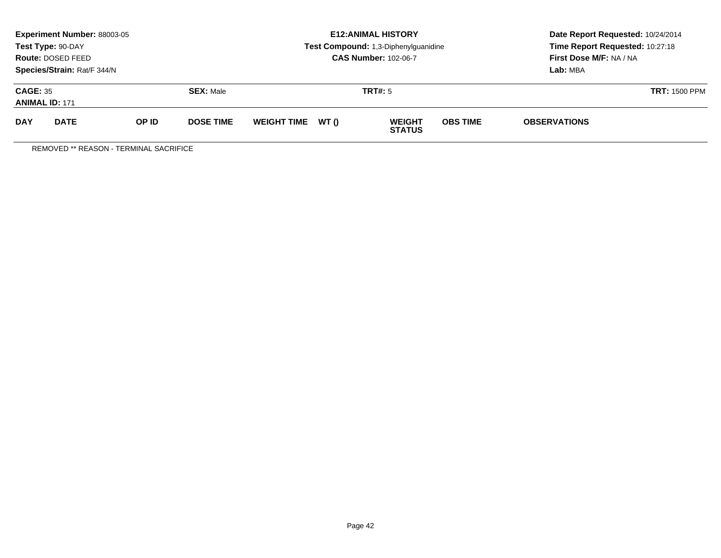|                                          | <b>Experiment Number: 88003-05</b><br>Test Type: 90-DAY<br>Route: DOSED FEED<br>Species/Strain: Rat/F 344/N |       |                  | <b>E12: ANIMAL HISTORY</b><br>Test Compound: 1,3-Diphenylguanidine<br><b>CAS Number: 102-06-7</b> |       |                                |                      | Date Report Requested: 10/24/2014<br>Time Report Requested: 10:27:18<br>First Dose M/F: NA / NA<br>Lab: MBA |  |
|------------------------------------------|-------------------------------------------------------------------------------------------------------------|-------|------------------|---------------------------------------------------------------------------------------------------|-------|--------------------------------|----------------------|-------------------------------------------------------------------------------------------------------------|--|
| <b>CAGE: 35</b><br><b>ANIMAL ID: 171</b> |                                                                                                             |       | <b>SEX: Male</b> |                                                                                                   |       | TRT#: 5                        | <b>TRT: 1500 PPM</b> |                                                                                                             |  |
| <b>DAY</b>                               | <b>DATE</b>                                                                                                 | OP ID | <b>DOSE TIME</b> | <b>WEIGHT TIME</b>                                                                                | WT () | <b>WEIGHT</b><br><b>STATUS</b> | <b>OBS TIME</b>      | <b>OBSERVATIONS</b>                                                                                         |  |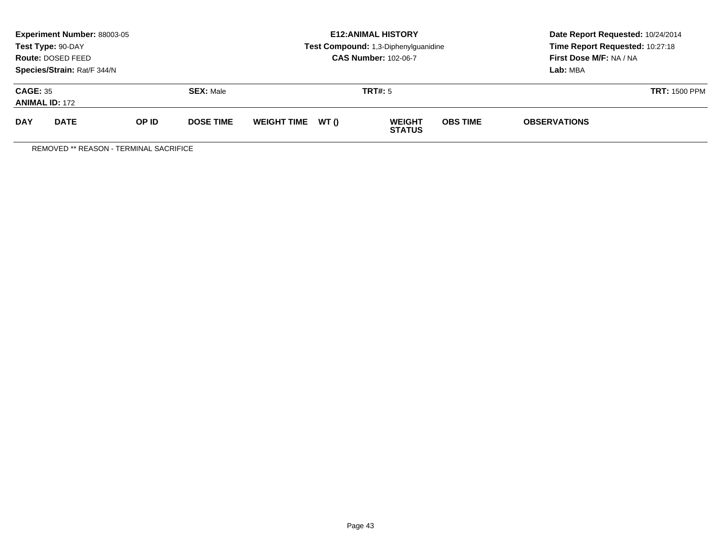|                                          | <b>Experiment Number: 88003-05</b><br>Test Type: 90-DAY<br>Route: DOSED FEED<br>Species/Strain: Rat/F 344/N |       |                  |                    |       | <b>E12: ANIMAL HISTORY</b><br>Test Compound: 1,3-Diphenylguanidine<br><b>CAS Number: 102-06-7</b> | Date Report Requested: 10/24/2014<br>Time Report Requested: 10:27:18<br>First Dose M/F: NA / NA<br>Lab: MBA |                     |  |
|------------------------------------------|-------------------------------------------------------------------------------------------------------------|-------|------------------|--------------------|-------|---------------------------------------------------------------------------------------------------|-------------------------------------------------------------------------------------------------------------|---------------------|--|
| <b>CAGE: 35</b><br><b>ANIMAL ID: 172</b> |                                                                                                             |       | <b>SEX: Male</b> |                    |       | TRT#: 5                                                                                           | <b>TRT: 1500 PPM</b>                                                                                        |                     |  |
| <b>DAY</b>                               | <b>DATE</b>                                                                                                 | OP ID | <b>DOSE TIME</b> | <b>WEIGHT TIME</b> | WT () | <b>WEIGHT</b><br><b>STATUS</b>                                                                    | <b>OBS TIME</b>                                                                                             | <b>OBSERVATIONS</b> |  |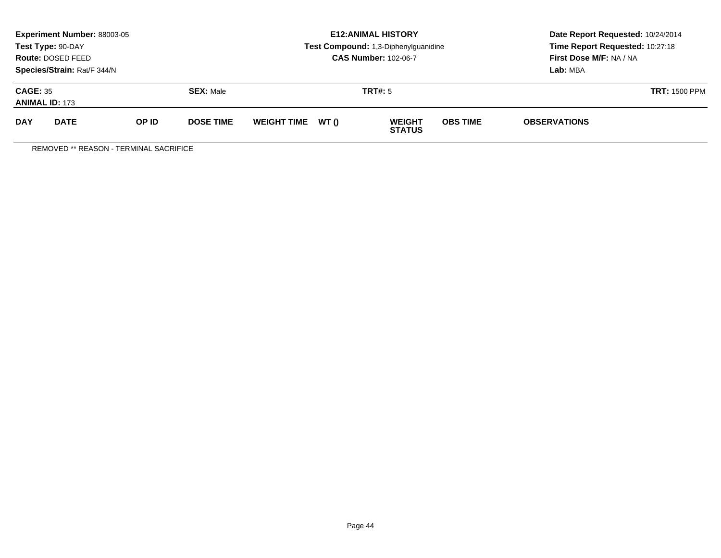|                                          | <b>Experiment Number: 88003-05</b><br>Test Type: 90-DAY<br>Route: DOSED FEED<br>Species/Strain: Rat/F 344/N |       |                  |                    |       | <b>E12: ANIMAL HISTORY</b><br>Test Compound: 1,3-Diphenylguanidine<br><b>CAS Number: 102-06-7</b> | Date Report Requested: 10/24/2014<br>Time Report Requested: 10:27:18<br>First Dose M/F: NA / NA<br>Lab: MBA |                     |  |
|------------------------------------------|-------------------------------------------------------------------------------------------------------------|-------|------------------|--------------------|-------|---------------------------------------------------------------------------------------------------|-------------------------------------------------------------------------------------------------------------|---------------------|--|
| <b>CAGE: 35</b><br><b>ANIMAL ID: 173</b> |                                                                                                             |       | <b>SEX: Male</b> |                    |       | TRT#: 5                                                                                           | <b>TRT: 1500 PPM</b>                                                                                        |                     |  |
| <b>DAY</b>                               | <b>DATE</b>                                                                                                 | OP ID | <b>DOSE TIME</b> | <b>WEIGHT TIME</b> | WT () | <b>WEIGHT</b><br><b>STATUS</b>                                                                    | <b>OBS TIME</b>                                                                                             | <b>OBSERVATIONS</b> |  |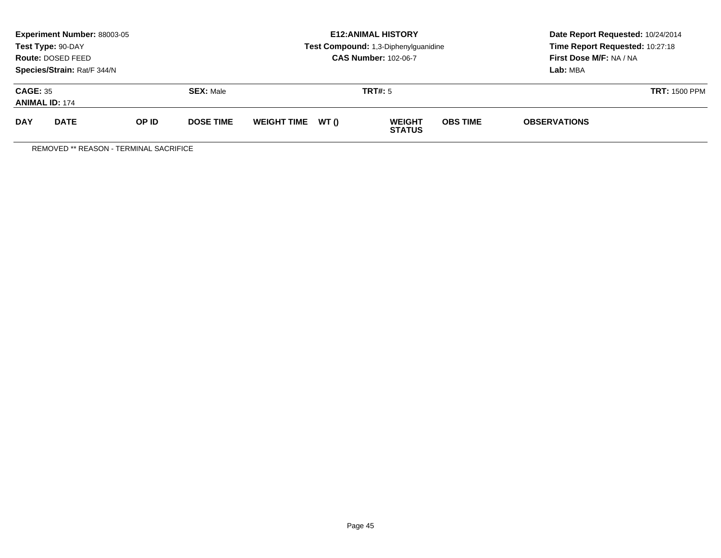|                                          | <b>Experiment Number: 88003-05</b><br>Test Type: 90-DAY<br>Route: DOSED FEED<br>Species/Strain: Rat/F 344/N |       |                  |                    |       | <b>E12: ANIMAL HISTORY</b><br>Test Compound: 1,3-Diphenylguanidine<br><b>CAS Number: 102-06-7</b> | Date Report Requested: 10/24/2014<br>Time Report Requested: 10:27:18<br>First Dose M/F: NA / NA<br>Lab: MBA |                     |  |
|------------------------------------------|-------------------------------------------------------------------------------------------------------------|-------|------------------|--------------------|-------|---------------------------------------------------------------------------------------------------|-------------------------------------------------------------------------------------------------------------|---------------------|--|
| <b>CAGE: 35</b><br><b>ANIMAL ID: 174</b> |                                                                                                             |       | <b>SEX: Male</b> |                    |       | TRT#: 5                                                                                           | <b>TRT: 1500 PPM</b>                                                                                        |                     |  |
| <b>DAY</b>                               | <b>DATE</b>                                                                                                 | OP ID | <b>DOSE TIME</b> | <b>WEIGHT TIME</b> | WT () | <b>WEIGHT</b><br><b>STATUS</b>                                                                    | <b>OBS TIME</b>                                                                                             | <b>OBSERVATIONS</b> |  |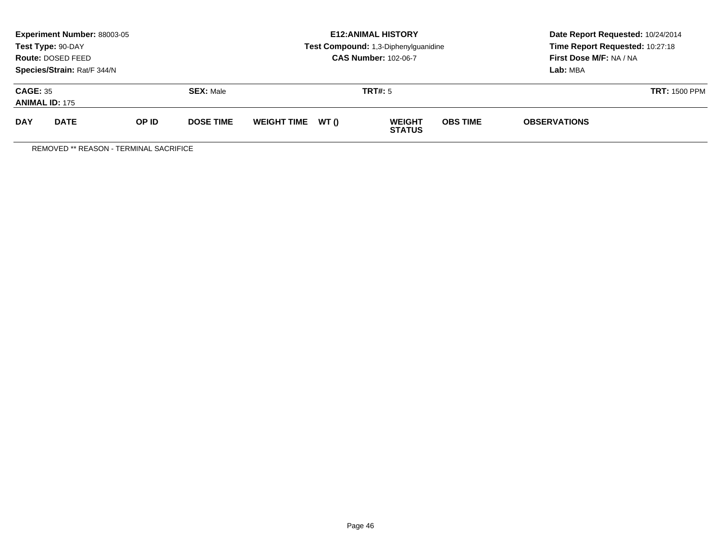|                                          | <b>Experiment Number: 88003-05</b><br>Test Type: 90-DAY<br>Route: DOSED FEED<br>Species/Strain: Rat/F 344/N |       |                  |                    |       | <b>E12: ANIMAL HISTORY</b><br>Test Compound: 1,3-Diphenylguanidine<br><b>CAS Number: 102-06-7</b> | Date Report Requested: 10/24/2014<br>Time Report Requested: 10:27:18<br>First Dose M/F: NA / NA<br>Lab: MBA |                     |  |
|------------------------------------------|-------------------------------------------------------------------------------------------------------------|-------|------------------|--------------------|-------|---------------------------------------------------------------------------------------------------|-------------------------------------------------------------------------------------------------------------|---------------------|--|
| <b>CAGE: 35</b><br><b>ANIMAL ID: 175</b> |                                                                                                             |       | <b>SEX: Male</b> |                    |       | TRT#: 5                                                                                           | <b>TRT: 1500 PPM</b>                                                                                        |                     |  |
| <b>DAY</b>                               | <b>DATE</b>                                                                                                 | OP ID | <b>DOSE TIME</b> | <b>WEIGHT TIME</b> | WT () | <b>WEIGHT</b><br><b>STATUS</b>                                                                    | <b>OBS TIME</b>                                                                                             | <b>OBSERVATIONS</b> |  |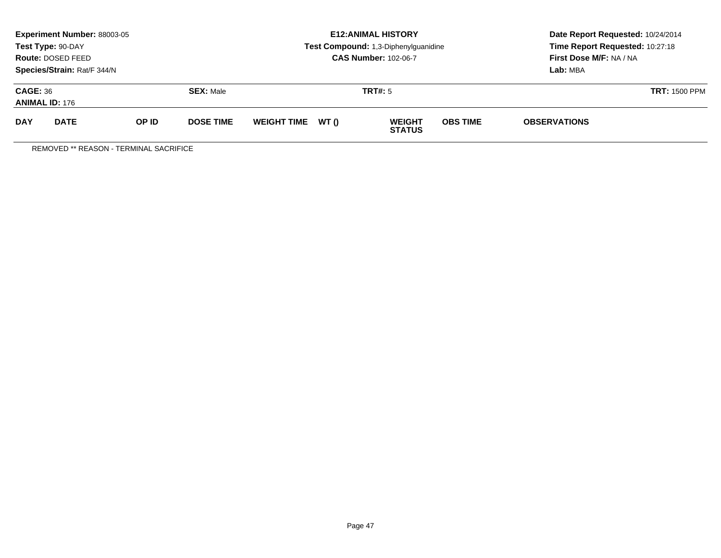|                                          | <b>Experiment Number: 88003-05</b><br>Test Type: 90-DAY<br>Route: DOSED FEED<br>Species/Strain: Rat/F 344/N |       |                  |                    |       | <b>E12: ANIMAL HISTORY</b><br>Test Compound: 1,3-Diphenylguanidine<br><b>CAS Number: 102-06-7</b> | Date Report Requested: 10/24/2014<br>Time Report Requested: 10:27:18<br>First Dose M/F: NA / NA<br>Lab: MBA |                     |  |
|------------------------------------------|-------------------------------------------------------------------------------------------------------------|-------|------------------|--------------------|-------|---------------------------------------------------------------------------------------------------|-------------------------------------------------------------------------------------------------------------|---------------------|--|
| <b>CAGE: 36</b><br><b>ANIMAL ID: 176</b> |                                                                                                             |       | <b>SEX: Male</b> |                    |       | TRT#: 5                                                                                           | <b>TRT: 1500 PPM</b>                                                                                        |                     |  |
| <b>DAY</b>                               | <b>DATE</b>                                                                                                 | OP ID | <b>DOSE TIME</b> | <b>WEIGHT TIME</b> | WT () | <b>WEIGHT</b><br><b>STATUS</b>                                                                    | <b>OBS TIME</b>                                                                                             | <b>OBSERVATIONS</b> |  |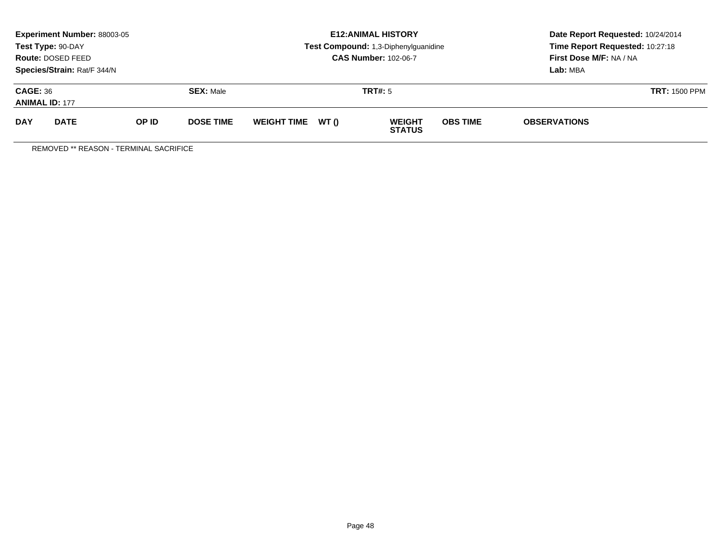|                                          | <b>Experiment Number: 88003-05</b><br>Test Type: 90-DAY<br>Route: DOSED FEED<br>Species/Strain: Rat/F 344/N |       |                  |                    |       | <b>E12: ANIMAL HISTORY</b><br>Test Compound: 1,3-Diphenylguanidine<br><b>CAS Number: 102-06-7</b> | Date Report Requested: 10/24/2014<br>Time Report Requested: 10:27:18<br>First Dose M/F: NA / NA<br>Lab: MBA |                     |  |
|------------------------------------------|-------------------------------------------------------------------------------------------------------------|-------|------------------|--------------------|-------|---------------------------------------------------------------------------------------------------|-------------------------------------------------------------------------------------------------------------|---------------------|--|
| <b>CAGE: 36</b><br><b>ANIMAL ID: 177</b> |                                                                                                             |       | <b>SEX: Male</b> |                    |       | TRT#: 5                                                                                           | <b>TRT: 1500 PPM</b>                                                                                        |                     |  |
| <b>DAY</b>                               | <b>DATE</b>                                                                                                 | OP ID | <b>DOSE TIME</b> | <b>WEIGHT TIME</b> | WT () | <b>WEIGHT</b><br><b>STATUS</b>                                                                    | <b>OBS TIME</b>                                                                                             | <b>OBSERVATIONS</b> |  |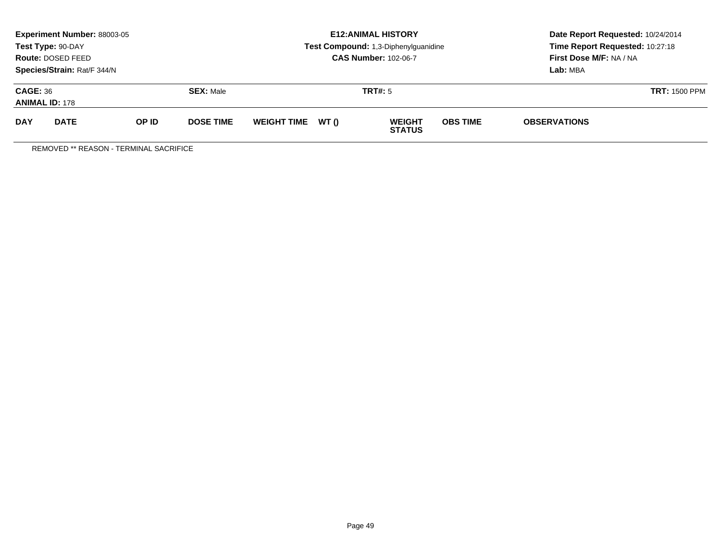|                                          | <b>Experiment Number: 88003-05</b><br>Test Type: 90-DAY<br>Route: DOSED FEED<br>Species/Strain: Rat/F 344/N |       |                  |                    |       | <b>E12: ANIMAL HISTORY</b><br>Test Compound: 1,3-Diphenylguanidine<br><b>CAS Number: 102-06-7</b> | Date Report Requested: 10/24/2014<br>Time Report Requested: 10:27:18<br>First Dose M/F: NA / NA<br>Lab: MBA |                     |  |
|------------------------------------------|-------------------------------------------------------------------------------------------------------------|-------|------------------|--------------------|-------|---------------------------------------------------------------------------------------------------|-------------------------------------------------------------------------------------------------------------|---------------------|--|
| <b>CAGE: 36</b><br><b>ANIMAL ID: 178</b> |                                                                                                             |       | <b>SEX: Male</b> |                    |       | TRT#: 5                                                                                           | <b>TRT: 1500 PPM</b>                                                                                        |                     |  |
| <b>DAY</b>                               | <b>DATE</b>                                                                                                 | OP ID | <b>DOSE TIME</b> | <b>WEIGHT TIME</b> | WT () | <b>WEIGHT</b><br><b>STATUS</b>                                                                    | <b>OBS TIME</b>                                                                                             | <b>OBSERVATIONS</b> |  |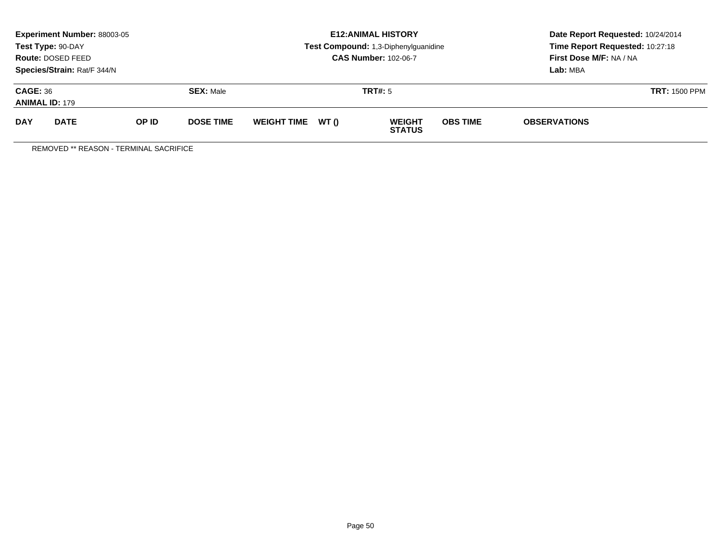|                                          | <b>Experiment Number: 88003-05</b><br>Test Type: 90-DAY<br>Route: DOSED FEED<br>Species/Strain: Rat/F 344/N |       |                  |                    |       | <b>E12: ANIMAL HISTORY</b><br>Test Compound: 1,3-Diphenylguanidine<br><b>CAS Number: 102-06-7</b> | Date Report Requested: 10/24/2014<br>Time Report Requested: 10:27:18<br>First Dose M/F: NA / NA<br>Lab: MBA |                     |  |
|------------------------------------------|-------------------------------------------------------------------------------------------------------------|-------|------------------|--------------------|-------|---------------------------------------------------------------------------------------------------|-------------------------------------------------------------------------------------------------------------|---------------------|--|
| <b>CAGE: 36</b><br><b>ANIMAL ID: 179</b> |                                                                                                             |       | <b>SEX: Male</b> |                    |       | TRT#: 5                                                                                           | <b>TRT: 1500 PPM</b>                                                                                        |                     |  |
| <b>DAY</b>                               | <b>DATE</b>                                                                                                 | OP ID | <b>DOSE TIME</b> | <b>WEIGHT TIME</b> | WT () | <b>WEIGHT</b><br><b>STATUS</b>                                                                    | <b>OBS TIME</b>                                                                                             | <b>OBSERVATIONS</b> |  |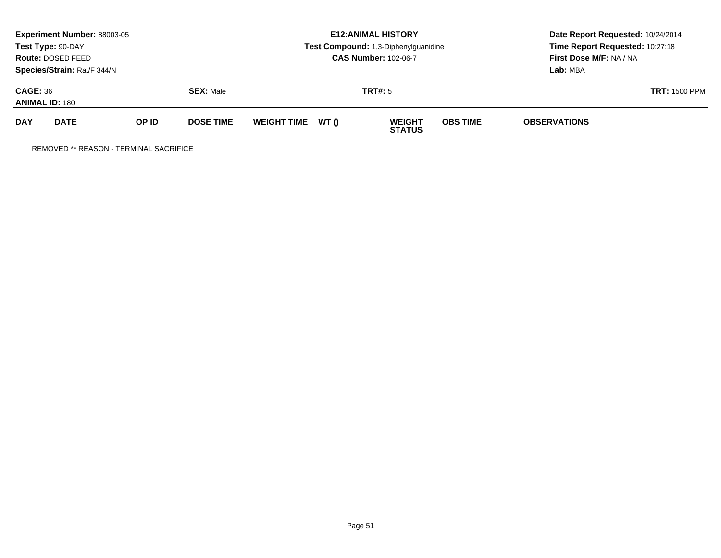|                                          | <b>Experiment Number: 88003-05</b><br>Test Type: 90-DAY<br>Route: DOSED FEED<br>Species/Strain: Rat/F 344/N |       |                  |                    |       | <b>E12: ANIMAL HISTORY</b><br>Test Compound: 1,3-Diphenylguanidine<br><b>CAS Number: 102-06-7</b> | Date Report Requested: 10/24/2014<br>Time Report Requested: 10:27:18<br>First Dose M/F: NA / NA<br>Lab: MBA |                      |  |
|------------------------------------------|-------------------------------------------------------------------------------------------------------------|-------|------------------|--------------------|-------|---------------------------------------------------------------------------------------------------|-------------------------------------------------------------------------------------------------------------|----------------------|--|
| <b>CAGE: 36</b><br><b>ANIMAL ID: 180</b> |                                                                                                             |       | <b>SEX: Male</b> |                    |       | TRT#: 5                                                                                           |                                                                                                             | <b>TRT: 1500 PPM</b> |  |
| <b>DAY</b>                               | <b>DATE</b>                                                                                                 | OP ID | <b>DOSE TIME</b> | <b>WEIGHT TIME</b> | WT () | <b>WEIGHT</b><br><b>STATUS</b>                                                                    | <b>OBS TIME</b>                                                                                             | <b>OBSERVATIONS</b>  |  |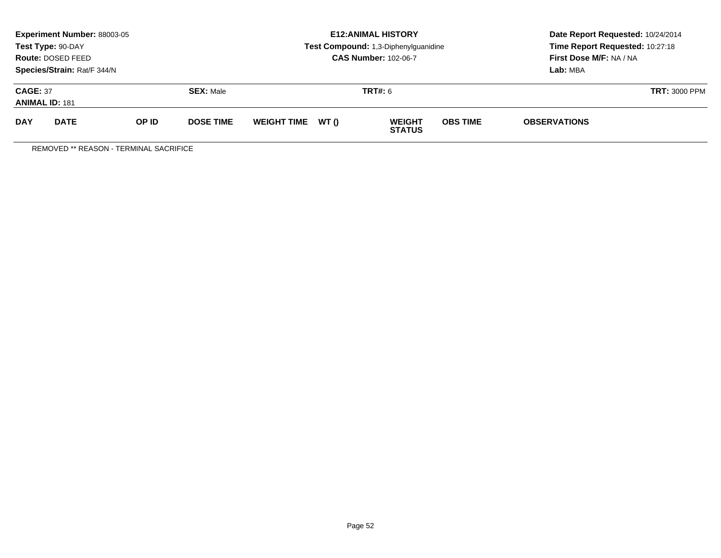|                                          | <b>Experiment Number: 88003-05</b><br>Test Type: 90-DAY<br>Route: DOSED FEED<br>Species/Strain: Rat/F 344/N |       |                  |                    |       | <b>E12: ANIMAL HISTORY</b><br>Test Compound: 1,3-Diphenylguanidine<br><b>CAS Number: 102-06-7</b> | Date Report Requested: 10/24/2014<br>Time Report Requested: 10:27:18<br>First Dose M/F: NA / NA<br>Lab: MBA |                     |  |
|------------------------------------------|-------------------------------------------------------------------------------------------------------------|-------|------------------|--------------------|-------|---------------------------------------------------------------------------------------------------|-------------------------------------------------------------------------------------------------------------|---------------------|--|
| <b>CAGE: 37</b><br><b>ANIMAL ID: 181</b> |                                                                                                             |       | <b>SEX: Male</b> |                    |       | <b>TRT#:</b> 6                                                                                    | <b>TRT: 3000 PPM</b>                                                                                        |                     |  |
| <b>DAY</b>                               | <b>DATE</b>                                                                                                 | OP ID | <b>DOSE TIME</b> | <b>WEIGHT TIME</b> | WT () | <b>WEIGHT</b><br><b>STATUS</b>                                                                    | <b>OBS TIME</b>                                                                                             | <b>OBSERVATIONS</b> |  |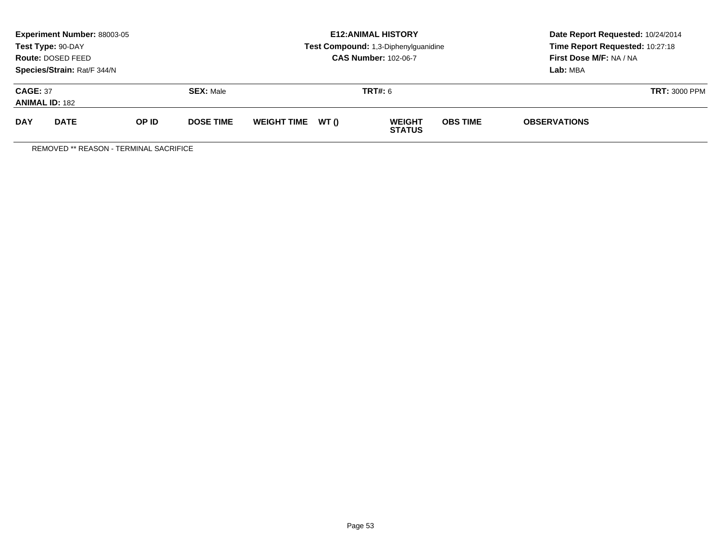|                                          | <b>Experiment Number: 88003-05</b><br>Test Type: 90-DAY<br>Route: DOSED FEED<br>Species/Strain: Rat/F 344/N |       |                  |                    |       | <b>E12: ANIMAL HISTORY</b><br>Test Compound: 1,3-Diphenylguanidine<br><b>CAS Number: 102-06-7</b> | Date Report Requested: 10/24/2014<br>Time Report Requested: 10:27:18<br>First Dose M/F: NA / NA<br>Lab: MBA |                      |  |
|------------------------------------------|-------------------------------------------------------------------------------------------------------------|-------|------------------|--------------------|-------|---------------------------------------------------------------------------------------------------|-------------------------------------------------------------------------------------------------------------|----------------------|--|
| <b>CAGE: 37</b><br><b>ANIMAL ID: 182</b> |                                                                                                             |       | <b>SEX: Male</b> |                    |       | <b>TRT#:</b> 6                                                                                    |                                                                                                             | <b>TRT: 3000 PPM</b> |  |
| <b>DAY</b>                               | <b>DATE</b>                                                                                                 | OP ID | <b>DOSE TIME</b> | <b>WEIGHT TIME</b> | WT () | <b>WEIGHT</b><br><b>STATUS</b>                                                                    | <b>OBS TIME</b>                                                                                             | <b>OBSERVATIONS</b>  |  |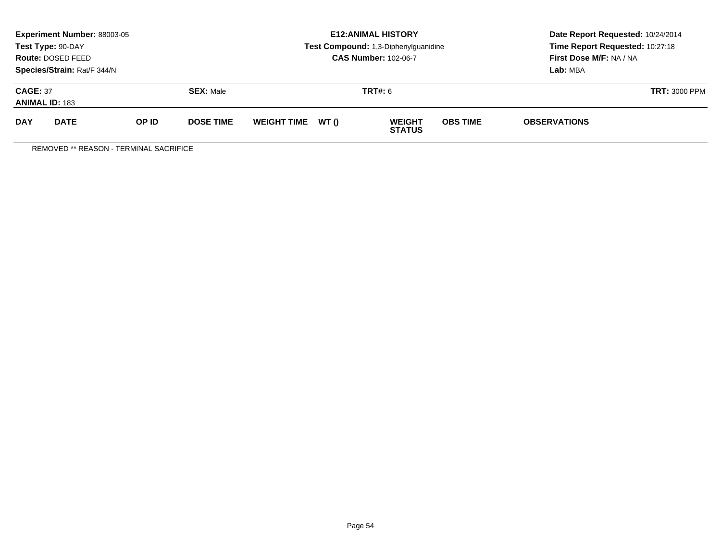|                                          | <b>Experiment Number: 88003-05</b><br>Test Type: 90-DAY<br>Route: DOSED FEED<br>Species/Strain: Rat/F 344/N |       |                  |                    |       | <b>E12: ANIMAL HISTORY</b><br>Test Compound: 1,3-Diphenylguanidine<br><b>CAS Number: 102-06-7</b> | Date Report Requested: 10/24/2014<br>Time Report Requested: 10:27:18<br>First Dose M/F: NA / NA<br>Lab: MBA |                      |  |
|------------------------------------------|-------------------------------------------------------------------------------------------------------------|-------|------------------|--------------------|-------|---------------------------------------------------------------------------------------------------|-------------------------------------------------------------------------------------------------------------|----------------------|--|
| <b>CAGE: 37</b><br><b>ANIMAL ID: 183</b> |                                                                                                             |       | <b>SEX: Male</b> |                    |       | <b>TRT#:</b> 6                                                                                    |                                                                                                             | <b>TRT: 3000 PPM</b> |  |
| <b>DAY</b>                               | <b>DATE</b>                                                                                                 | OP ID | <b>DOSE TIME</b> | <b>WEIGHT TIME</b> | WT () | <b>WEIGHT</b><br><b>STATUS</b>                                                                    | <b>OBS TIME</b>                                                                                             | <b>OBSERVATIONS</b>  |  |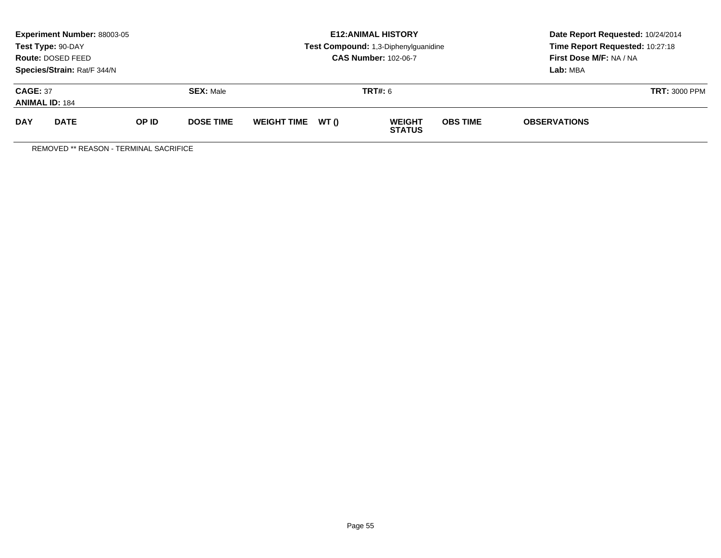|            | <b>Experiment Number: 88003-05</b><br>Test Type: 90-DAY<br>Route: DOSED FEED<br>Species/Strain: Rat/F 344/N |       |                  |                    |       | <b>E12: ANIMAL HISTORY</b><br>Test Compound: 1,3-Diphenylguanidine<br><b>CAS Number: 102-06-7</b> | Date Report Requested: 10/24/2014<br>Time Report Requested: 10:27:18<br>First Dose M/F: NA / NA<br>Lab: MBA |                      |  |
|------------|-------------------------------------------------------------------------------------------------------------|-------|------------------|--------------------|-------|---------------------------------------------------------------------------------------------------|-------------------------------------------------------------------------------------------------------------|----------------------|--|
|            | <b>CAGE: 37</b><br><b>SEX: Male</b><br><b>ANIMAL ID: 184</b>                                                |       |                  |                    |       | <b>TRT#:</b> 6                                                                                    |                                                                                                             | <b>TRT: 3000 PPM</b> |  |
| <b>DAY</b> | <b>DATE</b>                                                                                                 | OP ID | <b>DOSE TIME</b> | <b>WEIGHT TIME</b> | WT () | <b>WEIGHT</b><br><b>STATUS</b>                                                                    | <b>OBS TIME</b>                                                                                             | <b>OBSERVATIONS</b>  |  |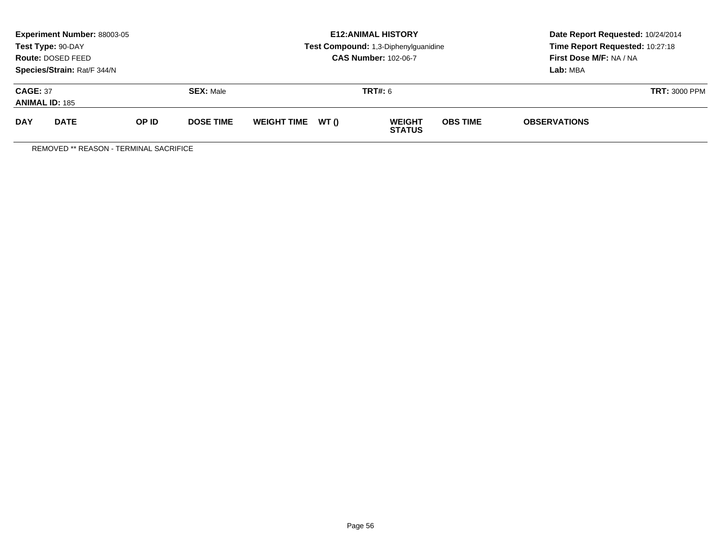|                                          | <b>Experiment Number: 88003-05</b><br>Test Type: 90-DAY<br>Route: DOSED FEED<br>Species/Strain: Rat/F 344/N |       |                  |                    |       | <b>E12: ANIMAL HISTORY</b><br>Test Compound: 1,3-Diphenylguanidine<br><b>CAS Number: 102-06-7</b> | Date Report Requested: 10/24/2014<br>Time Report Requested: 10:27:18<br>First Dose M/F: NA / NA<br>Lab: MBA |                      |  |
|------------------------------------------|-------------------------------------------------------------------------------------------------------------|-------|------------------|--------------------|-------|---------------------------------------------------------------------------------------------------|-------------------------------------------------------------------------------------------------------------|----------------------|--|
| <b>CAGE: 37</b><br><b>ANIMAL ID: 185</b> |                                                                                                             |       | <b>SEX: Male</b> |                    |       | <b>TRT#:</b> 6                                                                                    |                                                                                                             | <b>TRT: 3000 PPM</b> |  |
| <b>DAY</b>                               | <b>DATE</b>                                                                                                 | OP ID | <b>DOSE TIME</b> | <b>WEIGHT TIME</b> | WT () | <b>WEIGHT</b><br><b>STATUS</b>                                                                    | <b>OBS TIME</b>                                                                                             | <b>OBSERVATIONS</b>  |  |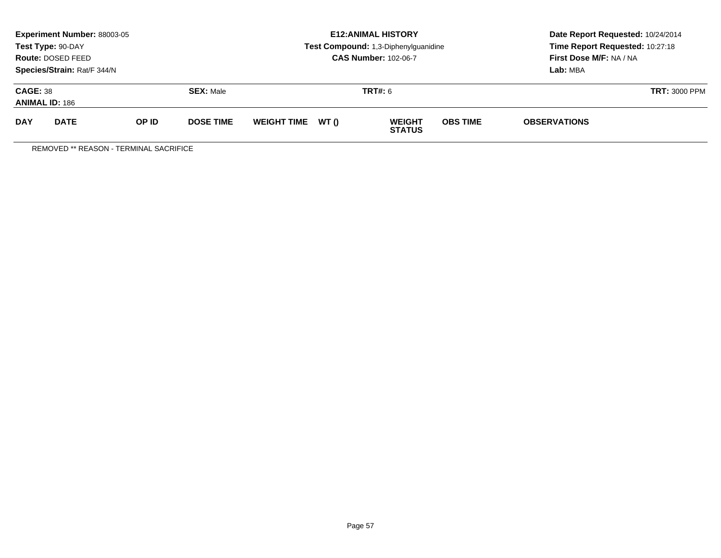|                                          | <b>Experiment Number: 88003-05</b><br>Test Type: 90-DAY<br>Route: DOSED FEED<br>Species/Strain: Rat/F 344/N |       |                  |                    |       | <b>E12: ANIMAL HISTORY</b><br>Test Compound: 1,3-Diphenylguanidine<br><b>CAS Number: 102-06-7</b> | Date Report Requested: 10/24/2014<br>Time Report Requested: 10:27:18<br>First Dose M/F: NA / NA<br>Lab: MBA |                     |  |
|------------------------------------------|-------------------------------------------------------------------------------------------------------------|-------|------------------|--------------------|-------|---------------------------------------------------------------------------------------------------|-------------------------------------------------------------------------------------------------------------|---------------------|--|
| <b>CAGE: 38</b><br><b>ANIMAL ID: 186</b> |                                                                                                             |       | <b>SEX: Male</b> |                    |       | <b>TRT#:</b> 6                                                                                    | <b>TRT: 3000 PPM</b>                                                                                        |                     |  |
| <b>DAY</b>                               | <b>DATE</b>                                                                                                 | OP ID | <b>DOSE TIME</b> | <b>WEIGHT TIME</b> | WT () | <b>WEIGHT</b><br><b>STATUS</b>                                                                    | <b>OBS TIME</b>                                                                                             | <b>OBSERVATIONS</b> |  |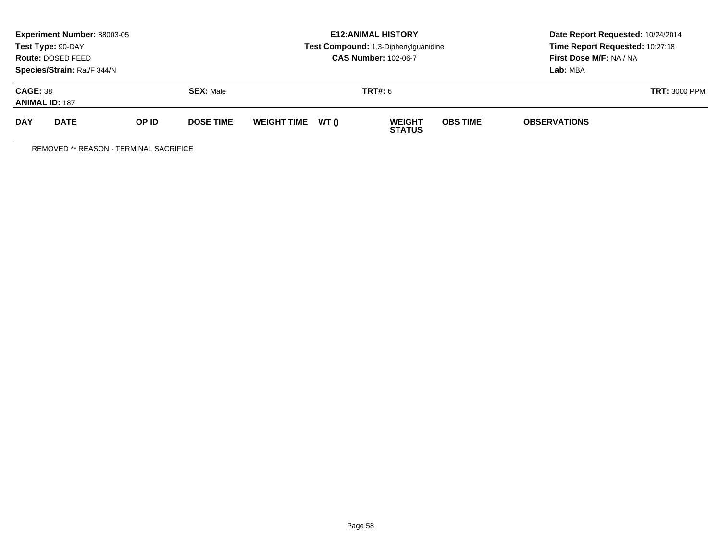|                                          | <b>Experiment Number: 88003-05</b><br>Test Type: 90-DAY<br>Route: DOSED FEED<br>Species/Strain: Rat/F 344/N |       |                  |                    |       | <b>E12: ANIMAL HISTORY</b><br>Test Compound: 1,3-Diphenylguanidine<br><b>CAS Number: 102-06-7</b> | Date Report Requested: 10/24/2014<br>Time Report Requested: 10:27:18<br>First Dose M/F: NA / NA<br>Lab: MBA |                     |  |
|------------------------------------------|-------------------------------------------------------------------------------------------------------------|-------|------------------|--------------------|-------|---------------------------------------------------------------------------------------------------|-------------------------------------------------------------------------------------------------------------|---------------------|--|
| <b>CAGE: 38</b><br><b>ANIMAL ID: 187</b> |                                                                                                             |       | <b>SEX: Male</b> |                    |       | <b>TRT#:</b> 6                                                                                    | <b>TRT: 3000 PPM</b>                                                                                        |                     |  |
| <b>DAY</b>                               | <b>DATE</b>                                                                                                 | OP ID | <b>DOSE TIME</b> | <b>WEIGHT TIME</b> | WT () | <b>WEIGHT</b><br><b>STATUS</b>                                                                    | <b>OBS TIME</b>                                                                                             | <b>OBSERVATIONS</b> |  |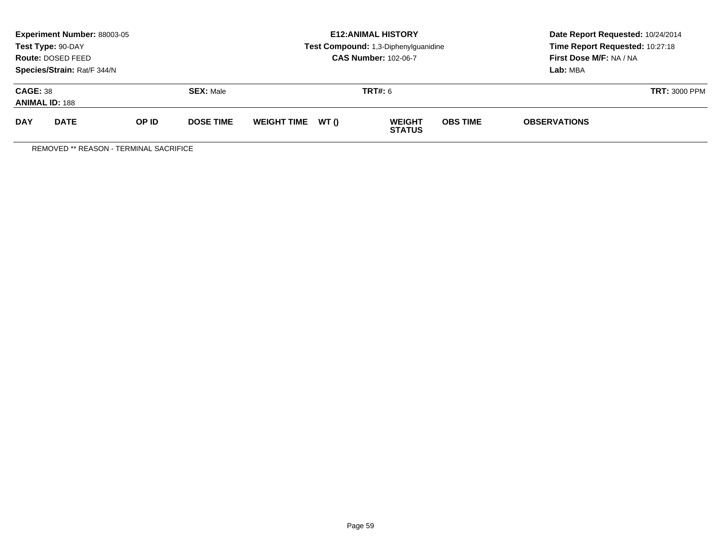|                                          | <b>Experiment Number: 88003-05</b><br>Test Type: 90-DAY<br>Route: DOSED FEED<br>Species/Strain: Rat/F 344/N |       |                  |                    |       | <b>E12: ANIMAL HISTORY</b><br>Test Compound: 1,3-Diphenylguanidine<br><b>CAS Number: 102-06-7</b> | Date Report Requested: 10/24/2014<br>Time Report Requested: 10:27:18<br>First Dose M/F: NA / NA<br>Lab: MBA |                      |  |
|------------------------------------------|-------------------------------------------------------------------------------------------------------------|-------|------------------|--------------------|-------|---------------------------------------------------------------------------------------------------|-------------------------------------------------------------------------------------------------------------|----------------------|--|
| <b>CAGE: 38</b><br><b>ANIMAL ID: 188</b> |                                                                                                             |       | <b>SEX: Male</b> |                    |       | <b>TRT#:</b> 6                                                                                    |                                                                                                             | <b>TRT: 3000 PPM</b> |  |
| <b>DAY</b>                               | <b>DATE</b>                                                                                                 | OP ID | <b>DOSE TIME</b> | <b>WEIGHT TIME</b> | WT () | <b>WEIGHT</b><br><b>STATUS</b>                                                                    | <b>OBS TIME</b>                                                                                             | <b>OBSERVATIONS</b>  |  |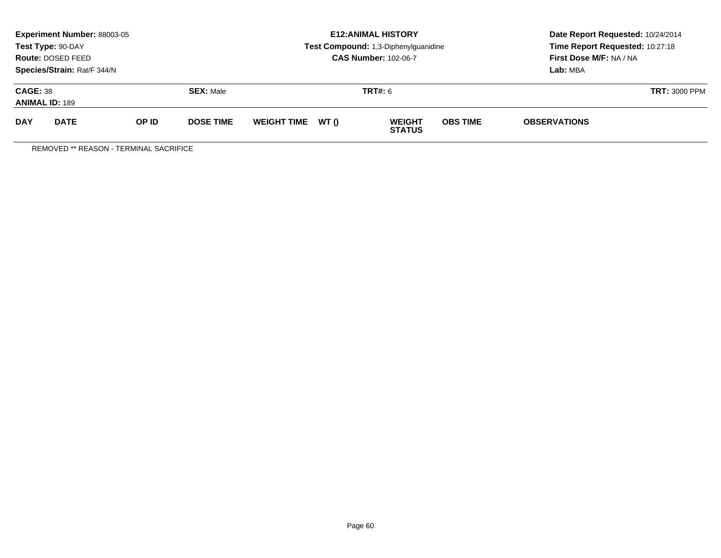|                                          | <b>Experiment Number: 88003-05</b><br>Test Type: 90-DAY<br>Route: DOSED FEED<br>Species/Strain: Rat/F 344/N |       |                  |                    |       | <b>E12: ANIMAL HISTORY</b><br>Test Compound: 1,3-Diphenylguanidine<br><b>CAS Number: 102-06-7</b> | Date Report Requested: 10/24/2014<br>Time Report Requested: 10:27:18<br>First Dose M/F: NA / NA<br>Lab: MBA |                     |  |
|------------------------------------------|-------------------------------------------------------------------------------------------------------------|-------|------------------|--------------------|-------|---------------------------------------------------------------------------------------------------|-------------------------------------------------------------------------------------------------------------|---------------------|--|
| <b>CAGE: 38</b><br><b>ANIMAL ID: 189</b> |                                                                                                             |       | <b>SEX: Male</b> |                    |       | <b>TRT#:</b> 6                                                                                    | <b>TRT: 3000 PPM</b>                                                                                        |                     |  |
| <b>DAY</b>                               | <b>DATE</b>                                                                                                 | OP ID | <b>DOSE TIME</b> | <b>WEIGHT TIME</b> | WT () | <b>WEIGHT</b><br><b>STATUS</b>                                                                    | <b>OBS TIME</b>                                                                                             | <b>OBSERVATIONS</b> |  |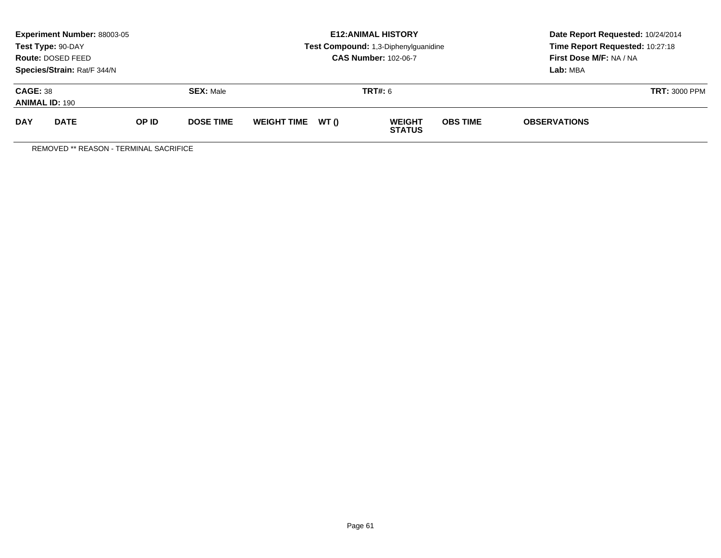| <b>Experiment Number: 88003-05</b><br>Test Type: 90-DAY<br>Route: DOSED FEED<br>Species/Strain: Rat/F 344/N |             |       |                  |                    |                | <b>E12: ANIMAL HISTORY</b><br>Test Compound: 1,3-Diphenylguanidine<br><b>CAS Number: 102-06-7</b> | Date Report Requested: 10/24/2014<br>Time Report Requested: 10:27:18<br>First Dose M/F: NA / NA<br>Lab: MBA |                     |  |
|-------------------------------------------------------------------------------------------------------------|-------------|-------|------------------|--------------------|----------------|---------------------------------------------------------------------------------------------------|-------------------------------------------------------------------------------------------------------------|---------------------|--|
| <b>CAGE: 38</b><br><b>SEX: Male</b><br><b>ANIMAL ID: 190</b>                                                |             |       |                  |                    | <b>TRT#:</b> 6 | <b>TRT: 3000 PPM</b>                                                                              |                                                                                                             |                     |  |
| <b>DAY</b>                                                                                                  | <b>DATE</b> | OP ID | <b>DOSE TIME</b> | <b>WEIGHT TIME</b> | WT ()          | <b>WEIGHT</b><br><b>STATUS</b>                                                                    | <b>OBS TIME</b>                                                                                             | <b>OBSERVATIONS</b> |  |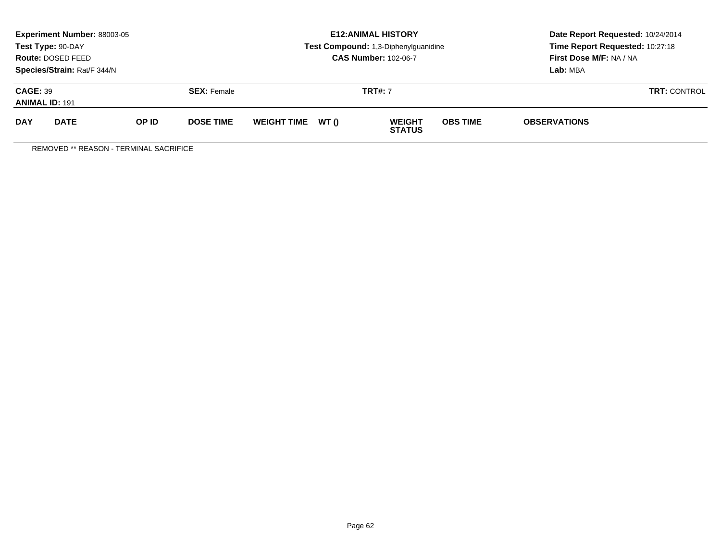| Experiment Number: 88003-05<br>Test Type: 90-DAY<br>Route: DOSED FEED<br>Species/Strain: Rat/F 344/N |             |       |                  |                   | <b>E12: ANIMAL HISTORY</b><br>Test Compound: 1,3-Diphenylguanidine<br><b>CAS Number: 102-06-7</b> | Date Report Requested: 10/24/2014<br>Time Report Requested: 10:27:18<br>First Dose M/F: NA / NA<br>Lab: MBA |
|------------------------------------------------------------------------------------------------------|-------------|-------|------------------|-------------------|---------------------------------------------------------------------------------------------------|-------------------------------------------------------------------------------------------------------------|
| <b>CAGE: 39</b><br><b>SEX: Female</b><br><b>ANIMAL ID: 191</b>                                       |             |       |                  | <b>TRT#: 7</b>    | <b>TRT: CONTROL</b>                                                                               |                                                                                                             |
| <b>DAY</b>                                                                                           | <b>DATE</b> | OP ID | <b>DOSE TIME</b> | WEIGHT TIME WT () | <b>OBS TIME</b><br><b>WEIGHT</b><br><b>STATUS</b>                                                 | <b>OBSERVATIONS</b>                                                                                         |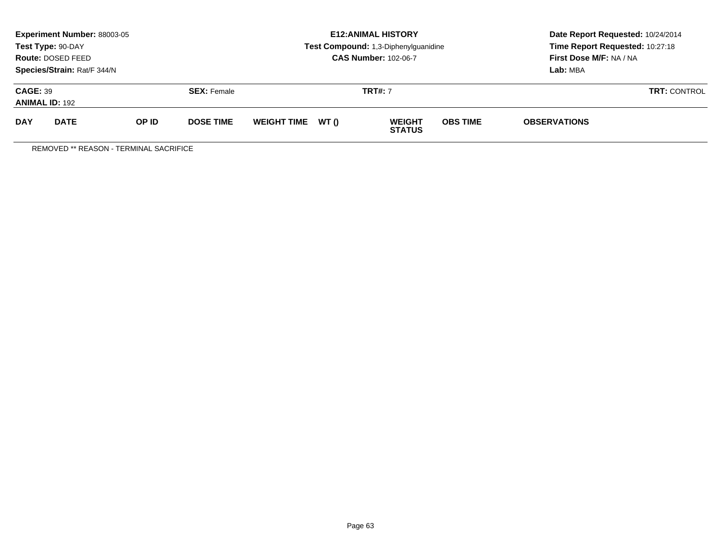| Experiment Number: 88003-05<br>Test Type: 90-DAY<br>Route: DOSED FEED<br>Species/Strain: Rat/F 344/N |             |       |                  |                   | <b>E12: ANIMAL HISTORY</b><br>Test Compound: 1,3-Diphenylguanidine<br><b>CAS Number: 102-06-7</b> | Date Report Requested: 10/24/2014<br>Time Report Requested: 10:27:18<br>First Dose M/F: NA / NA<br>Lab: MBA |
|------------------------------------------------------------------------------------------------------|-------------|-------|------------------|-------------------|---------------------------------------------------------------------------------------------------|-------------------------------------------------------------------------------------------------------------|
| <b>CAGE: 39</b><br><b>SEX: Female</b><br><b>ANIMAL ID: 192</b>                                       |             |       |                  | <b>TRT#: 7</b>    | <b>TRT: CONTROL</b>                                                                               |                                                                                                             |
| <b>DAY</b>                                                                                           | <b>DATE</b> | OP ID | <b>DOSE TIME</b> | WEIGHT TIME WT () | <b>OBS TIME</b><br><b>WEIGHT</b><br><b>STATUS</b>                                                 | <b>OBSERVATIONS</b>                                                                                         |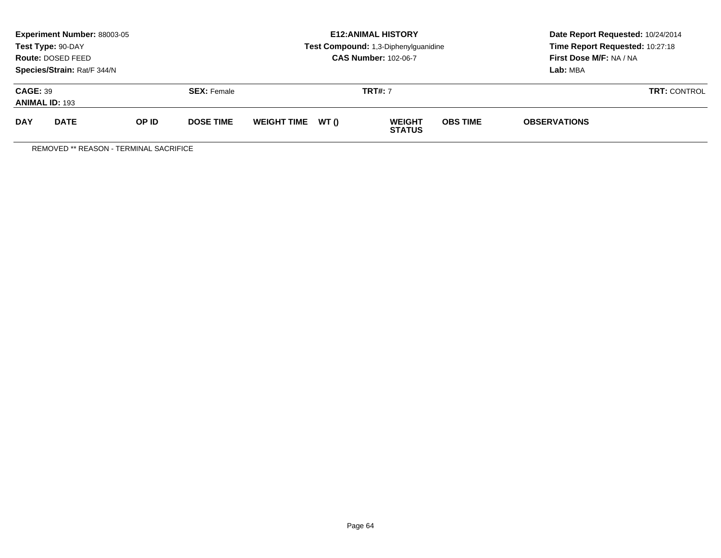| Experiment Number: 88003-05<br>Test Type: 90-DAY<br>Route: DOSED FEED<br>Species/Strain: Rat/F 344/N |             |       |                  |                   | <b>E12: ANIMAL HISTORY</b><br>Test Compound: 1,3-Diphenylguanidine<br><b>CAS Number: 102-06-7</b> | Date Report Requested: 10/24/2014<br>Time Report Requested: 10:27:18<br>First Dose M/F: NA / NA<br>Lab: MBA |  |
|------------------------------------------------------------------------------------------------------|-------------|-------|------------------|-------------------|---------------------------------------------------------------------------------------------------|-------------------------------------------------------------------------------------------------------------|--|
| <b>CAGE: 39</b><br><b>SEX: Female</b><br><b>ANIMAL ID: 193</b>                                       |             |       |                  | <b>TRT#: 7</b>    | <b>TRT: CONTROL</b>                                                                               |                                                                                                             |  |
| <b>DAY</b>                                                                                           | <b>DATE</b> | OP ID | <b>DOSE TIME</b> | WEIGHT TIME WT () | <b>OBS TIME</b><br><b>WEIGHT</b><br><b>STATUS</b>                                                 | <b>OBSERVATIONS</b>                                                                                         |  |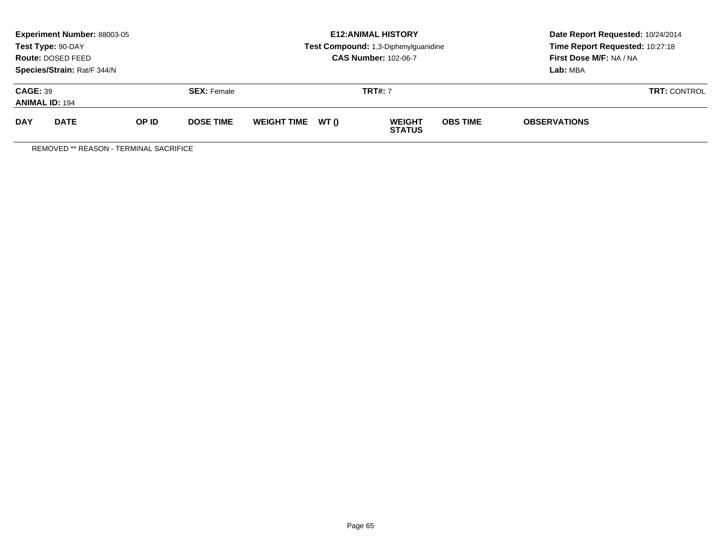| Experiment Number: 88003-05<br>Test Type: 90-DAY<br>Route: DOSED FEED<br>Species/Strain: Rat/F 344/N |             |       |                    |                    |       | <b>E12: ANIMAL HISTORY</b><br>Test Compound: 1,3-Diphenylguanidine<br><b>CAS Number: 102-06-7</b> | Date Report Requested: 10/24/2014<br>Time Report Requested: 10:27:18<br>First Dose M/F: NA / NA<br>Lab: MBA |                     |  |
|------------------------------------------------------------------------------------------------------|-------------|-------|--------------------|--------------------|-------|---------------------------------------------------------------------------------------------------|-------------------------------------------------------------------------------------------------------------|---------------------|--|
| <b>CAGE: 39</b><br><b>ANIMAL ID: 194</b>                                                             |             |       | <b>SEX:</b> Female | <b>TRT#: 7</b>     |       |                                                                                                   |                                                                                                             | <b>TRT: CONTROL</b> |  |
| <b>DAY</b>                                                                                           | <b>DATE</b> | OP ID | <b>DOSE TIME</b>   | <b>WEIGHT TIME</b> | WT () | <b>WEIGHT</b><br><b>STATUS</b>                                                                    | <b>OBS TIME</b>                                                                                             | <b>OBSERVATIONS</b> |  |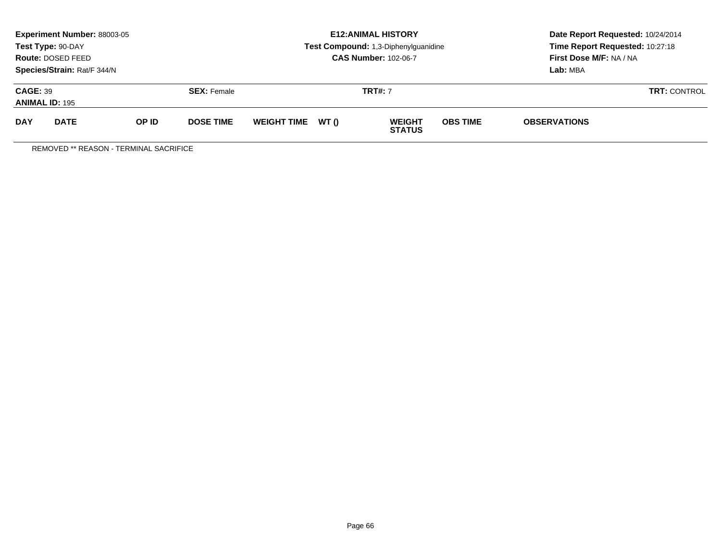| Experiment Number: 88003-05<br>Test Type: 90-DAY<br>Route: DOSED FEED<br>Species/Strain: Rat/F 344/N |             |       |                  |                   | <b>E12: ANIMAL HISTORY</b><br>Test Compound: 1,3-Diphenylguanidine<br><b>CAS Number: 102-06-7</b> | Date Report Requested: 10/24/2014<br>Time Report Requested: 10:27:18<br>First Dose M/F: NA / NA<br>Lab: MBA |  |
|------------------------------------------------------------------------------------------------------|-------------|-------|------------------|-------------------|---------------------------------------------------------------------------------------------------|-------------------------------------------------------------------------------------------------------------|--|
| <b>CAGE: 39</b><br><b>SEX: Female</b><br><b>ANIMAL ID: 195</b>                                       |             |       |                  | <b>TRT#: 7</b>    | <b>TRT: CONTROL</b>                                                                               |                                                                                                             |  |
| <b>DAY</b>                                                                                           | <b>DATE</b> | OP ID | <b>DOSE TIME</b> | WEIGHT TIME WT () | <b>OBS TIME</b><br><b>WEIGHT</b><br><b>STATUS</b>                                                 | <b>OBSERVATIONS</b>                                                                                         |  |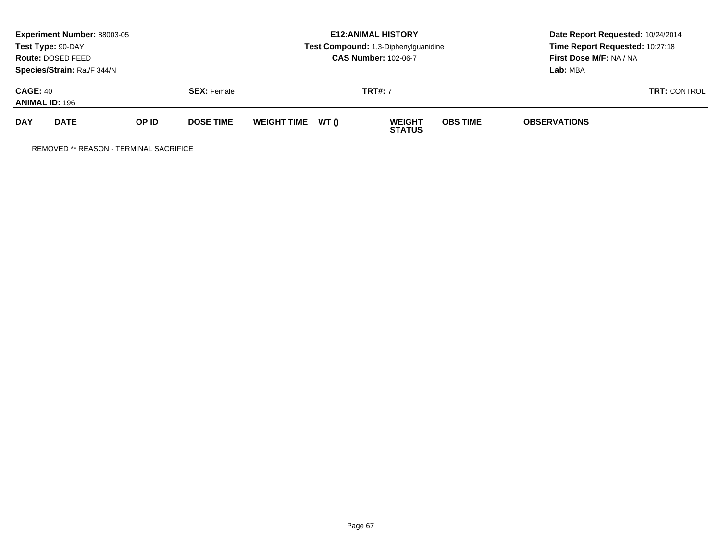| Experiment Number: 88003-05<br>Test Type: 90-DAY<br>Route: DOSED FEED<br>Species/Strain: Rat/F 344/N |             |       |                  |                   | <b>E12: ANIMAL HISTORY</b><br>Test Compound: 1,3-Diphenylguanidine<br><b>CAS Number: 102-06-7</b> | Date Report Requested: 10/24/2014<br>Time Report Requested: 10:27:18<br>First Dose M/F: NA / NA<br>Lab: MBA |
|------------------------------------------------------------------------------------------------------|-------------|-------|------------------|-------------------|---------------------------------------------------------------------------------------------------|-------------------------------------------------------------------------------------------------------------|
| <b>CAGE: 40</b><br><b>SEX: Female</b><br><b>ANIMAL ID: 196</b>                                       |             |       |                  | <b>TRT#: 7</b>    | <b>TRT: CONTROL</b>                                                                               |                                                                                                             |
| <b>DAY</b>                                                                                           | <b>DATE</b> | OP ID | <b>DOSE TIME</b> | WEIGHT TIME WT () | <b>OBS TIME</b><br><b>WEIGHT</b><br><b>STATUS</b>                                                 | <b>OBSERVATIONS</b>                                                                                         |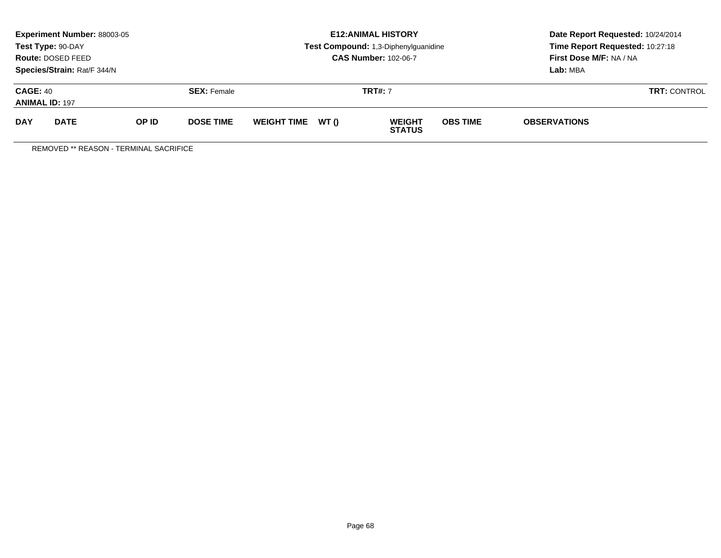| Experiment Number: 88003-05<br>Test Type: 90-DAY<br>Route: DOSED FEED<br>Species/Strain: Rat/F 344/N |             |       |                  |                   | <b>E12: ANIMAL HISTORY</b><br>Test Compound: 1,3-Diphenylguanidine<br><b>CAS Number: 102-06-7</b> | Date Report Requested: 10/24/2014<br>Time Report Requested: 10:27:18<br>First Dose M/F: NA / NA<br>Lab: MBA |
|------------------------------------------------------------------------------------------------------|-------------|-------|------------------|-------------------|---------------------------------------------------------------------------------------------------|-------------------------------------------------------------------------------------------------------------|
| <b>CAGE: 40</b><br><b>SEX: Female</b><br><b>ANIMAL ID: 197</b>                                       |             |       |                  | <b>TRT#: 7</b>    | <b>TRT: CONTROL</b>                                                                               |                                                                                                             |
| <b>DAY</b>                                                                                           | <b>DATE</b> | OP ID | <b>DOSE TIME</b> | WEIGHT TIME WT () | <b>OBS TIME</b><br><b>WEIGHT</b><br><b>STATUS</b>                                                 | <b>OBSERVATIONS</b>                                                                                         |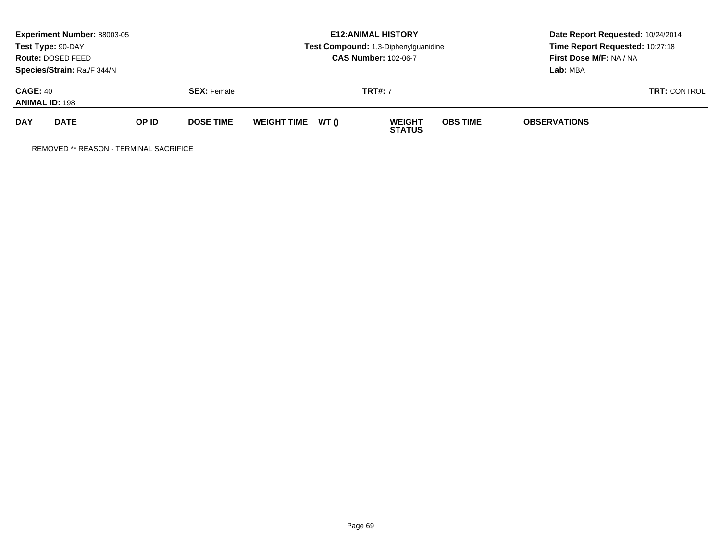| Experiment Number: 88003-05<br>Test Type: 90-DAY<br>Route: DOSED FEED<br>Species/Strain: Rat/F 344/N |             |       |                  |                   | <b>E12: ANIMAL HISTORY</b><br>Test Compound: 1,3-Diphenylguanidine<br><b>CAS Number: 102-06-7</b> | Date Report Requested: 10/24/2014<br>Time Report Requested: 10:27:18<br>First Dose M/F: NA / NA<br>Lab: MBA |
|------------------------------------------------------------------------------------------------------|-------------|-------|------------------|-------------------|---------------------------------------------------------------------------------------------------|-------------------------------------------------------------------------------------------------------------|
| <b>CAGE: 40</b><br><b>SEX: Female</b><br><b>ANIMAL ID: 198</b>                                       |             |       |                  | <b>TRT#: 7</b>    | <b>TRT: CONTROL</b>                                                                               |                                                                                                             |
| <b>DAY</b>                                                                                           | <b>DATE</b> | OP ID | <b>DOSE TIME</b> | WEIGHT TIME WT () | <b>OBS TIME</b><br><b>WEIGHT</b><br><b>STATUS</b>                                                 | <b>OBSERVATIONS</b>                                                                                         |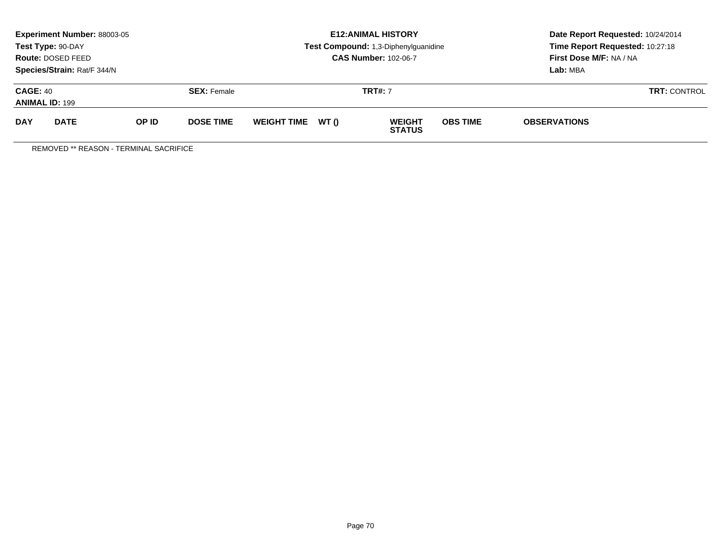| Experiment Number: 88003-05<br>Test Type: 90-DAY<br>Route: DOSED FEED<br>Species/Strain: Rat/F 344/N |             |       |                  |                   | <b>E12: ANIMAL HISTORY</b><br>Test Compound: 1,3-Diphenylguanidine<br><b>CAS Number: 102-06-7</b> | Date Report Requested: 10/24/2014<br>Time Report Requested: 10:27:18<br>First Dose M/F: NA / NA<br>Lab: MBA |
|------------------------------------------------------------------------------------------------------|-------------|-------|------------------|-------------------|---------------------------------------------------------------------------------------------------|-------------------------------------------------------------------------------------------------------------|
| <b>CAGE: 40</b><br><b>SEX: Female</b><br><b>ANIMAL ID: 199</b>                                       |             |       |                  | <b>TRT#: 7</b>    | <b>TRT: CONTROL</b>                                                                               |                                                                                                             |
| <b>DAY</b>                                                                                           | <b>DATE</b> | OP ID | <b>DOSE TIME</b> | WEIGHT TIME WT () | <b>OBS TIME</b><br><b>WEIGHT</b><br><b>STATUS</b>                                                 | <b>OBSERVATIONS</b>                                                                                         |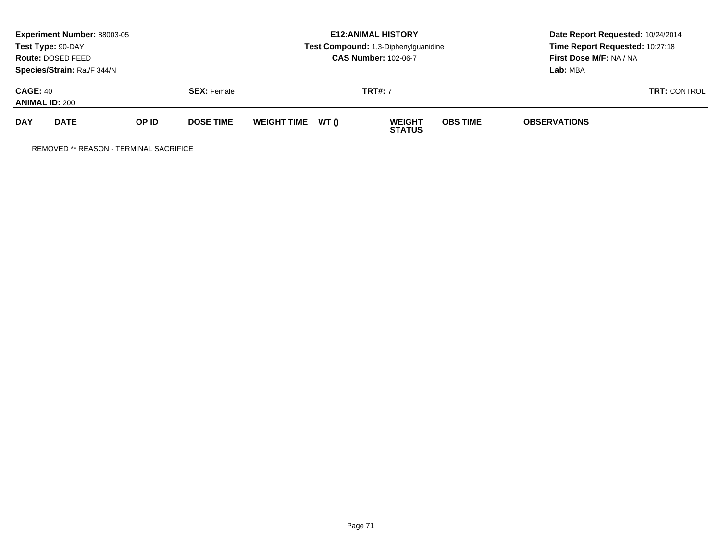| Experiment Number: 88003-05<br>Test Type: 90-DAY<br>Route: DOSED FEED<br>Species/Strain: Rat/F 344/N |             |       |                  |                   | <b>E12: ANIMAL HISTORY</b><br>Test Compound: 1,3-Diphenylguanidine<br><b>CAS Number: 102-06-7</b> | Date Report Requested: 10/24/2014<br>Time Report Requested: 10:27:18<br>First Dose M/F: NA / NA<br>Lab: MBA |
|------------------------------------------------------------------------------------------------------|-------------|-------|------------------|-------------------|---------------------------------------------------------------------------------------------------|-------------------------------------------------------------------------------------------------------------|
| <b>CAGE: 40</b><br><b>SEX: Female</b><br><b>ANIMAL ID: 200</b>                                       |             |       |                  | <b>TRT#: 7</b>    | <b>TRT: CONTROL</b>                                                                               |                                                                                                             |
| <b>DAY</b>                                                                                           | <b>DATE</b> | OP ID | <b>DOSE TIME</b> | WEIGHT TIME WT () | <b>OBS TIME</b><br><b>WEIGHT</b><br><b>STATUS</b>                                                 | <b>OBSERVATIONS</b>                                                                                         |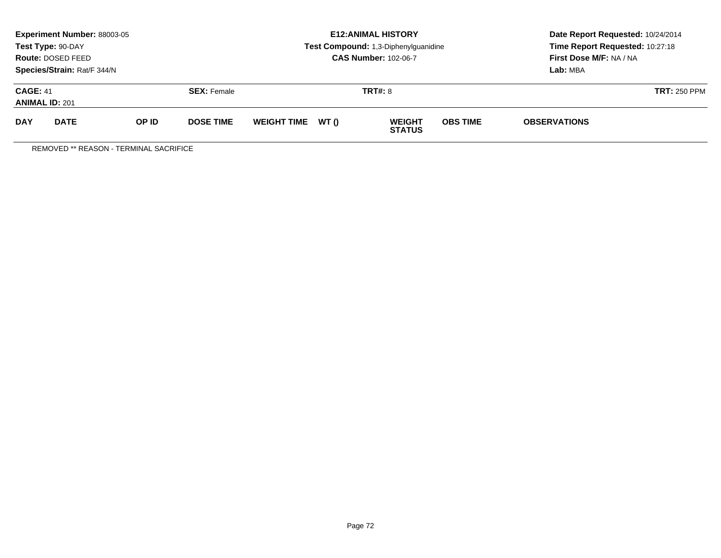| <b>Experiment Number: 88003-05</b><br>Test Type: 90-DAY<br>Route: DOSED FEED<br>Species/Strain: Rat/F 344/N |             |       |                  |                   |  | <b>E12:ANIMAL HISTORY</b><br>Test Compound: 1,3-Diphenylguanidine<br><b>CAS Number: 102-06-7</b> | Date Report Requested: 10/24/2014<br>Time Report Requested: 10:27:18<br>First Dose M/F: NA / NA<br>Lab: MBA |                     |  |
|-------------------------------------------------------------------------------------------------------------|-------------|-------|------------------|-------------------|--|--------------------------------------------------------------------------------------------------|-------------------------------------------------------------------------------------------------------------|---------------------|--|
| <b>CAGE: 41</b><br><b>SEX: Female</b><br><b>ANIMAL ID: 201</b>                                              |             |       | <b>TRT#: 8</b>   |                   |  |                                                                                                  | <b>TRT: 250 PPM</b>                                                                                         |                     |  |
| <b>DAY</b>                                                                                                  | <b>DATE</b> | OP ID | <b>DOSE TIME</b> | WEIGHT TIME WT () |  | <b>WEIGHT</b><br><b>STATUS</b>                                                                   | <b>OBS TIME</b>                                                                                             | <b>OBSERVATIONS</b> |  |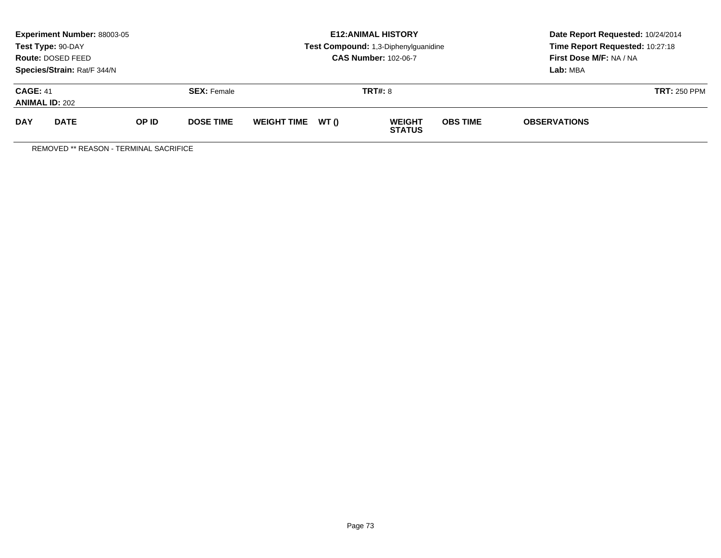|                                          | <b>Experiment Number: 88003-05</b><br>Test Type: 90-DAY<br>Route: DOSED FEED<br>Species/Strain: Rat/F 344/N |       |                    |                    |       | <b>E12:ANIMAL HISTORY</b><br>Test Compound: 1,3-Diphenylguanidine<br><b>CAS Number: 102-06-7</b> | Date Report Requested: 10/24/2014<br>Time Report Requested: 10:27:18<br>First Dose M/F: NA / NA<br>Lab: MBA |                     |                     |
|------------------------------------------|-------------------------------------------------------------------------------------------------------------|-------|--------------------|--------------------|-------|--------------------------------------------------------------------------------------------------|-------------------------------------------------------------------------------------------------------------|---------------------|---------------------|
| <b>CAGE: 41</b><br><b>ANIMAL ID: 202</b> |                                                                                                             |       | <b>SEX:</b> Female |                    |       | <b>TRT#: 8</b>                                                                                   |                                                                                                             |                     | <b>TRT: 250 PPM</b> |
| <b>DAY</b>                               | <b>DATE</b>                                                                                                 | OP ID | <b>DOSE TIME</b>   | <b>WEIGHT TIME</b> | WT () | <b>WEIGHT</b><br><b>STATUS</b>                                                                   | <b>OBS TIME</b>                                                                                             | <b>OBSERVATIONS</b> |                     |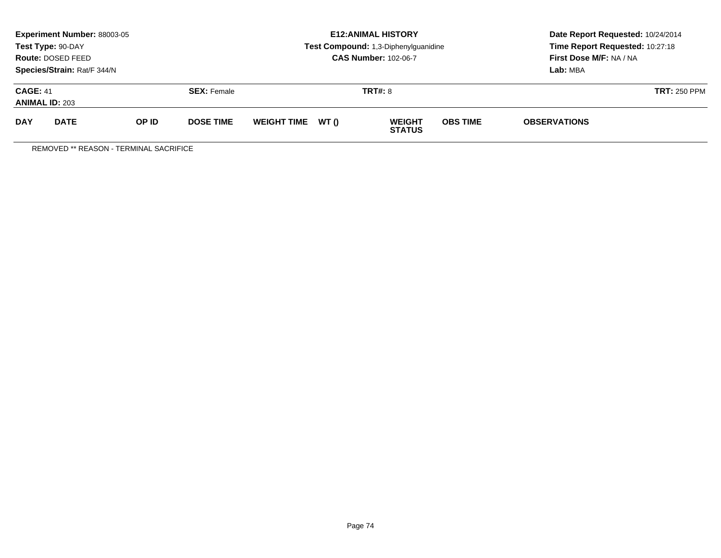|                                          | <b>Experiment Number: 88003-05</b><br>Test Type: 90-DAY<br>Route: DOSED FEED<br>Species/Strain: Rat/F 344/N |       |                    |                   |                | <b>E12:ANIMAL HISTORY</b><br>Test Compound: 1,3-Diphenylguanidine<br><b>CAS Number: 102-06-7</b> | Date Report Requested: 10/24/2014<br>Time Report Requested: 10:27:18<br>First Dose M/F: NA / NA<br>Lab: MBA |                     |                     |
|------------------------------------------|-------------------------------------------------------------------------------------------------------------|-------|--------------------|-------------------|----------------|--------------------------------------------------------------------------------------------------|-------------------------------------------------------------------------------------------------------------|---------------------|---------------------|
| <b>CAGE: 41</b><br><b>ANIMAL ID: 203</b> |                                                                                                             |       | <b>SEX: Female</b> |                   | <b>TRT#: 8</b> |                                                                                                  |                                                                                                             |                     | <b>TRT: 250 PPM</b> |
| <b>DAY</b>                               | <b>DATE</b>                                                                                                 | OP ID | <b>DOSE TIME</b>   | WEIGHT TIME WT () |                | <b>WEIGHT</b><br><b>STATUS</b>                                                                   | <b>OBS TIME</b>                                                                                             | <b>OBSERVATIONS</b> |                     |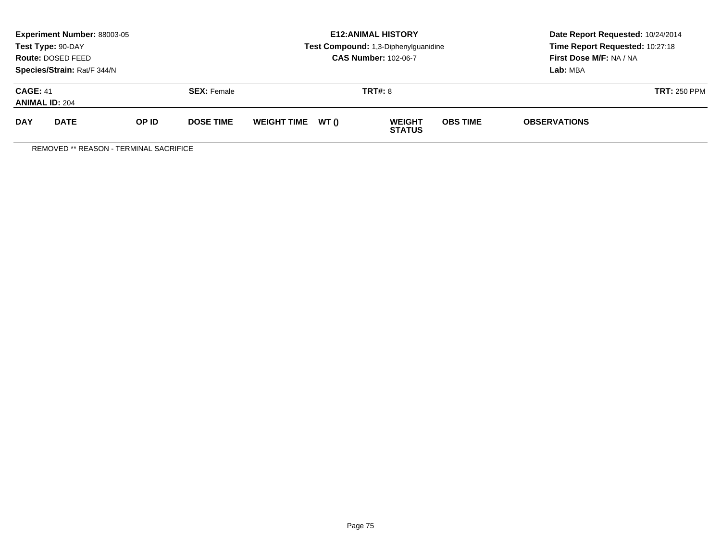|                                          | Experiment Number: 88003-05<br>Test Type: 90-DAY<br>Route: DOSED FEED<br>Species/Strain: Rat/F 344/N |       |                    |                    |                | <b>E12: ANIMAL HISTORY</b><br>Test Compound: 1,3-Diphenylguanidine<br><b>CAS Number: 102-06-7</b> | Date Report Requested: 10/24/2014<br>Time Report Requested: 10:27:18<br>First Dose M/F: NA / NA<br>Lab: MBA |                     |                     |
|------------------------------------------|------------------------------------------------------------------------------------------------------|-------|--------------------|--------------------|----------------|---------------------------------------------------------------------------------------------------|-------------------------------------------------------------------------------------------------------------|---------------------|---------------------|
| <b>CAGE: 41</b><br><b>ANIMAL ID: 204</b> |                                                                                                      |       | <b>SEX:</b> Female |                    | <b>TRT#: 8</b> |                                                                                                   |                                                                                                             |                     | <b>TRT: 250 PPM</b> |
| <b>DAY</b>                               | <b>DATE</b>                                                                                          | OP ID | <b>DOSE TIME</b>   | <b>WEIGHT TIME</b> | WT ()          | <b>WEIGHT</b><br><b>STATUS</b>                                                                    | <b>OBS TIME</b>                                                                                             | <b>OBSERVATIONS</b> |                     |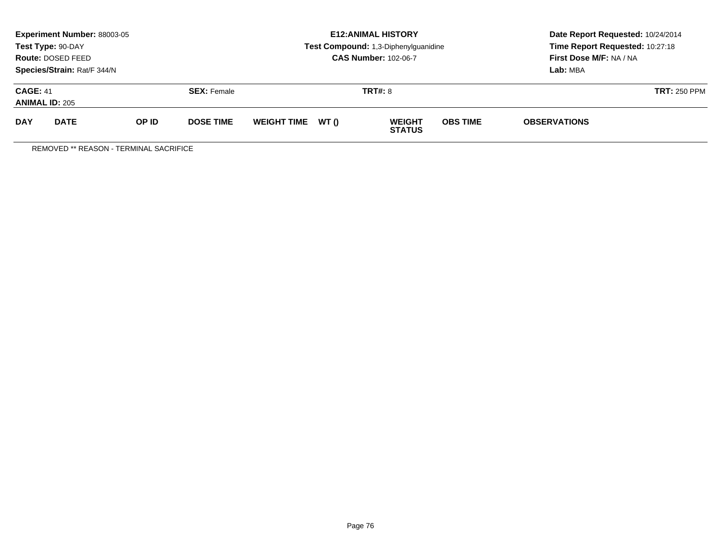|                                          | <b>Experiment Number: 88003-05</b><br>Test Type: 90-DAY<br>Route: DOSED FEED<br>Species/Strain: Rat/F 344/N |       |                    |                    |       | <b>E12:ANIMAL HISTORY</b><br>Test Compound: 1,3-Diphenylguanidine<br><b>CAS Number: 102-06-7</b> | Date Report Requested: 10/24/2014<br>Time Report Requested: 10:27:18<br>First Dose M/F: NA / NA<br>Lab: MBA |                     |  |
|------------------------------------------|-------------------------------------------------------------------------------------------------------------|-------|--------------------|--------------------|-------|--------------------------------------------------------------------------------------------------|-------------------------------------------------------------------------------------------------------------|---------------------|--|
| <b>CAGE: 41</b><br><b>ANIMAL ID: 205</b> |                                                                                                             |       | <b>SEX:</b> Female |                    |       | <b>TRT#: 8</b>                                                                                   |                                                                                                             | <b>TRT: 250 PPM</b> |  |
| <b>DAY</b>                               | <b>DATE</b>                                                                                                 | OP ID | <b>DOSE TIME</b>   | <b>WEIGHT TIME</b> | WT () | <b>WEIGHT</b><br><b>STATUS</b>                                                                   | <b>OBS TIME</b>                                                                                             | <b>OBSERVATIONS</b> |  |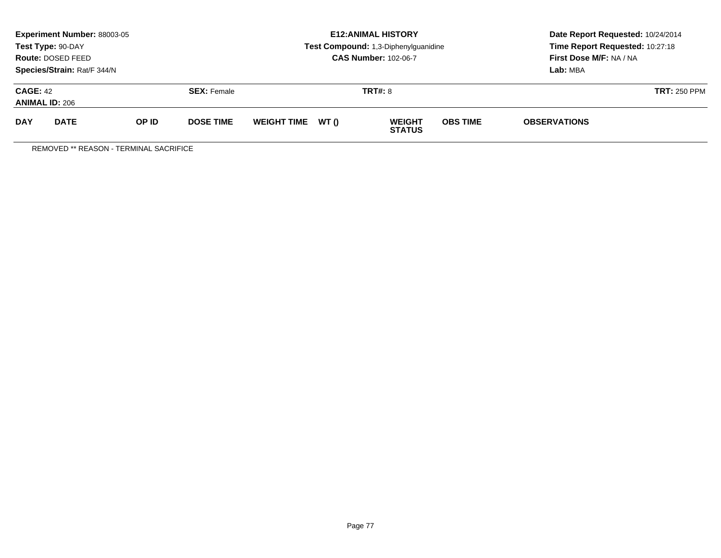|                                          | <b>Experiment Number: 88003-05</b><br>Test Type: 90-DAY<br>Route: DOSED FEED<br>Species/Strain: Rat/F 344/N |       |                    |                    |       | <b>E12:ANIMAL HISTORY</b><br>Test Compound: 1,3-Diphenylguanidine<br><b>CAS Number: 102-06-7</b> | Date Report Requested: 10/24/2014<br>Time Report Requested: 10:27:18<br>First Dose M/F: NA / NA<br>Lab: MBA |                     |                     |
|------------------------------------------|-------------------------------------------------------------------------------------------------------------|-------|--------------------|--------------------|-------|--------------------------------------------------------------------------------------------------|-------------------------------------------------------------------------------------------------------------|---------------------|---------------------|
| <b>CAGE: 42</b><br><b>ANIMAL ID: 206</b> |                                                                                                             |       | <b>SEX:</b> Female | <b>TRT#: 8</b>     |       |                                                                                                  |                                                                                                             |                     | <b>TRT: 250 PPM</b> |
| <b>DAY</b>                               | <b>DATE</b>                                                                                                 | OP ID | <b>DOSE TIME</b>   | <b>WEIGHT TIME</b> | WT () | <b>WEIGHT</b><br><b>STATUS</b>                                                                   | <b>OBS TIME</b>                                                                                             | <b>OBSERVATIONS</b> |                     |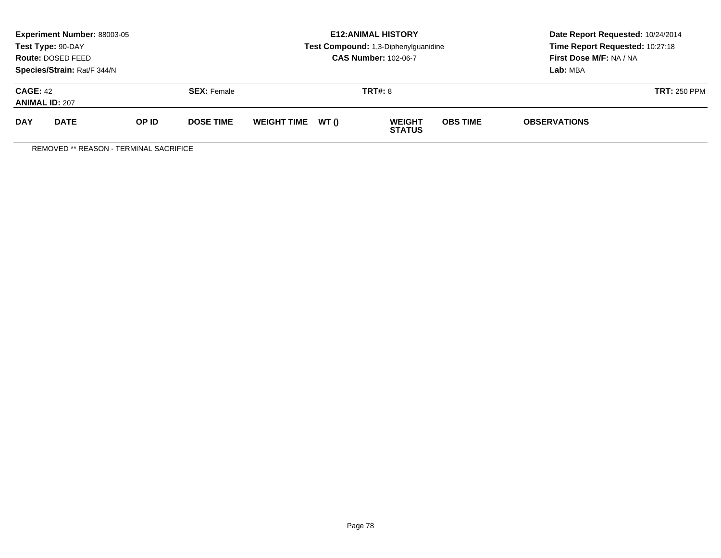|                                          | <b>Experiment Number: 88003-05</b><br>Test Type: 90-DAY<br>Route: DOSED FEED<br>Species/Strain: Rat/F 344/N |       |                    |                    |       | <b>E12:ANIMAL HISTORY</b><br>Test Compound: 1,3-Diphenylguanidine<br><b>CAS Number: 102-06-7</b> | Date Report Requested: 10/24/2014<br>Time Report Requested: 10:27:18<br>First Dose M/F: NA / NA<br>Lab: MBA |                     |                     |
|------------------------------------------|-------------------------------------------------------------------------------------------------------------|-------|--------------------|--------------------|-------|--------------------------------------------------------------------------------------------------|-------------------------------------------------------------------------------------------------------------|---------------------|---------------------|
| <b>CAGE: 42</b><br><b>ANIMAL ID: 207</b> |                                                                                                             |       | <b>SEX:</b> Female | <b>TRT#: 8</b>     |       |                                                                                                  |                                                                                                             |                     | <b>TRT: 250 PPM</b> |
| <b>DAY</b>                               | <b>DATE</b>                                                                                                 | OP ID | <b>DOSE TIME</b>   | <b>WEIGHT TIME</b> | WT () | <b>WEIGHT</b><br><b>STATUS</b>                                                                   | <b>OBS TIME</b>                                                                                             | <b>OBSERVATIONS</b> |                     |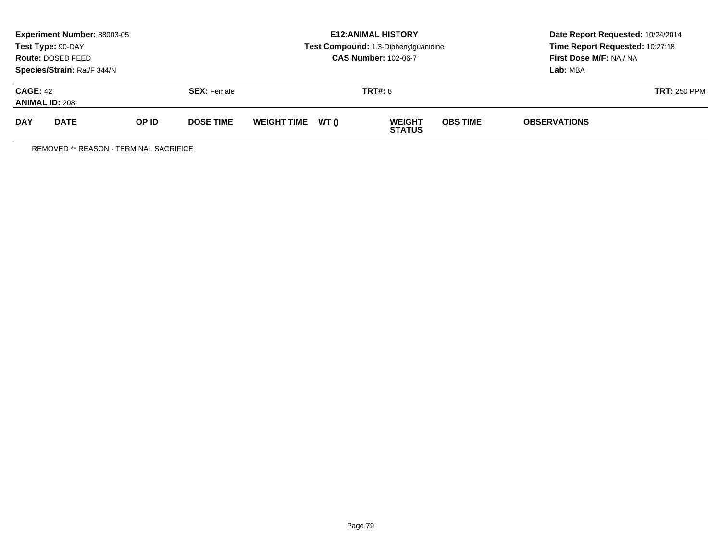|                                          | <b>Experiment Number: 88003-05</b><br>Test Type: 90-DAY<br>Route: DOSED FEED<br>Species/Strain: Rat/F 344/N |       |                    |                    |       | <b>E12:ANIMAL HISTORY</b><br>Test Compound: 1,3-Diphenylguanidine<br><b>CAS Number: 102-06-7</b> | Date Report Requested: 10/24/2014<br>Time Report Requested: 10:27:18<br>First Dose M/F: NA / NA<br>Lab: MBA |                     |                     |
|------------------------------------------|-------------------------------------------------------------------------------------------------------------|-------|--------------------|--------------------|-------|--------------------------------------------------------------------------------------------------|-------------------------------------------------------------------------------------------------------------|---------------------|---------------------|
| <b>CAGE: 42</b><br><b>ANIMAL ID: 208</b> |                                                                                                             |       | <b>SEX:</b> Female | <b>TRT#: 8</b>     |       |                                                                                                  |                                                                                                             |                     | <b>TRT: 250 PPM</b> |
| <b>DAY</b>                               | <b>DATE</b>                                                                                                 | OP ID | <b>DOSE TIME</b>   | <b>WEIGHT TIME</b> | WT () | <b>WEIGHT</b><br><b>STATUS</b>                                                                   | <b>OBS TIME</b>                                                                                             | <b>OBSERVATIONS</b> |                     |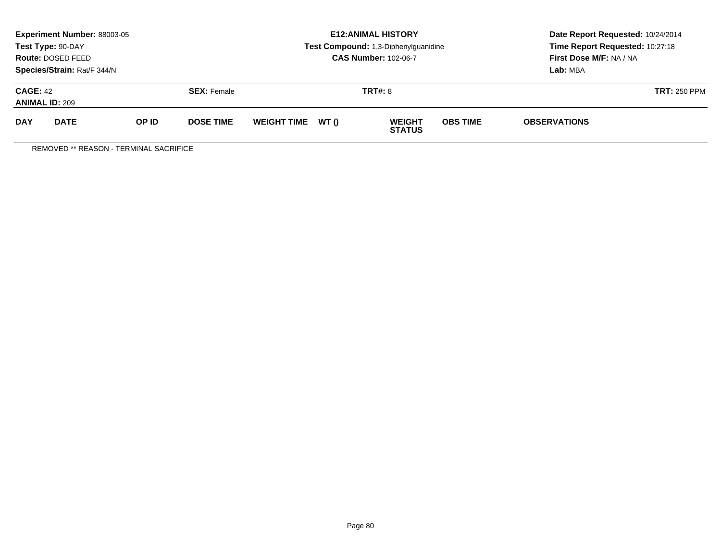|                                          | <b>Experiment Number: 88003-05</b><br>Test Type: 90-DAY<br>Route: DOSED FEED<br>Species/Strain: Rat/F 344/N |       |                    |                    |       | <b>E12:ANIMAL HISTORY</b><br>Test Compound: 1,3-Diphenylguanidine<br><b>CAS Number: 102-06-7</b> | Date Report Requested: 10/24/2014<br>Time Report Requested: 10:27:18<br>First Dose M/F: NA / NA<br>Lab: MBA |                     |                     |
|------------------------------------------|-------------------------------------------------------------------------------------------------------------|-------|--------------------|--------------------|-------|--------------------------------------------------------------------------------------------------|-------------------------------------------------------------------------------------------------------------|---------------------|---------------------|
| <b>CAGE: 42</b><br><b>ANIMAL ID: 209</b> |                                                                                                             |       | <b>SEX:</b> Female |                    |       | <b>TRT#: 8</b>                                                                                   |                                                                                                             |                     | <b>TRT: 250 PPM</b> |
| <b>DAY</b>                               | <b>DATE</b>                                                                                                 | OP ID | <b>DOSE TIME</b>   | <b>WEIGHT TIME</b> | WT () | <b>WEIGHT</b><br><b>STATUS</b>                                                                   | <b>OBS TIME</b>                                                                                             | <b>OBSERVATIONS</b> |                     |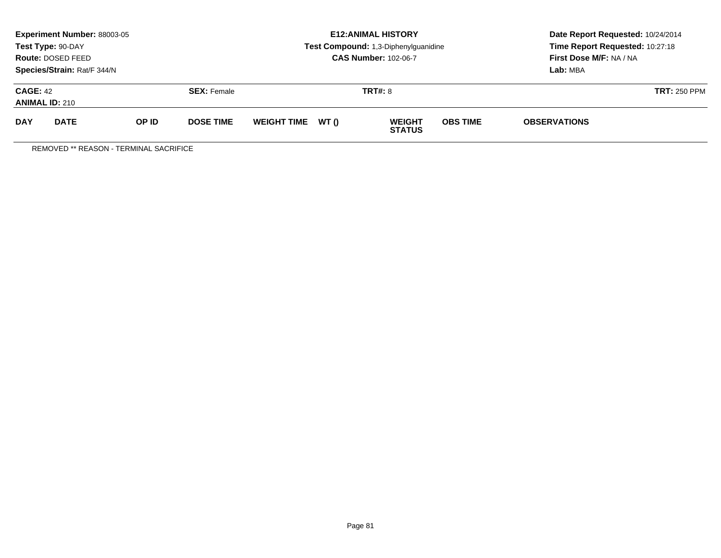|                                          | <b>Experiment Number: 88003-05</b><br>Test Type: 90-DAY<br>Route: DOSED FEED<br>Species/Strain: Rat/F 344/N |       |                    |                    |       | <b>E12:ANIMAL HISTORY</b><br>Test Compound: 1,3-Diphenylguanidine<br><b>CAS Number: 102-06-7</b> | Date Report Requested: 10/24/2014<br>Time Report Requested: 10:27:18<br>First Dose M/F: NA / NA<br>Lab: MBA |                     |                     |
|------------------------------------------|-------------------------------------------------------------------------------------------------------------|-------|--------------------|--------------------|-------|--------------------------------------------------------------------------------------------------|-------------------------------------------------------------------------------------------------------------|---------------------|---------------------|
| <b>CAGE: 42</b><br><b>ANIMAL ID: 210</b> |                                                                                                             |       | <b>SEX:</b> Female |                    |       | <b>TRT#: 8</b>                                                                                   |                                                                                                             |                     | <b>TRT: 250 PPM</b> |
| <b>DAY</b>                               | <b>DATE</b>                                                                                                 | OP ID | <b>DOSE TIME</b>   | <b>WEIGHT TIME</b> | WT () | <b>WEIGHT</b><br><b>STATUS</b>                                                                   | <b>OBS TIME</b>                                                                                             | <b>OBSERVATIONS</b> |                     |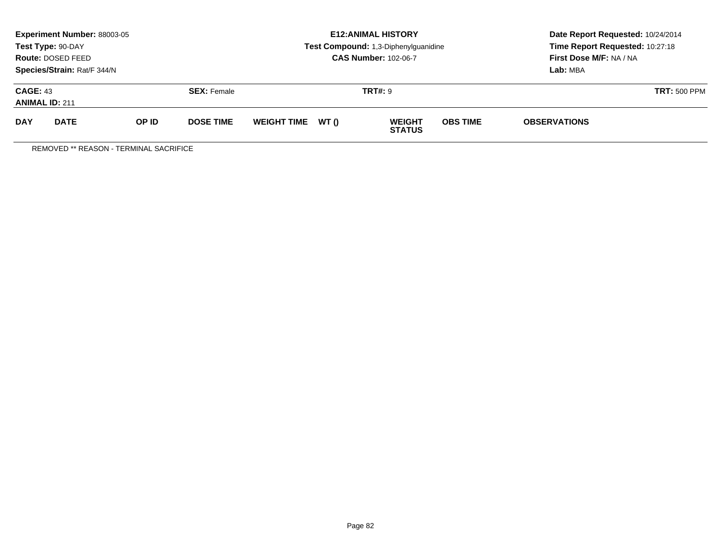|                                          | <b>Experiment Number: 88003-05</b><br>Test Type: 90-DAY<br>Route: DOSED FEED<br>Species/Strain: Rat/F 344/N |              |                    |                    |       | <b>E12:ANIMAL HISTORY</b><br>Test Compound: 1,3-Diphenylguanidine<br><b>CAS Number: 102-06-7</b> | Date Report Requested: 10/24/2014<br>Time Report Requested: 10:27:18<br>First Dose M/F: NA / NA<br>Lab: MBA |                     |                     |
|------------------------------------------|-------------------------------------------------------------------------------------------------------------|--------------|--------------------|--------------------|-------|--------------------------------------------------------------------------------------------------|-------------------------------------------------------------------------------------------------------------|---------------------|---------------------|
| <b>CAGE: 43</b><br><b>ANIMAL ID: 211</b> |                                                                                                             |              | <b>SEX:</b> Female |                    |       | <b>TRT#: 9</b>                                                                                   |                                                                                                             |                     | <b>TRT: 500 PPM</b> |
| <b>DAY</b>                               | <b>DATE</b>                                                                                                 | <b>OP ID</b> | <b>DOSE TIME</b>   | <b>WEIGHT TIME</b> | WT () | <b>WEIGHT</b><br><b>STATUS</b>                                                                   | <b>OBS TIME</b>                                                                                             | <b>OBSERVATIONS</b> |                     |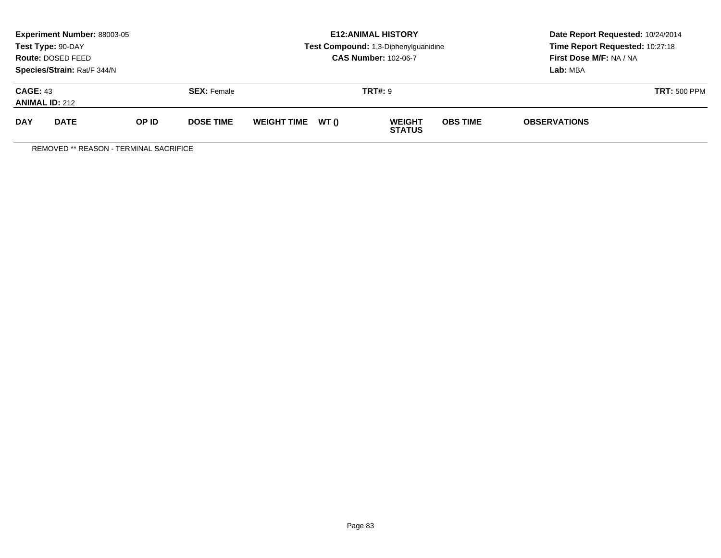|                                          | <b>Experiment Number: 88003-05</b><br>Test Type: 90-DAY<br>Route: DOSED FEED<br>Species/Strain: Rat/F 344/N |              |                    |                    |       | <b>E12:ANIMAL HISTORY</b><br>Test Compound: 1,3-Diphenylguanidine<br><b>CAS Number: 102-06-7</b> | Date Report Requested: 10/24/2014<br>Time Report Requested: 10:27:18<br>First Dose M/F: NA / NA<br>Lab: MBA |                     |                     |
|------------------------------------------|-------------------------------------------------------------------------------------------------------------|--------------|--------------------|--------------------|-------|--------------------------------------------------------------------------------------------------|-------------------------------------------------------------------------------------------------------------|---------------------|---------------------|
| <b>CAGE: 43</b><br><b>ANIMAL ID: 212</b> |                                                                                                             |              | <b>SEX:</b> Female |                    |       | <b>TRT#: 9</b>                                                                                   |                                                                                                             |                     | <b>TRT: 500 PPM</b> |
| <b>DAY</b>                               | <b>DATE</b>                                                                                                 | <b>OP ID</b> | <b>DOSE TIME</b>   | <b>WEIGHT TIME</b> | WT () | <b>WEIGHT</b><br><b>STATUS</b>                                                                   | <b>OBS TIME</b>                                                                                             | <b>OBSERVATIONS</b> |                     |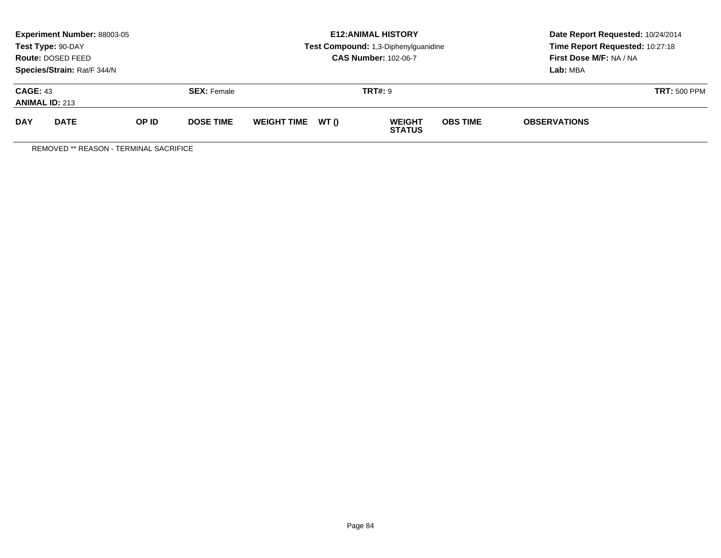|                                          | <b>Experiment Number: 88003-05</b><br>Test Type: 90-DAY<br>Route: DOSED FEED<br>Species/Strain: Rat/F 344/N |              |                    |                    |       | <b>E12:ANIMAL HISTORY</b><br>Test Compound: 1,3-Diphenylguanidine<br><b>CAS Number: 102-06-7</b> | Date Report Requested: 10/24/2014<br>Time Report Requested: 10:27:18<br>First Dose M/F: NA / NA<br>Lab: MBA |                     |                     |
|------------------------------------------|-------------------------------------------------------------------------------------------------------------|--------------|--------------------|--------------------|-------|--------------------------------------------------------------------------------------------------|-------------------------------------------------------------------------------------------------------------|---------------------|---------------------|
| <b>CAGE: 43</b><br><b>ANIMAL ID: 213</b> |                                                                                                             |              | <b>SEX:</b> Female |                    |       | <b>TRT#: 9</b>                                                                                   |                                                                                                             |                     | <b>TRT: 500 PPM</b> |
| <b>DAY</b>                               | <b>DATE</b>                                                                                                 | <b>OP ID</b> | <b>DOSE TIME</b>   | <b>WEIGHT TIME</b> | WT () | <b>WEIGHT</b><br><b>STATUS</b>                                                                   | <b>OBS TIME</b>                                                                                             | <b>OBSERVATIONS</b> |                     |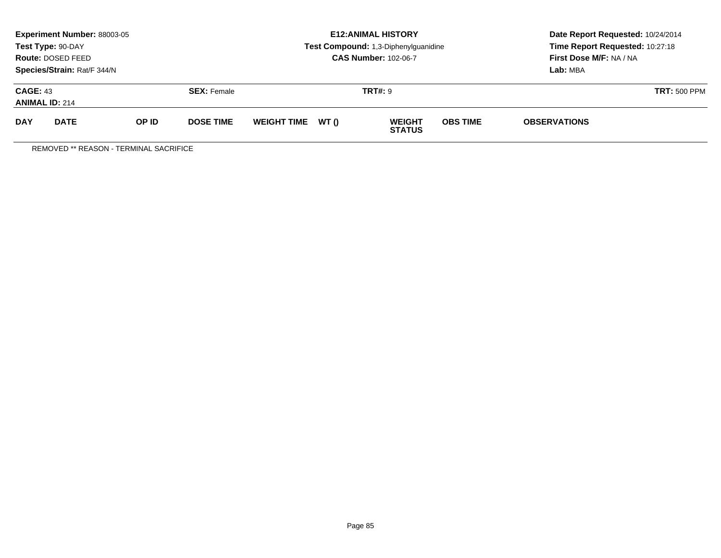|                                          | <b>Experiment Number: 88003-05</b><br>Test Type: 90-DAY<br>Route: DOSED FEED<br>Species/Strain: Rat/F 344/N |              |                    |                    |       | <b>E12:ANIMAL HISTORY</b><br>Test Compound: 1,3-Diphenylguanidine<br><b>CAS Number: 102-06-7</b> | Date Report Requested: 10/24/2014<br>Time Report Requested: 10:27:18<br>First Dose M/F: NA / NA<br>Lab: MBA |                     |                     |
|------------------------------------------|-------------------------------------------------------------------------------------------------------------|--------------|--------------------|--------------------|-------|--------------------------------------------------------------------------------------------------|-------------------------------------------------------------------------------------------------------------|---------------------|---------------------|
| <b>CAGE: 43</b><br><b>ANIMAL ID: 214</b> |                                                                                                             |              | <b>SEX:</b> Female |                    |       | <b>TRT#: 9</b>                                                                                   |                                                                                                             |                     | <b>TRT: 500 PPM</b> |
| <b>DAY</b>                               | <b>DATE</b>                                                                                                 | <b>OP ID</b> | <b>DOSE TIME</b>   | <b>WEIGHT TIME</b> | WT () | <b>WEIGHT</b><br><b>STATUS</b>                                                                   | <b>OBS TIME</b>                                                                                             | <b>OBSERVATIONS</b> |                     |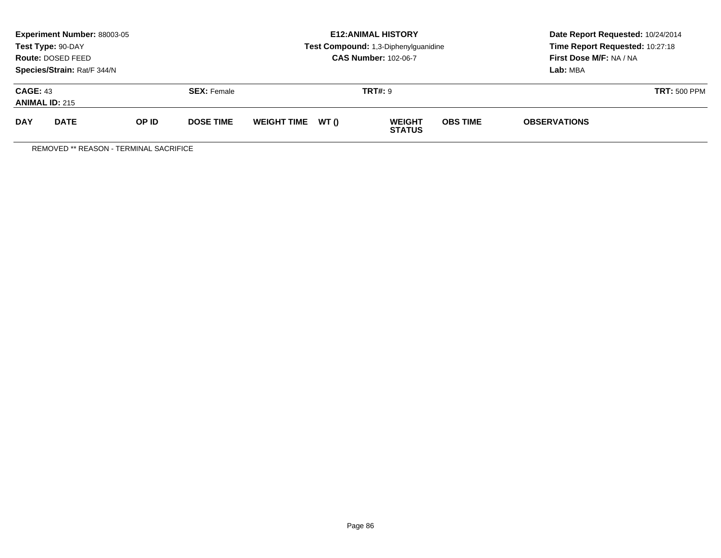|                                          | <b>Experiment Number: 88003-05</b><br>Test Type: 90-DAY<br>Route: DOSED FEED<br>Species/Strain: Rat/F 344/N |       |                    |                    |       | <b>E12:ANIMAL HISTORY</b><br>Test Compound: 1,3-Diphenylguanidine<br><b>CAS Number: 102-06-7</b> | Date Report Requested: 10/24/2014<br>Time Report Requested: 10:27:18<br>First Dose M/F: NA / NA<br>Lab: MBA |                     |                     |
|------------------------------------------|-------------------------------------------------------------------------------------------------------------|-------|--------------------|--------------------|-------|--------------------------------------------------------------------------------------------------|-------------------------------------------------------------------------------------------------------------|---------------------|---------------------|
| <b>CAGE: 43</b><br><b>ANIMAL ID: 215</b> |                                                                                                             |       | <b>SEX: Female</b> | <b>TRT#: 9</b>     |       |                                                                                                  |                                                                                                             |                     | <b>TRT: 500 PPM</b> |
| <b>DAY</b>                               | <b>DATE</b>                                                                                                 | OP ID | <b>DOSE TIME</b>   | <b>WEIGHT TIME</b> | WT () | <b>WEIGHT</b><br><b>STATUS</b>                                                                   | <b>OBS TIME</b>                                                                                             | <b>OBSERVATIONS</b> |                     |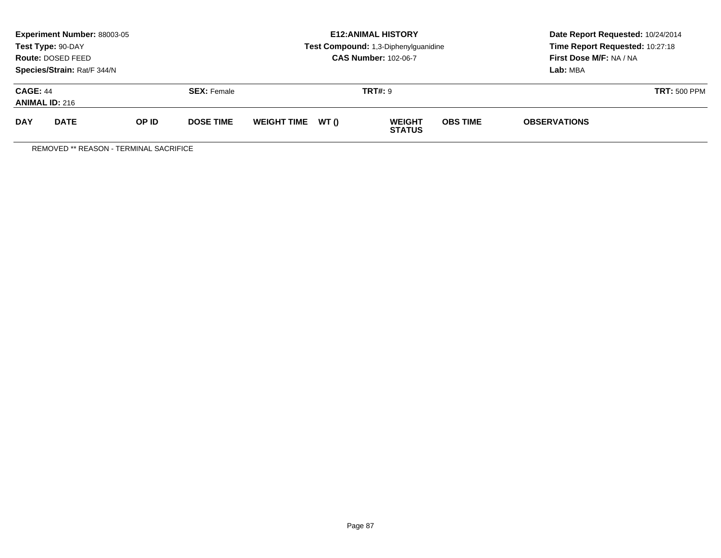|                                          | <b>Experiment Number: 88003-05</b><br>Test Type: 90-DAY<br>Route: DOSED FEED<br>Species/Strain: Rat/F 344/N |              |                    |                    |       | <b>E12:ANIMAL HISTORY</b><br>Test Compound: 1,3-Diphenylguanidine<br><b>CAS Number: 102-06-7</b> | Date Report Requested: 10/24/2014<br>Time Report Requested: 10:27:18<br>First Dose M/F: NA / NA<br>Lab: MBA |                     |  |
|------------------------------------------|-------------------------------------------------------------------------------------------------------------|--------------|--------------------|--------------------|-------|--------------------------------------------------------------------------------------------------|-------------------------------------------------------------------------------------------------------------|---------------------|--|
| <b>CAGE: 44</b><br><b>ANIMAL ID: 216</b> |                                                                                                             |              | <b>SEX:</b> Female |                    |       | <b>TRT#: 9</b>                                                                                   |                                                                                                             | <b>TRT: 500 PPM</b> |  |
| <b>DAY</b>                               | <b>DATE</b>                                                                                                 | <b>OP ID</b> | <b>DOSE TIME</b>   | <b>WEIGHT TIME</b> | WT () | <b>WEIGHT</b><br><b>STATUS</b>                                                                   | <b>OBS TIME</b>                                                                                             | <b>OBSERVATIONS</b> |  |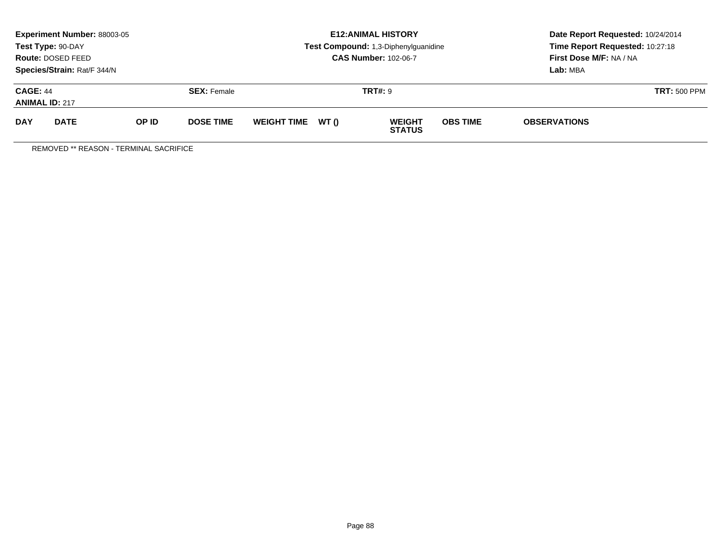|                                          | <b>Experiment Number: 88003-05</b><br>Test Type: 90-DAY<br>Route: DOSED FEED<br>Species/Strain: Rat/F 344/N |              |                    |                    |       | <b>E12:ANIMAL HISTORY</b><br>Test Compound: 1,3-Diphenylguanidine<br><b>CAS Number: 102-06-7</b> | Date Report Requested: 10/24/2014<br>Time Report Requested: 10:27:18<br>First Dose M/F: NA / NA<br>Lab: MBA |                     |                     |
|------------------------------------------|-------------------------------------------------------------------------------------------------------------|--------------|--------------------|--------------------|-------|--------------------------------------------------------------------------------------------------|-------------------------------------------------------------------------------------------------------------|---------------------|---------------------|
| <b>CAGE: 44</b><br><b>ANIMAL ID: 217</b> |                                                                                                             |              | <b>SEX:</b> Female |                    |       | <b>TRT#: 9</b>                                                                                   |                                                                                                             |                     | <b>TRT: 500 PPM</b> |
| <b>DAY</b>                               | <b>DATE</b>                                                                                                 | <b>OP ID</b> | <b>DOSE TIME</b>   | <b>WEIGHT TIME</b> | WT () | <b>WEIGHT</b><br><b>STATUS</b>                                                                   | <b>OBS TIME</b>                                                                                             | <b>OBSERVATIONS</b> |                     |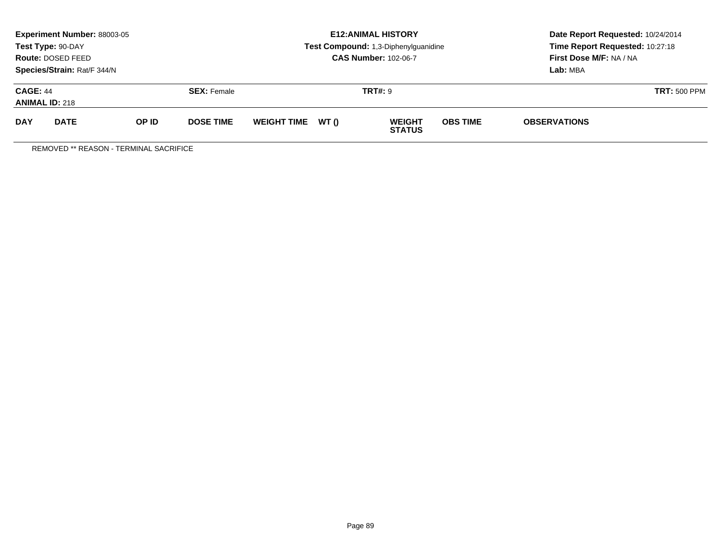|                                          | <b>Experiment Number: 88003-05</b><br>Test Type: 90-DAY<br>Route: DOSED FEED<br>Species/Strain: Rat/F 344/N |              |                    |                    |       | <b>E12:ANIMAL HISTORY</b><br>Test Compound: 1,3-Diphenylguanidine<br><b>CAS Number: 102-06-7</b> | Date Report Requested: 10/24/2014<br>Time Report Requested: 10:27:18<br>First Dose M/F: NA / NA<br>Lab: MBA |                     |                     |
|------------------------------------------|-------------------------------------------------------------------------------------------------------------|--------------|--------------------|--------------------|-------|--------------------------------------------------------------------------------------------------|-------------------------------------------------------------------------------------------------------------|---------------------|---------------------|
| <b>CAGE: 44</b><br><b>ANIMAL ID: 218</b> |                                                                                                             |              | <b>SEX:</b> Female |                    |       | <b>TRT#: 9</b>                                                                                   |                                                                                                             |                     | <b>TRT: 500 PPM</b> |
| <b>DAY</b>                               | <b>DATE</b>                                                                                                 | <b>OP ID</b> | <b>DOSE TIME</b>   | <b>WEIGHT TIME</b> | WT () | <b>WEIGHT</b><br><b>STATUS</b>                                                                   | <b>OBS TIME</b>                                                                                             | <b>OBSERVATIONS</b> |                     |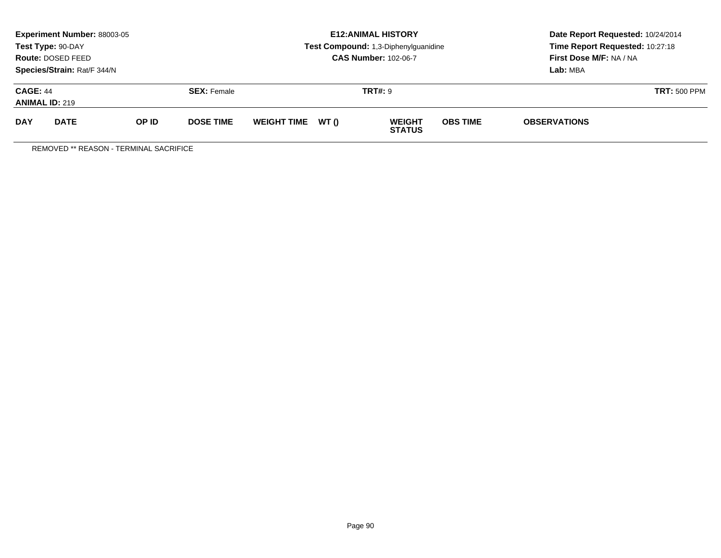|                                          | <b>Experiment Number: 88003-05</b><br>Test Type: 90-DAY<br>Route: DOSED FEED<br>Species/Strain: Rat/F 344/N |       |                    |                    |       | <b>E12:ANIMAL HISTORY</b><br>Test Compound: 1,3-Diphenylguanidine<br><b>CAS Number: 102-06-7</b> | Date Report Requested: 10/24/2014<br>Time Report Requested: 10:27:18<br>First Dose M/F: NA / NA<br>Lab: MBA |                     |                     |
|------------------------------------------|-------------------------------------------------------------------------------------------------------------|-------|--------------------|--------------------|-------|--------------------------------------------------------------------------------------------------|-------------------------------------------------------------------------------------------------------------|---------------------|---------------------|
| <b>CAGE: 44</b><br><b>ANIMAL ID: 219</b> |                                                                                                             |       | <b>SEX: Female</b> | <b>TRT#: 9</b>     |       |                                                                                                  |                                                                                                             |                     | <b>TRT: 500 PPM</b> |
| <b>DAY</b>                               | <b>DATE</b>                                                                                                 | OP ID | <b>DOSE TIME</b>   | <b>WEIGHT TIME</b> | WT () | <b>WEIGHT</b><br><b>STATUS</b>                                                                   | <b>OBS TIME</b>                                                                                             | <b>OBSERVATIONS</b> |                     |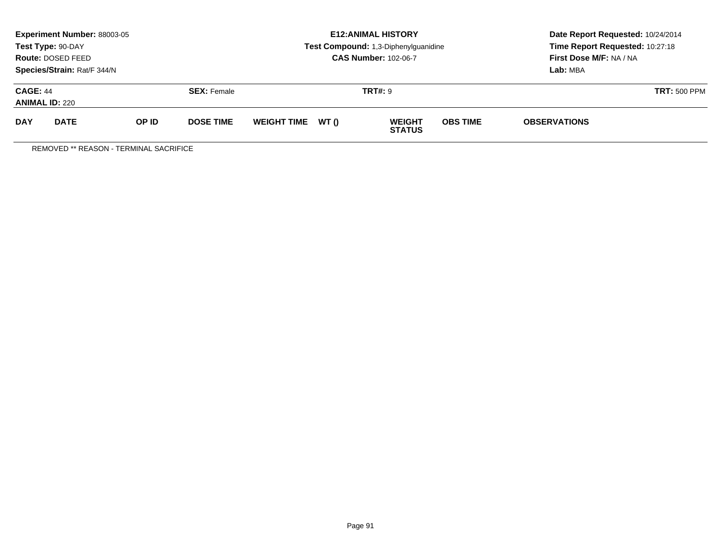|                                          | <b>Experiment Number: 88003-05</b><br>Test Type: 90-DAY<br>Route: DOSED FEED<br>Species/Strain: Rat/F 344/N |              |                    |                    |       | <b>E12:ANIMAL HISTORY</b><br>Test Compound: 1,3-Diphenylguanidine<br><b>CAS Number: 102-06-7</b> | Date Report Requested: 10/24/2014<br>Time Report Requested: 10:27:18<br>First Dose M/F: NA / NA<br>Lab: MBA |                     |                     |
|------------------------------------------|-------------------------------------------------------------------------------------------------------------|--------------|--------------------|--------------------|-------|--------------------------------------------------------------------------------------------------|-------------------------------------------------------------------------------------------------------------|---------------------|---------------------|
| <b>CAGE: 44</b><br><b>ANIMAL ID: 220</b> |                                                                                                             |              | <b>SEX:</b> Female |                    |       | <b>TRT#: 9</b>                                                                                   |                                                                                                             |                     | <b>TRT: 500 PPM</b> |
| <b>DAY</b>                               | <b>DATE</b>                                                                                                 | <b>OP ID</b> | <b>DOSE TIME</b>   | <b>WEIGHT TIME</b> | WT () | <b>WEIGHT</b><br><b>STATUS</b>                                                                   | <b>OBS TIME</b>                                                                                             | <b>OBSERVATIONS</b> |                     |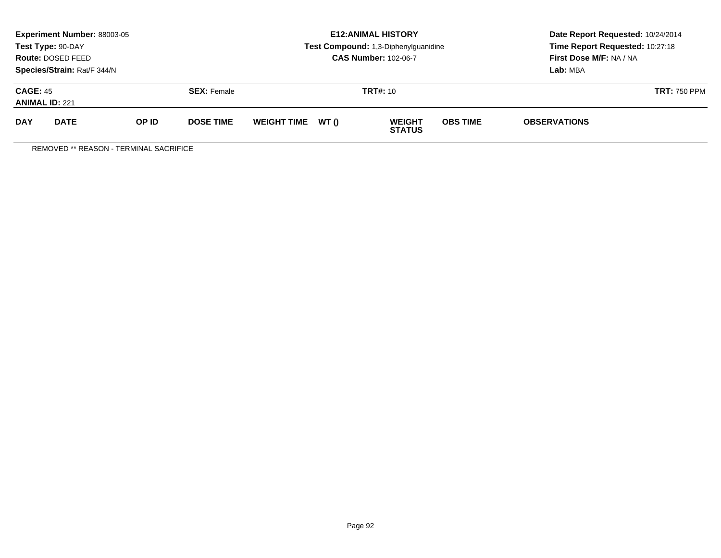|                                          | Experiment Number: 88003-05<br>Test Type: 90-DAY<br>Route: DOSED FEED<br>Species/Strain: Rat/F 344/N |       |                    | <b>E12: ANIMAL HISTORY</b><br>Test Compound: 1,3-Diphenylguanidine<br><b>CAS Number: 102-06-7</b> |       |                                |                 | Date Report Requested: 10/24/2014<br>Time Report Requested: 10:27:18<br>First Dose M/F: NA / NA<br>Lab: MBA |                     |
|------------------------------------------|------------------------------------------------------------------------------------------------------|-------|--------------------|---------------------------------------------------------------------------------------------------|-------|--------------------------------|-----------------|-------------------------------------------------------------------------------------------------------------|---------------------|
| <b>CAGE: 45</b><br><b>ANIMAL ID: 221</b> |                                                                                                      |       | <b>SEX:</b> Female | <b>TRT#: 10</b>                                                                                   |       |                                |                 |                                                                                                             | <b>TRT: 750 PPM</b> |
| <b>DAY</b>                               | <b>DATE</b>                                                                                          | OP ID | <b>DOSE TIME</b>   | <b>WEIGHT TIME</b>                                                                                | WT () | <b>WEIGHT</b><br><b>STATUS</b> | <b>OBS TIME</b> | <b>OBSERVATIONS</b>                                                                                         |                     |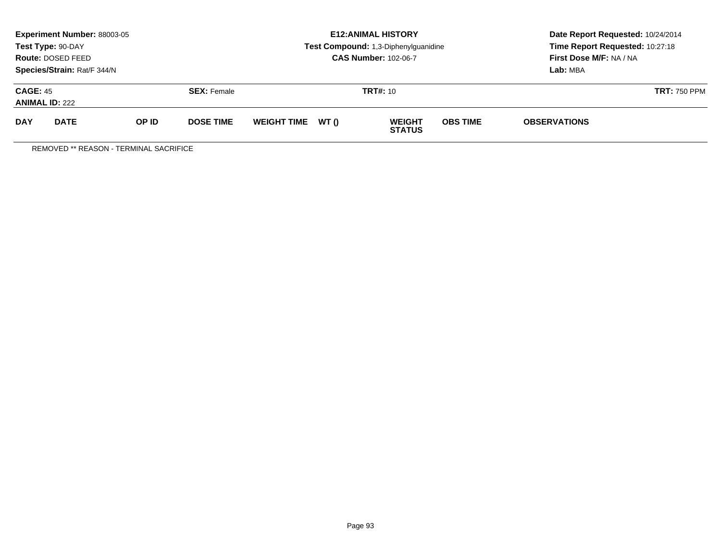|                                          | Experiment Number: 88003-05<br>Test Type: 90-DAY<br>Route: DOSED FEED<br>Species/Strain: Rat/F 344/N |       |                    | <b>E12: ANIMAL HISTORY</b><br>Test Compound: 1,3-Diphenylguanidine<br><b>CAS Number: 102-06-7</b> |       |                                |                 | Date Report Requested: 10/24/2014<br>Time Report Requested: 10:27:18<br>First Dose M/F: NA / NA<br>Lab: MBA |                     |
|------------------------------------------|------------------------------------------------------------------------------------------------------|-------|--------------------|---------------------------------------------------------------------------------------------------|-------|--------------------------------|-----------------|-------------------------------------------------------------------------------------------------------------|---------------------|
| <b>CAGE: 45</b><br><b>ANIMAL ID: 222</b> |                                                                                                      |       | <b>SEX:</b> Female | <b>TRT#: 10</b>                                                                                   |       |                                |                 |                                                                                                             | <b>TRT: 750 PPM</b> |
| <b>DAY</b>                               | <b>DATE</b>                                                                                          | OP ID | <b>DOSE TIME</b>   | <b>WEIGHT TIME</b>                                                                                | WT () | <b>WEIGHT</b><br><b>STATUS</b> | <b>OBS TIME</b> | <b>OBSERVATIONS</b>                                                                                         |                     |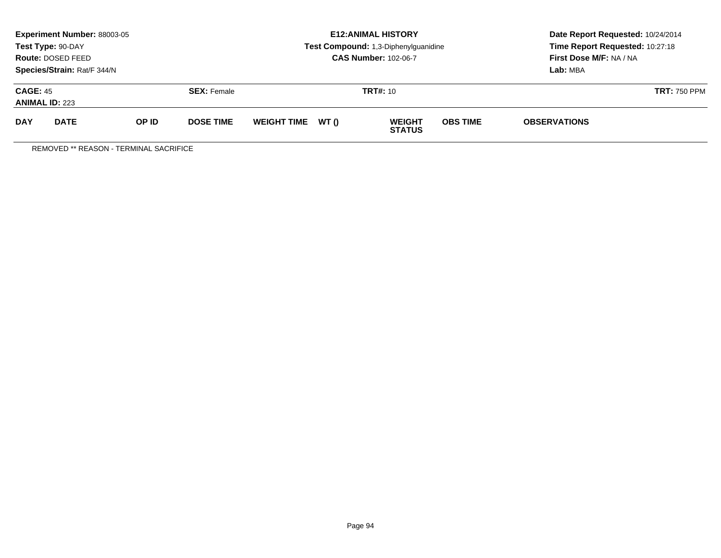|                                          | Experiment Number: 88003-05<br>Test Type: 90-DAY<br>Route: DOSED FEED<br>Species/Strain: Rat/F 344/N |       |                    | <b>E12: ANIMAL HISTORY</b><br>Test Compound: 1,3-Diphenylguanidine<br><b>CAS Number: 102-06-7</b> |       |                                |                 | Date Report Requested: 10/24/2014<br>Time Report Requested: 10:27:18<br>First Dose M/F: NA / NA<br>Lab: MBA |                     |
|------------------------------------------|------------------------------------------------------------------------------------------------------|-------|--------------------|---------------------------------------------------------------------------------------------------|-------|--------------------------------|-----------------|-------------------------------------------------------------------------------------------------------------|---------------------|
| <b>CAGE: 45</b><br><b>ANIMAL ID: 223</b> |                                                                                                      |       | <b>SEX:</b> Female | <b>TRT#: 10</b>                                                                                   |       |                                |                 |                                                                                                             | <b>TRT: 750 PPM</b> |
| <b>DAY</b>                               | <b>DATE</b>                                                                                          | OP ID | <b>DOSE TIME</b>   | <b>WEIGHT TIME</b>                                                                                | WT () | <b>WEIGHT</b><br><b>STATUS</b> | <b>OBS TIME</b> | <b>OBSERVATIONS</b>                                                                                         |                     |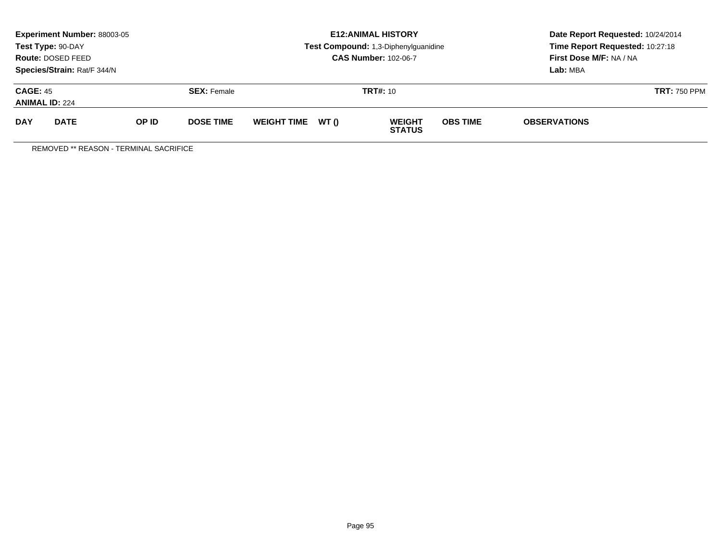|                                          | Experiment Number: 88003-05<br>Test Type: 90-DAY<br>Route: DOSED FEED<br>Species/Strain: Rat/F 344/N |       |                    | <b>E12: ANIMAL HISTORY</b><br>Test Compound: 1,3-Diphenylguanidine<br><b>CAS Number: 102-06-7</b> |       |                                |                 | Date Report Requested: 10/24/2014<br>Time Report Requested: 10:27:18<br>First Dose M/F: NA / NA<br>Lab: MBA |                     |
|------------------------------------------|------------------------------------------------------------------------------------------------------|-------|--------------------|---------------------------------------------------------------------------------------------------|-------|--------------------------------|-----------------|-------------------------------------------------------------------------------------------------------------|---------------------|
| <b>CAGE: 45</b><br><b>ANIMAL ID: 224</b> |                                                                                                      |       | <b>SEX:</b> Female | <b>TRT#: 10</b>                                                                                   |       |                                |                 |                                                                                                             | <b>TRT: 750 PPM</b> |
| <b>DAY</b>                               | <b>DATE</b>                                                                                          | OP ID | <b>DOSE TIME</b>   | <b>WEIGHT TIME</b>                                                                                | WT () | <b>WEIGHT</b><br><b>STATUS</b> | <b>OBS TIME</b> | <b>OBSERVATIONS</b>                                                                                         |                     |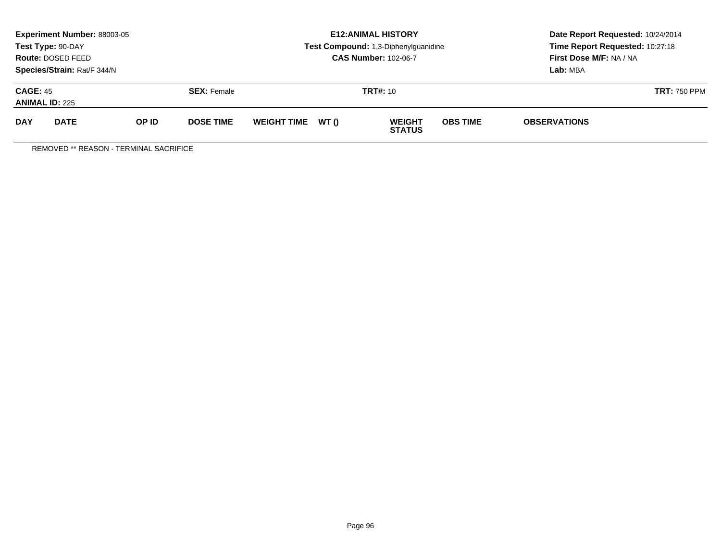|                                          | Experiment Number: 88003-05<br>Test Type: 90-DAY<br>Route: DOSED FEED<br>Species/Strain: Rat/F 344/N |       |                    | <b>E12: ANIMAL HISTORY</b><br>Test Compound: 1,3-Diphenylguanidine<br><b>CAS Number: 102-06-7</b> |       |                                |                 | Date Report Requested: 10/24/2014<br>Time Report Requested: 10:27:18<br>First Dose M/F: NA / NA<br>Lab: MBA |                     |
|------------------------------------------|------------------------------------------------------------------------------------------------------|-------|--------------------|---------------------------------------------------------------------------------------------------|-------|--------------------------------|-----------------|-------------------------------------------------------------------------------------------------------------|---------------------|
| <b>CAGE: 45</b><br><b>ANIMAL ID: 225</b> |                                                                                                      |       | <b>SEX:</b> Female | <b>TRT#: 10</b>                                                                                   |       |                                |                 |                                                                                                             | <b>TRT: 750 PPM</b> |
| <b>DAY</b>                               | <b>DATE</b>                                                                                          | OP ID | <b>DOSE TIME</b>   | <b>WEIGHT TIME</b>                                                                                | WT () | <b>WEIGHT</b><br><b>STATUS</b> | <b>OBS TIME</b> | <b>OBSERVATIONS</b>                                                                                         |                     |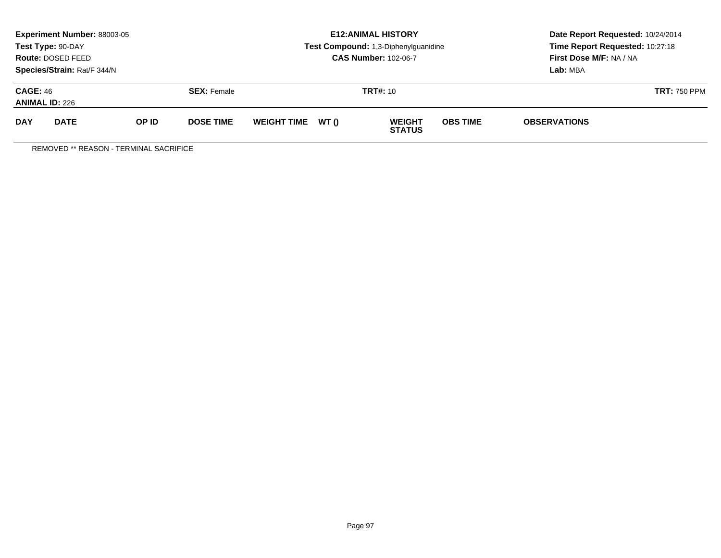|                                          | Experiment Number: 88003-05<br>Test Type: 90-DAY<br>Route: DOSED FEED<br>Species/Strain: Rat/F 344/N |       |                    |                    |       | <b>E12: ANIMAL HISTORY</b><br>Test Compound: 1,3-Diphenylguanidine<br><b>CAS Number: 102-06-7</b> | Date Report Requested: 10/24/2014<br>Time Report Requested: 10:27:18<br>First Dose M/F: NA / NA<br>Lab: MBA |                     |                     |
|------------------------------------------|------------------------------------------------------------------------------------------------------|-------|--------------------|--------------------|-------|---------------------------------------------------------------------------------------------------|-------------------------------------------------------------------------------------------------------------|---------------------|---------------------|
| <b>CAGE: 46</b><br><b>ANIMAL ID: 226</b> |                                                                                                      |       | <b>SEX:</b> Female | <b>TRT#: 10</b>    |       |                                                                                                   |                                                                                                             |                     | <b>TRT: 750 PPM</b> |
| <b>DAY</b>                               | <b>DATE</b>                                                                                          | OP ID | <b>DOSE TIME</b>   | <b>WEIGHT TIME</b> | WT () | <b>WEIGHT</b><br><b>STATUS</b>                                                                    | <b>OBS TIME</b>                                                                                             | <b>OBSERVATIONS</b> |                     |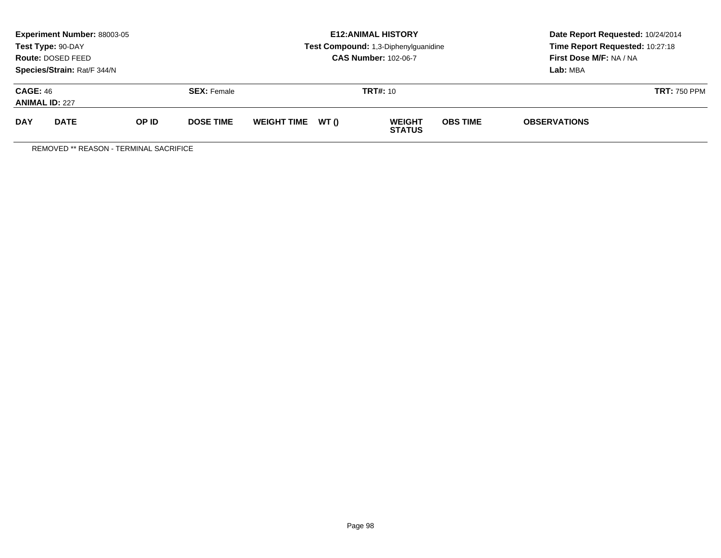|                                          | Experiment Number: 88003-05<br>Test Type: 90-DAY<br>Route: DOSED FEED<br>Species/Strain: Rat/F 344/N |       |                    |                    |       | <b>E12: ANIMAL HISTORY</b><br>Test Compound: 1,3-Diphenylguanidine<br><b>CAS Number: 102-06-7</b> | Date Report Requested: 10/24/2014<br>Time Report Requested: 10:27:18<br>First Dose M/F: NA / NA<br>Lab: MBA |                     |  |
|------------------------------------------|------------------------------------------------------------------------------------------------------|-------|--------------------|--------------------|-------|---------------------------------------------------------------------------------------------------|-------------------------------------------------------------------------------------------------------------|---------------------|--|
| <b>CAGE: 46</b><br><b>ANIMAL ID: 227</b> |                                                                                                      |       | <b>SEX:</b> Female |                    |       | <b>TRT#: 10</b>                                                                                   |                                                                                                             | <b>TRT: 750 PPM</b> |  |
| <b>DAY</b>                               | <b>DATE</b>                                                                                          | OP ID | <b>DOSE TIME</b>   | <b>WEIGHT TIME</b> | WT () | <b>WEIGHT</b><br><b>STATUS</b>                                                                    | <b>OBS TIME</b>                                                                                             | <b>OBSERVATIONS</b> |  |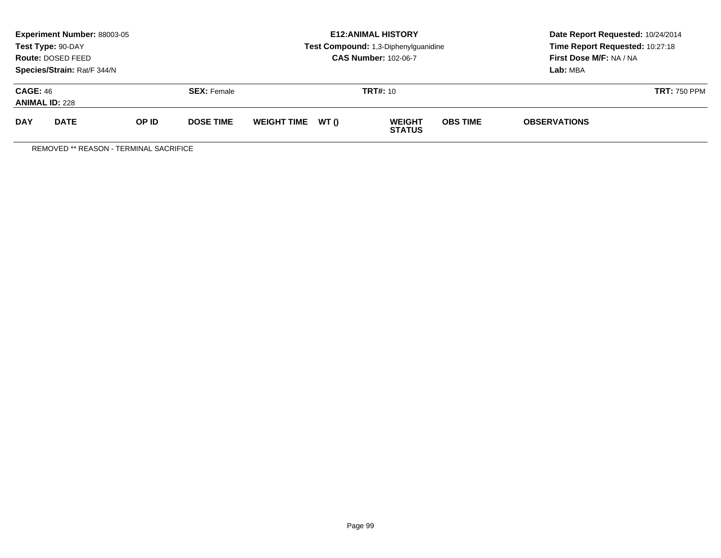|                                          | Experiment Number: 88003-05<br>Test Type: 90-DAY<br>Route: DOSED FEED<br>Species/Strain: Rat/F 344/N |       |                    |                    |       | <b>E12: ANIMAL HISTORY</b><br>Test Compound: 1,3-Diphenylguanidine<br><b>CAS Number: 102-06-7</b> | Date Report Requested: 10/24/2014<br>Time Report Requested: 10:27:18<br>First Dose M/F: NA / NA<br>Lab: MBA |                     |                     |
|------------------------------------------|------------------------------------------------------------------------------------------------------|-------|--------------------|--------------------|-------|---------------------------------------------------------------------------------------------------|-------------------------------------------------------------------------------------------------------------|---------------------|---------------------|
| <b>CAGE: 46</b><br><b>ANIMAL ID: 228</b> |                                                                                                      |       | <b>SEX:</b> Female |                    |       | <b>TRT#: 10</b>                                                                                   |                                                                                                             |                     | <b>TRT: 750 PPM</b> |
| <b>DAY</b>                               | <b>DATE</b>                                                                                          | OP ID | <b>DOSE TIME</b>   | <b>WEIGHT TIME</b> | WT () | <b>WEIGHT</b><br><b>STATUS</b>                                                                    | <b>OBS TIME</b>                                                                                             | <b>OBSERVATIONS</b> |                     |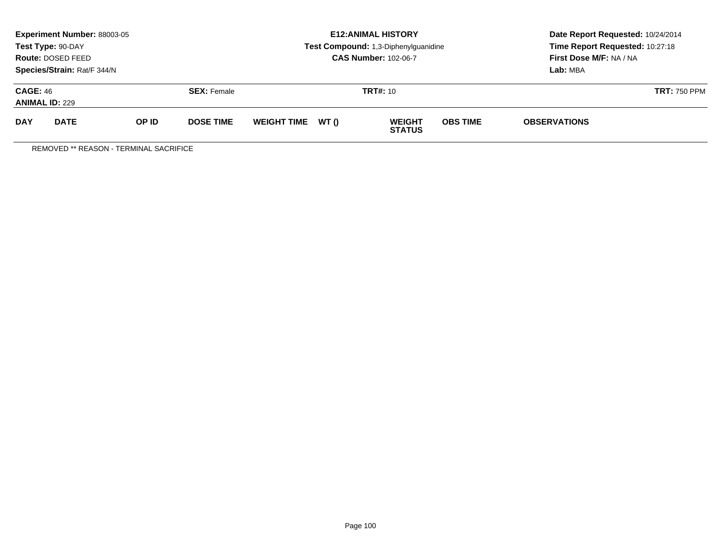|                                          | Experiment Number: 88003-05<br>Test Type: 90-DAY<br>Route: DOSED FEED<br>Species/Strain: Rat/F 344/N |       |                    | <b>E12: ANIMAL HISTORY</b><br>Test Compound: 1,3-Diphenylguanidine<br><b>CAS Number: 102-06-7</b> |       |                                |                 | Date Report Requested: 10/24/2014<br>Time Report Requested: 10:27:18<br>First Dose M/F: NA / NA<br>Lab: MBA |                     |
|------------------------------------------|------------------------------------------------------------------------------------------------------|-------|--------------------|---------------------------------------------------------------------------------------------------|-------|--------------------------------|-----------------|-------------------------------------------------------------------------------------------------------------|---------------------|
| <b>CAGE: 46</b><br><b>ANIMAL ID: 229</b> |                                                                                                      |       | <b>SEX: Female</b> |                                                                                                   |       | <b>TRT#: 10</b>                |                 |                                                                                                             | <b>TRT: 750 PPM</b> |
| <b>DAY</b>                               | <b>DATE</b>                                                                                          | OP ID | <b>DOSE TIME</b>   | <b>WEIGHT TIME</b>                                                                                | WT () | <b>WEIGHT</b><br><b>STATUS</b> | <b>OBS TIME</b> | <b>OBSERVATIONS</b>                                                                                         |                     |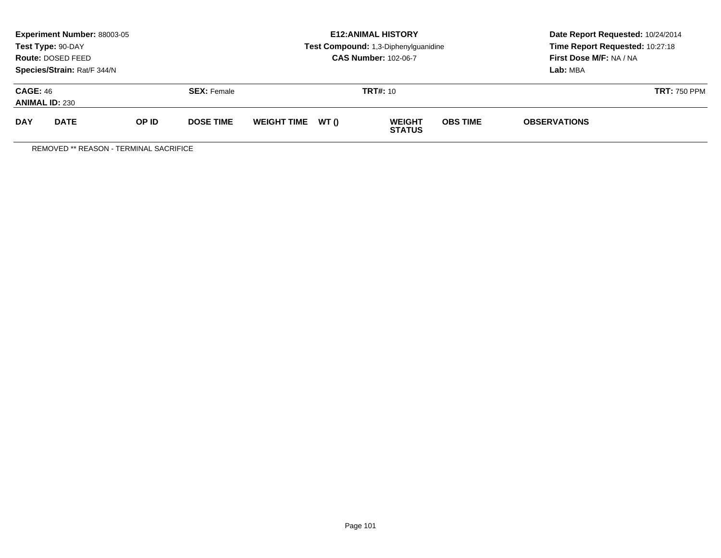|                                          | Experiment Number: 88003-05<br>Test Type: 90-DAY<br>Route: DOSED FEED<br>Species/Strain: Rat/F 344/N |       |                    |                    |       | <b>E12: ANIMAL HISTORY</b><br>Test Compound: 1,3-Diphenylguanidine<br><b>CAS Number: 102-06-7</b> | Date Report Requested: 10/24/2014<br>Time Report Requested: 10:27:18<br>First Dose M/F: NA / NA<br>Lab: MBA |                     |                     |
|------------------------------------------|------------------------------------------------------------------------------------------------------|-------|--------------------|--------------------|-------|---------------------------------------------------------------------------------------------------|-------------------------------------------------------------------------------------------------------------|---------------------|---------------------|
| <b>CAGE: 46</b><br><b>ANIMAL ID: 230</b> |                                                                                                      |       | <b>SEX:</b> Female | <b>TRT#: 10</b>    |       |                                                                                                   |                                                                                                             |                     | <b>TRT: 750 PPM</b> |
| <b>DAY</b>                               | <b>DATE</b>                                                                                          | OP ID | <b>DOSE TIME</b>   | <b>WEIGHT TIME</b> | WT () | <b>WEIGHT</b><br><b>STATUS</b>                                                                    | <b>OBS TIME</b>                                                                                             | <b>OBSERVATIONS</b> |                     |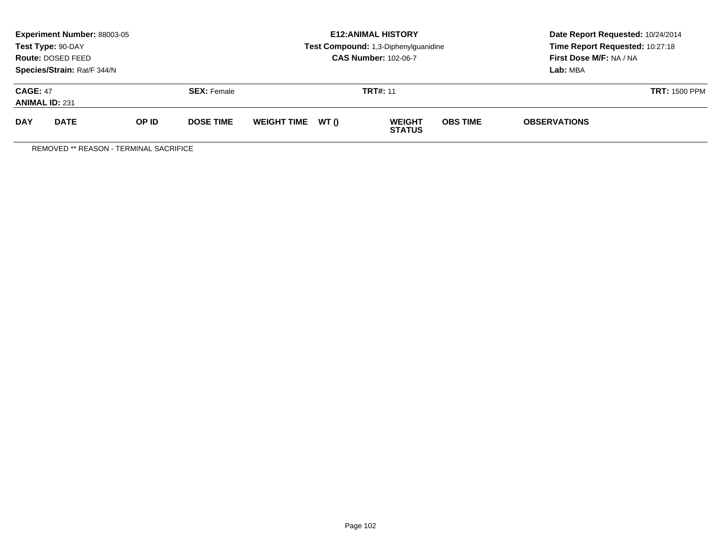|                                          | Experiment Number: 88003-05<br>Test Type: 90-DAY<br>Route: DOSED FEED<br>Species/Strain: Rat/F 344/N |              |                    | <b>E12: ANIMAL HISTORY</b><br>Test Compound: 1,3-Diphenylguanidine<br><b>CAS Number: 102-06-7</b> |       |                                |                 | Date Report Requested: 10/24/2014<br>Time Report Requested: 10:27:18<br>First Dose M/F: NA / NA<br>Lab: MBA |                      |
|------------------------------------------|------------------------------------------------------------------------------------------------------|--------------|--------------------|---------------------------------------------------------------------------------------------------|-------|--------------------------------|-----------------|-------------------------------------------------------------------------------------------------------------|----------------------|
| <b>CAGE: 47</b><br><b>ANIMAL ID: 231</b> |                                                                                                      |              | <b>SEX: Female</b> | <b>TRT#: 11</b>                                                                                   |       |                                |                 |                                                                                                             | <b>TRT: 1500 PPM</b> |
| <b>DAY</b>                               | <b>DATE</b>                                                                                          | <b>OP ID</b> | <b>DOSE TIME</b>   | <b>WEIGHT TIME</b>                                                                                | WT () | <b>WEIGHT</b><br><b>STATUS</b> | <b>OBS TIME</b> | <b>OBSERVATIONS</b>                                                                                         |                      |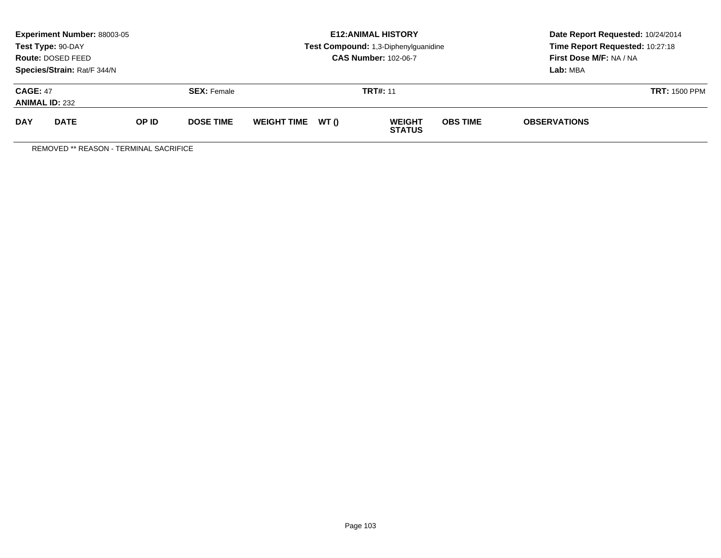|                                          | Experiment Number: 88003-05<br>Test Type: 90-DAY<br>Route: DOSED FEED<br>Species/Strain: Rat/F 344/N |              |                    | <b>E12: ANIMAL HISTORY</b><br>Test Compound: 1,3-Diphenylguanidine<br><b>CAS Number: 102-06-7</b> |       |                                |                 | Date Report Requested: 10/24/2014<br>Time Report Requested: 10:27:18<br>First Dose M/F: NA / NA<br>Lab: MBA |                      |
|------------------------------------------|------------------------------------------------------------------------------------------------------|--------------|--------------------|---------------------------------------------------------------------------------------------------|-------|--------------------------------|-----------------|-------------------------------------------------------------------------------------------------------------|----------------------|
| <b>CAGE: 47</b><br><b>ANIMAL ID: 232</b> |                                                                                                      |              | <b>SEX: Female</b> | <b>TRT#: 11</b>                                                                                   |       |                                |                 |                                                                                                             | <b>TRT: 1500 PPM</b> |
| <b>DAY</b>                               | <b>DATE</b>                                                                                          | <b>OP ID</b> | <b>DOSE TIME</b>   | <b>WEIGHT TIME</b>                                                                                | WT () | <b>WEIGHT</b><br><b>STATUS</b> | <b>OBS TIME</b> | <b>OBSERVATIONS</b>                                                                                         |                      |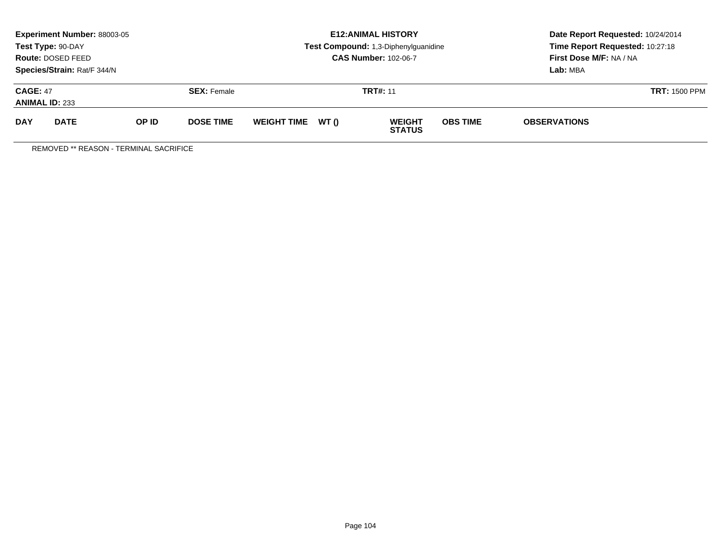|                                          | Experiment Number: 88003-05<br>Test Type: 90-DAY<br>Route: DOSED FEED<br>Species/Strain: Rat/F 344/N |              |                    | <b>E12: ANIMAL HISTORY</b><br>Test Compound: 1,3-Diphenylguanidine<br><b>CAS Number: 102-06-7</b> |                 |                                |                 | Date Report Requested: 10/24/2014<br>Time Report Requested: 10:27:18<br>First Dose M/F: NA / NA<br>Lab: MBA |                      |
|------------------------------------------|------------------------------------------------------------------------------------------------------|--------------|--------------------|---------------------------------------------------------------------------------------------------|-----------------|--------------------------------|-----------------|-------------------------------------------------------------------------------------------------------------|----------------------|
| <b>CAGE: 47</b><br><b>ANIMAL ID: 233</b> |                                                                                                      |              | <b>SEX: Female</b> |                                                                                                   | <b>TRT#: 11</b> |                                |                 |                                                                                                             | <b>TRT: 1500 PPM</b> |
| <b>DAY</b>                               | <b>DATE</b>                                                                                          | <b>OP ID</b> | <b>DOSE TIME</b>   | <b>WEIGHT TIME</b>                                                                                | WT ()           | <b>WEIGHT</b><br><b>STATUS</b> | <b>OBS TIME</b> | <b>OBSERVATIONS</b>                                                                                         |                      |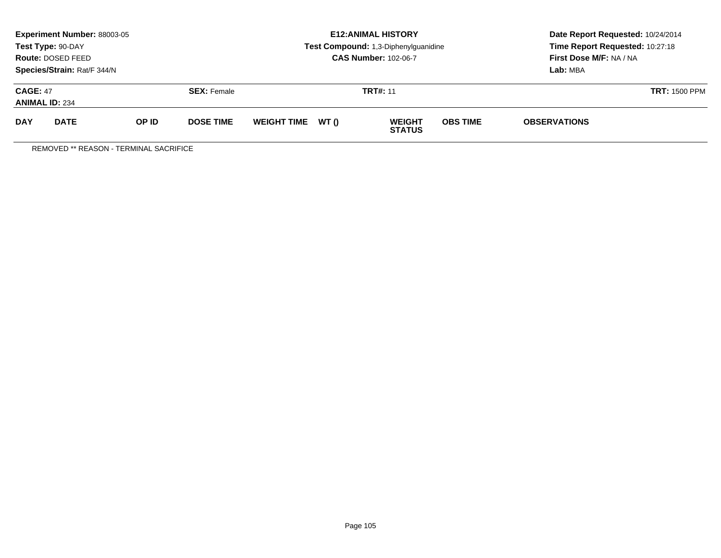|                                          | Experiment Number: 88003-05<br>Test Type: 90-DAY<br>Route: DOSED FEED<br>Species/Strain: Rat/F 344/N |              |                    | <b>E12: ANIMAL HISTORY</b><br>Test Compound: 1,3-Diphenylguanidine<br><b>CAS Number: 102-06-7</b> |       |                                |                 | Date Report Requested: 10/24/2014<br>Time Report Requested: 10:27:18<br>First Dose M/F: NA / NA<br>Lab: MBA |                      |
|------------------------------------------|------------------------------------------------------------------------------------------------------|--------------|--------------------|---------------------------------------------------------------------------------------------------|-------|--------------------------------|-----------------|-------------------------------------------------------------------------------------------------------------|----------------------|
| <b>CAGE: 47</b><br><b>ANIMAL ID: 234</b> |                                                                                                      |              | <b>SEX: Female</b> | <b>TRT#: 11</b>                                                                                   |       |                                |                 |                                                                                                             | <b>TRT: 1500 PPM</b> |
| <b>DAY</b>                               | <b>DATE</b>                                                                                          | <b>OP ID</b> | <b>DOSE TIME</b>   | <b>WEIGHT TIME</b>                                                                                | WT () | <b>WEIGHT</b><br><b>STATUS</b> | <b>OBS TIME</b> | <b>OBSERVATIONS</b>                                                                                         |                      |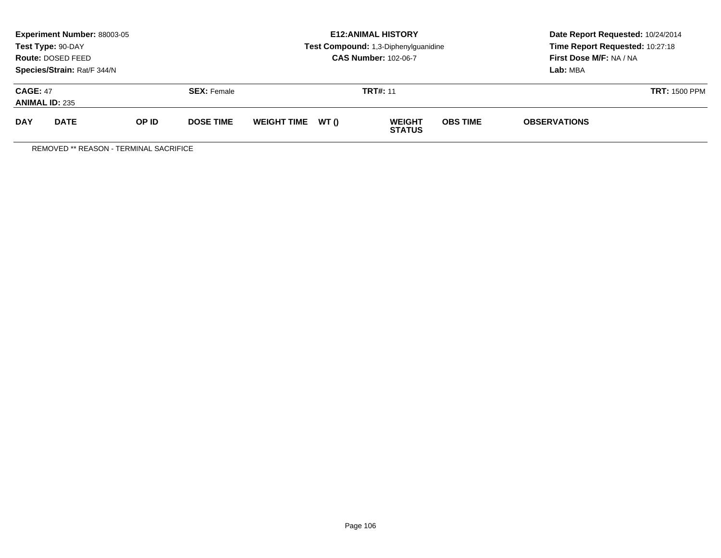|                                          | Experiment Number: 88003-05<br>Test Type: 90-DAY<br>Route: DOSED FEED<br>Species/Strain: Rat/F 344/N |              |                    | <b>E12: ANIMAL HISTORY</b><br>Test Compound: 1,3-Diphenylguanidine<br><b>CAS Number: 102-06-7</b> |       |                                |                 | Date Report Requested: 10/24/2014<br>Time Report Requested: 10:27:18<br>First Dose M/F: NA / NA<br>Lab: MBA |                      |
|------------------------------------------|------------------------------------------------------------------------------------------------------|--------------|--------------------|---------------------------------------------------------------------------------------------------|-------|--------------------------------|-----------------|-------------------------------------------------------------------------------------------------------------|----------------------|
| <b>CAGE: 47</b><br><b>ANIMAL ID: 235</b> |                                                                                                      |              | <b>SEX: Female</b> | <b>TRT#: 11</b>                                                                                   |       |                                |                 |                                                                                                             | <b>TRT: 1500 PPM</b> |
| <b>DAY</b>                               | <b>DATE</b>                                                                                          | <b>OP ID</b> | <b>DOSE TIME</b>   | <b>WEIGHT TIME</b>                                                                                | WT () | <b>WEIGHT</b><br><b>STATUS</b> | <b>OBS TIME</b> | <b>OBSERVATIONS</b>                                                                                         |                      |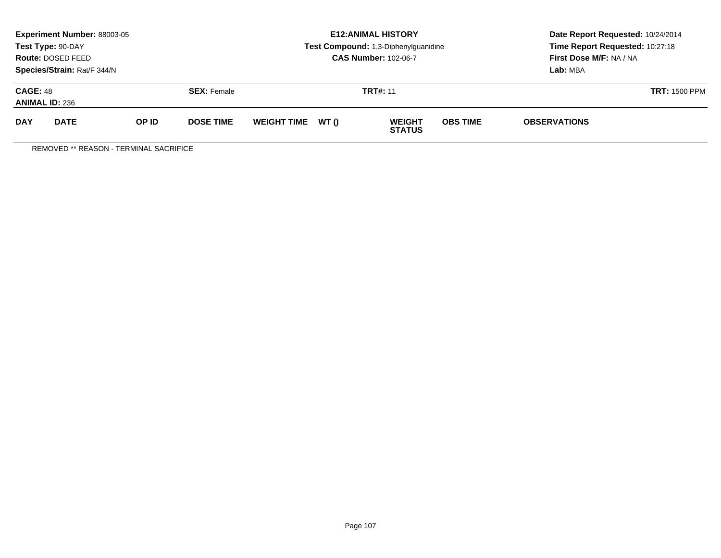|                                          | Experiment Number: 88003-05<br>Test Type: 90-DAY<br>Route: DOSED FEED<br>Species/Strain: Rat/F 344/N |              |                    | <b>E12: ANIMAL HISTORY</b><br>Test Compound: 1,3-Diphenylguanidine<br><b>CAS Number: 102-06-7</b> |       |                                |                 | Date Report Requested: 10/24/2014<br>Time Report Requested: 10:27:18<br>First Dose M/F: NA / NA<br>Lab: MBA |                      |
|------------------------------------------|------------------------------------------------------------------------------------------------------|--------------|--------------------|---------------------------------------------------------------------------------------------------|-------|--------------------------------|-----------------|-------------------------------------------------------------------------------------------------------------|----------------------|
| <b>CAGE: 48</b><br><b>ANIMAL ID: 236</b> |                                                                                                      |              | <b>SEX: Female</b> | <b>TRT#: 11</b>                                                                                   |       |                                |                 |                                                                                                             | <b>TRT: 1500 PPM</b> |
| <b>DAY</b>                               | <b>DATE</b>                                                                                          | <b>OP ID</b> | <b>DOSE TIME</b>   | <b>WEIGHT TIME</b>                                                                                | WT () | <b>WEIGHT</b><br><b>STATUS</b> | <b>OBS TIME</b> | <b>OBSERVATIONS</b>                                                                                         |                      |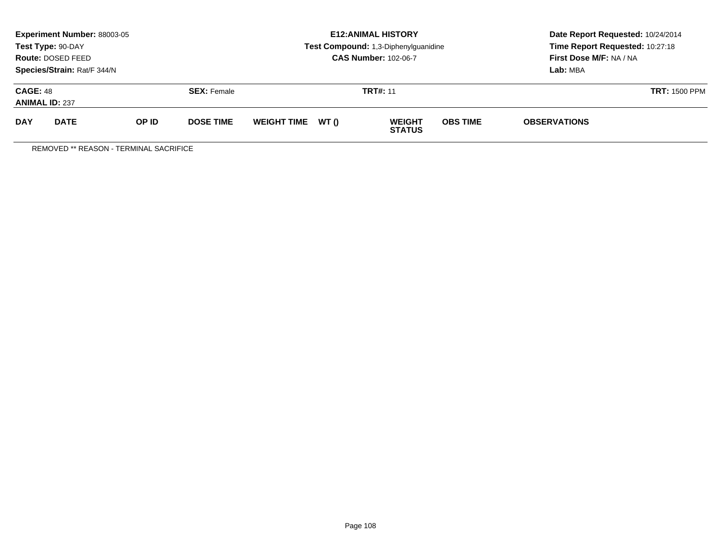|                                          | Experiment Number: 88003-05<br>Test Type: 90-DAY<br>Route: DOSED FEED<br>Species/Strain: Rat/F 344/N |              |                    |                    |       | <b>E12: ANIMAL HISTORY</b><br>Test Compound: 1,3-Diphenylguanidine<br><b>CAS Number: 102-06-7</b> | Date Report Requested: 10/24/2014<br>Time Report Requested: 10:27:18<br>First Dose M/F: NA / NA<br>Lab: MBA |                     |                      |
|------------------------------------------|------------------------------------------------------------------------------------------------------|--------------|--------------------|--------------------|-------|---------------------------------------------------------------------------------------------------|-------------------------------------------------------------------------------------------------------------|---------------------|----------------------|
| <b>CAGE: 48</b><br><b>ANIMAL ID: 237</b> |                                                                                                      |              | <b>SEX: Female</b> | <b>TRT#: 11</b>    |       |                                                                                                   |                                                                                                             |                     | <b>TRT: 1500 PPM</b> |
| <b>DAY</b>                               | <b>DATE</b>                                                                                          | <b>OP ID</b> | <b>DOSE TIME</b>   | <b>WEIGHT TIME</b> | WT () | <b>WEIGHT</b><br><b>STATUS</b>                                                                    | <b>OBS TIME</b>                                                                                             | <b>OBSERVATIONS</b> |                      |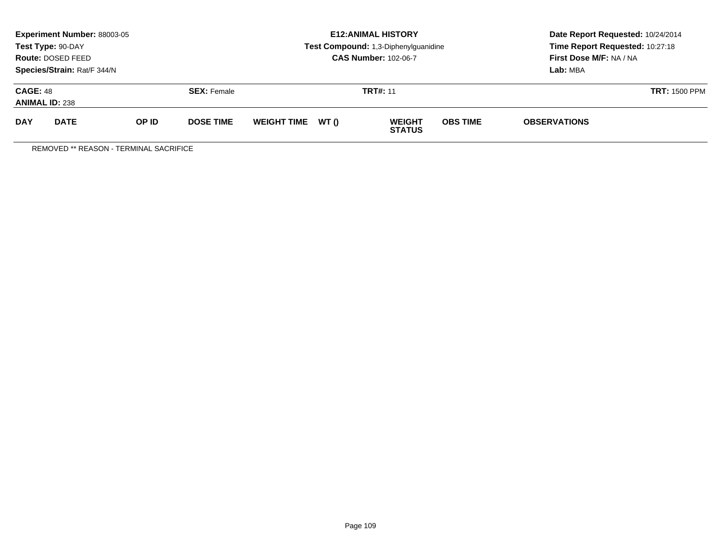|                                          | Experiment Number: 88003-05<br>Test Type: 90-DAY<br><b>Route: DOSED FEED</b><br>Species/Strain: Rat/F 344/N |              |                    |                    |       | <b>E12: ANIMAL HISTORY</b><br>Test Compound: 1,3-Diphenylguanidine<br><b>CAS Number: 102-06-7</b> | Date Report Requested: 10/24/2014<br>Time Report Requested: 10:27:18<br>First Dose M/F: NA / NA<br>Lab: MBA |                     |                      |
|------------------------------------------|-------------------------------------------------------------------------------------------------------------|--------------|--------------------|--------------------|-------|---------------------------------------------------------------------------------------------------|-------------------------------------------------------------------------------------------------------------|---------------------|----------------------|
| <b>CAGE: 48</b><br><b>ANIMAL ID: 238</b> |                                                                                                             |              | <b>SEX: Female</b> |                    |       | <b>TRT#: 11</b>                                                                                   |                                                                                                             |                     | <b>TRT: 1500 PPM</b> |
| <b>DAY</b>                               | <b>DATE</b>                                                                                                 | <b>OP ID</b> | <b>DOSE TIME</b>   | <b>WEIGHT TIME</b> | WT () | <b>WEIGHT</b><br><b>STATUS</b>                                                                    | <b>OBS TIME</b>                                                                                             | <b>OBSERVATIONS</b> |                      |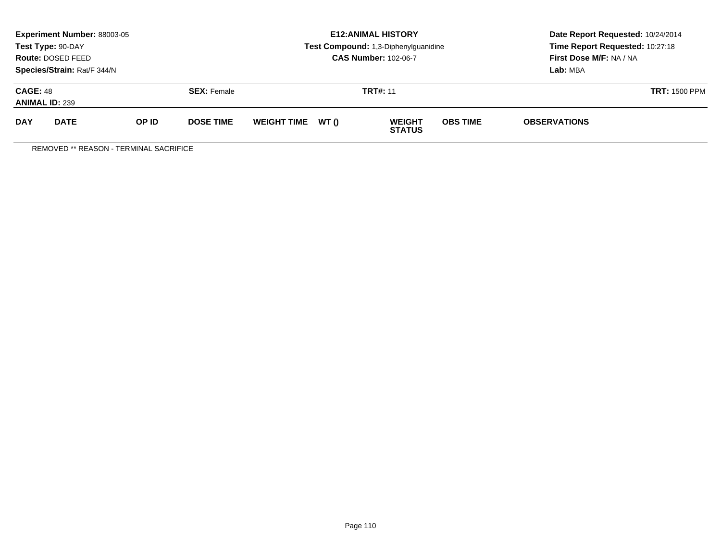|                                          | Experiment Number: 88003-05<br>Test Type: 90-DAY<br><b>Route: DOSED FEED</b><br>Species/Strain: Rat/F 344/N |              |                    |                    |       | <b>E12: ANIMAL HISTORY</b><br>Test Compound: 1,3-Diphenylguanidine<br><b>CAS Number: 102-06-7</b> | Date Report Requested: 10/24/2014<br>Time Report Requested: 10:27:18<br>First Dose M/F: NA / NA<br>Lab: MBA |                     |                      |
|------------------------------------------|-------------------------------------------------------------------------------------------------------------|--------------|--------------------|--------------------|-------|---------------------------------------------------------------------------------------------------|-------------------------------------------------------------------------------------------------------------|---------------------|----------------------|
| <b>CAGE: 48</b><br><b>ANIMAL ID: 239</b> |                                                                                                             |              | <b>SEX: Female</b> |                    |       | <b>TRT#: 11</b>                                                                                   |                                                                                                             |                     | <b>TRT: 1500 PPM</b> |
| <b>DAY</b>                               | <b>DATE</b>                                                                                                 | <b>OP ID</b> | <b>DOSE TIME</b>   | <b>WEIGHT TIME</b> | WT () | <b>WEIGHT</b><br><b>STATUS</b>                                                                    | <b>OBS TIME</b>                                                                                             | <b>OBSERVATIONS</b> |                      |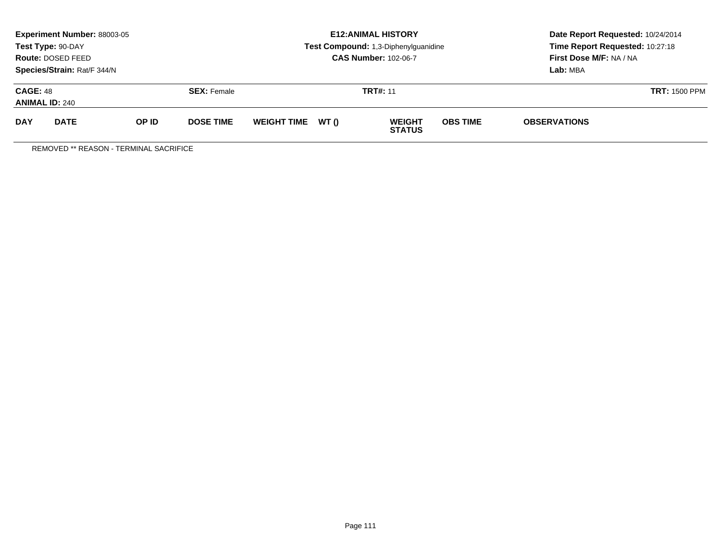|                                          | Experiment Number: 88003-05<br>Test Type: 90-DAY<br><b>Route: DOSED FEED</b><br>Species/Strain: Rat/F 344/N |       |                    |                    |       | <b>E12:ANIMAL HISTORY</b><br>Test Compound: 1,3-Diphenylguanidine<br><b>CAS Number: 102-06-7</b> | Date Report Requested: 10/24/2014<br>Time Report Requested: 10:27:18<br>First Dose M/F: NA / NA<br>Lab: MBA |                     |                      |
|------------------------------------------|-------------------------------------------------------------------------------------------------------------|-------|--------------------|--------------------|-------|--------------------------------------------------------------------------------------------------|-------------------------------------------------------------------------------------------------------------|---------------------|----------------------|
| <b>CAGE: 48</b><br><b>ANIMAL ID: 240</b> |                                                                                                             |       | <b>SEX: Female</b> |                    |       | <b>TRT#: 11</b>                                                                                  |                                                                                                             |                     | <b>TRT: 1500 PPM</b> |
| <b>DAY</b>                               | <b>DATE</b>                                                                                                 | OP ID | <b>DOSE TIME</b>   | <b>WEIGHT TIME</b> | WT () | <b>WEIGHT</b><br><b>STATUS</b>                                                                   | <b>OBS TIME</b>                                                                                             | <b>OBSERVATIONS</b> |                      |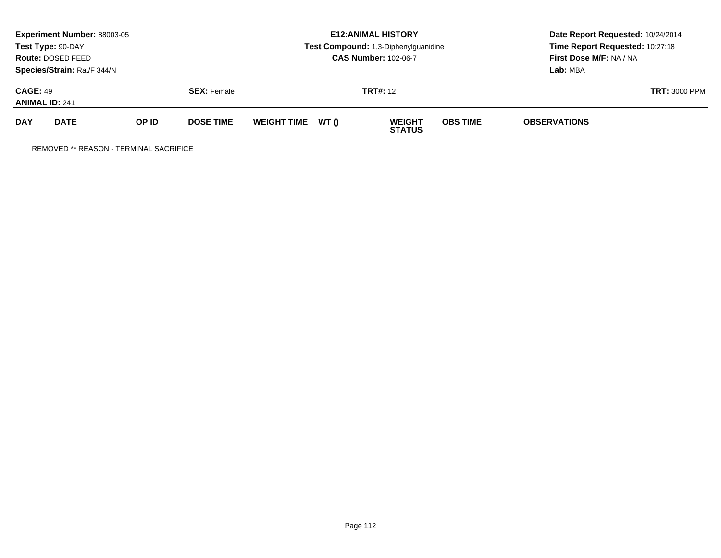|                                          | <b>Experiment Number: 88003-05</b><br>Test Type: 90-DAY<br>Route: DOSED FEED<br>Species/Strain: Rat/F 344/N |       |                    |                    |       | <b>E12: ANIMAL HISTORY</b><br>Test Compound: 1,3-Diphenylguanidine<br><b>CAS Number: 102-06-7</b> | Date Report Requested: 10/24/2014<br>Time Report Requested: 10:27:18<br>First Dose M/F: NA / NA<br>Lab: MBA |                     |                      |
|------------------------------------------|-------------------------------------------------------------------------------------------------------------|-------|--------------------|--------------------|-------|---------------------------------------------------------------------------------------------------|-------------------------------------------------------------------------------------------------------------|---------------------|----------------------|
| <b>CAGE: 49</b><br><b>ANIMAL ID: 241</b> |                                                                                                             |       | <b>SEX: Female</b> |                    |       | <b>TRT#:</b> 12                                                                                   |                                                                                                             |                     | <b>TRT: 3000 PPM</b> |
| <b>DAY</b>                               | <b>DATE</b>                                                                                                 | OP ID | <b>DOSE TIME</b>   | <b>WEIGHT TIME</b> | WT () | <b>WEIGHT</b><br><b>STATUS</b>                                                                    | <b>OBS TIME</b>                                                                                             | <b>OBSERVATIONS</b> |                      |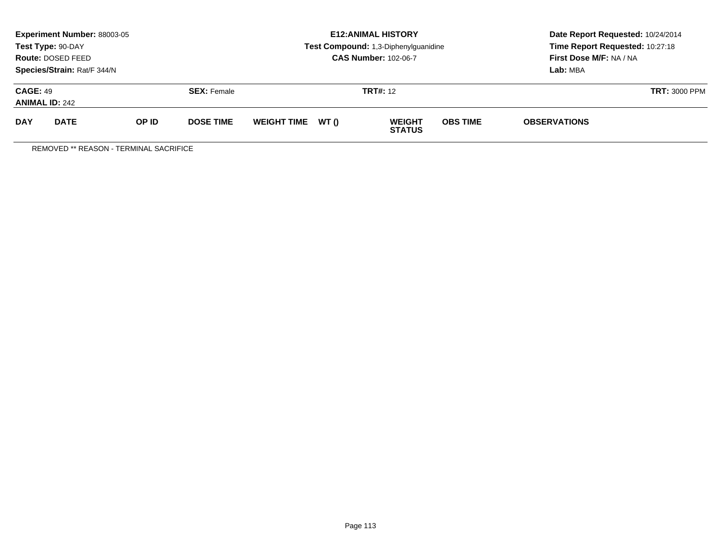|                                          | Experiment Number: 88003-05<br>Test Type: 90-DAY<br>Route: DOSED FEED<br>Species/Strain: Rat/F 344/N |       |                    |                    |       | <b>E12: ANIMAL HISTORY</b><br>Test Compound: 1,3-Diphenylguanidine<br><b>CAS Number: 102-06-7</b> | Date Report Requested: 10/24/2014<br>Time Report Requested: 10:27:18<br>First Dose M/F: NA / NA<br>Lab: MBA |                      |  |
|------------------------------------------|------------------------------------------------------------------------------------------------------|-------|--------------------|--------------------|-------|---------------------------------------------------------------------------------------------------|-------------------------------------------------------------------------------------------------------------|----------------------|--|
| <b>CAGE: 49</b><br><b>ANIMAL ID: 242</b> |                                                                                                      |       | <b>SEX:</b> Female | <b>TRT#:</b> 12    |       |                                                                                                   |                                                                                                             | <b>TRT: 3000 PPM</b> |  |
| <b>DAY</b>                               | <b>DATE</b>                                                                                          | OP ID | <b>DOSE TIME</b>   | <b>WEIGHT TIME</b> | WT () | <b>WEIGHT</b><br><b>STATUS</b>                                                                    | <b>OBS TIME</b>                                                                                             | <b>OBSERVATIONS</b>  |  |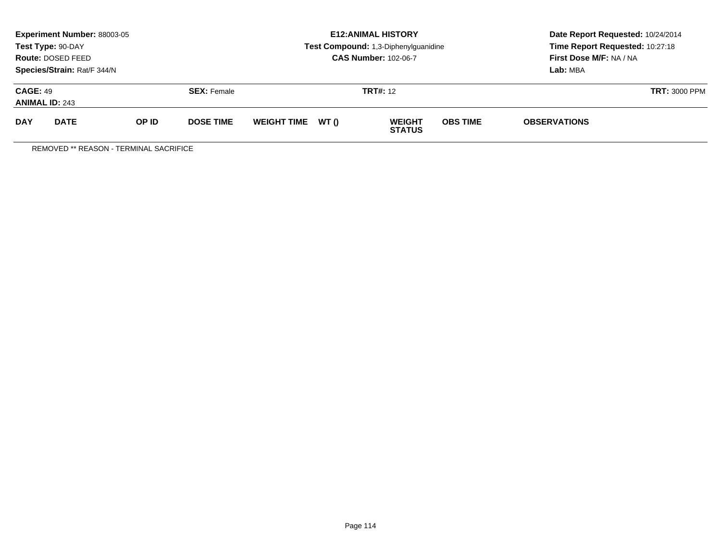|                                          | Experiment Number: 88003-05<br>Test Type: 90-DAY<br>Route: DOSED FEED<br>Species/Strain: Rat/F 344/N |       |                    |                    |       | <b>E12: ANIMAL HISTORY</b><br>Test Compound: 1,3-Diphenylguanidine<br><b>CAS Number: 102-06-7</b> | Date Report Requested: 10/24/2014<br>Time Report Requested: 10:27:18<br>First Dose M/F: NA / NA<br>Lab: MBA |                      |  |
|------------------------------------------|------------------------------------------------------------------------------------------------------|-------|--------------------|--------------------|-------|---------------------------------------------------------------------------------------------------|-------------------------------------------------------------------------------------------------------------|----------------------|--|
| <b>CAGE: 49</b><br><b>ANIMAL ID: 243</b> |                                                                                                      |       | <b>SEX:</b> Female | <b>TRT#:</b> 12    |       |                                                                                                   |                                                                                                             | <b>TRT: 3000 PPM</b> |  |
| <b>DAY</b>                               | <b>DATE</b>                                                                                          | OP ID | <b>DOSE TIME</b>   | <b>WEIGHT TIME</b> | WT () | <b>WEIGHT</b><br><b>STATUS</b>                                                                    | <b>OBS TIME</b>                                                                                             | <b>OBSERVATIONS</b>  |  |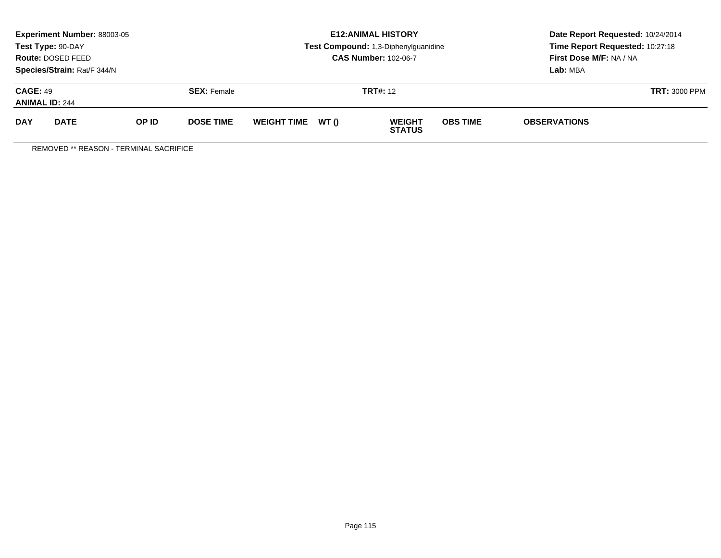|                                          | <b>Experiment Number: 88003-05</b><br>Test Type: 90-DAY<br>Route: DOSED FEED<br>Species/Strain: Rat/F 344/N |       |                    |                    |       | <b>E12: ANIMAL HISTORY</b><br>Test Compound: 1,3-Diphenylguanidine<br><b>CAS Number: 102-06-7</b> | Date Report Requested: 10/24/2014<br>Time Report Requested: 10:27:18<br>First Dose M/F: NA / NA<br>Lab: MBA |                     |                      |
|------------------------------------------|-------------------------------------------------------------------------------------------------------------|-------|--------------------|--------------------|-------|---------------------------------------------------------------------------------------------------|-------------------------------------------------------------------------------------------------------------|---------------------|----------------------|
| <b>CAGE: 49</b><br><b>ANIMAL ID: 244</b> |                                                                                                             |       | <b>SEX: Female</b> |                    |       | <b>TRT#:</b> 12                                                                                   |                                                                                                             |                     | <b>TRT: 3000 PPM</b> |
| <b>DAY</b>                               | <b>DATE</b>                                                                                                 | OP ID | <b>DOSE TIME</b>   | <b>WEIGHT TIME</b> | WT () | <b>WEIGHT</b><br><b>STATUS</b>                                                                    | <b>OBS TIME</b>                                                                                             | <b>OBSERVATIONS</b> |                      |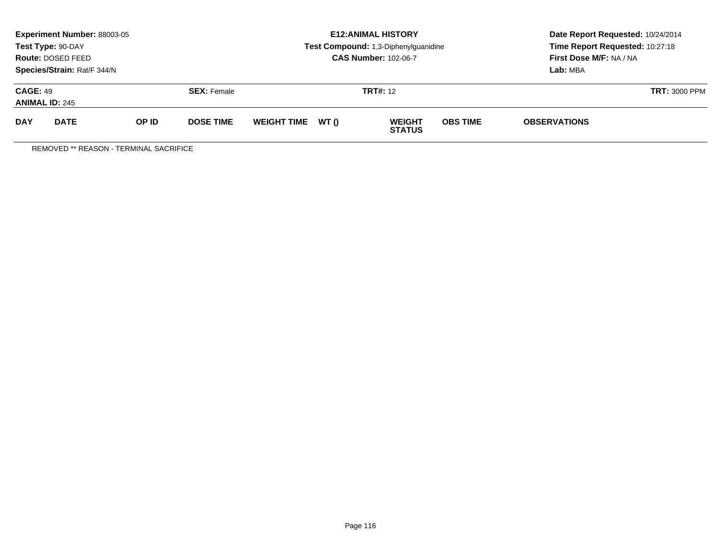|                                          | <b>Experiment Number: 88003-05</b><br>Test Type: 90-DAY<br>Route: DOSED FEED<br>Species/Strain: Rat/F 344/N |       |                    | <b>E12: ANIMAL HISTORY</b><br>Test Compound: 1,3-Diphenylguanidine<br><b>CAS Number: 102-06-7</b> |       |                                |                 | Date Report Requested: 10/24/2014<br>Time Report Requested: 10:27:18<br>First Dose M/F: NA / NA<br>Lab: MBA |                      |
|------------------------------------------|-------------------------------------------------------------------------------------------------------------|-------|--------------------|---------------------------------------------------------------------------------------------------|-------|--------------------------------|-----------------|-------------------------------------------------------------------------------------------------------------|----------------------|
| <b>CAGE: 49</b><br><b>ANIMAL ID: 245</b> |                                                                                                             |       | <b>SEX:</b> Female |                                                                                                   |       | <b>TRT#:</b> 12                |                 |                                                                                                             | <b>TRT: 3000 PPM</b> |
| <b>DAY</b>                               | <b>DATE</b>                                                                                                 | OP ID | <b>DOSE TIME</b>   | <b>WEIGHT TIME</b>                                                                                | WT () | <b>WEIGHT</b><br><b>STATUS</b> | <b>OBS TIME</b> | <b>OBSERVATIONS</b>                                                                                         |                      |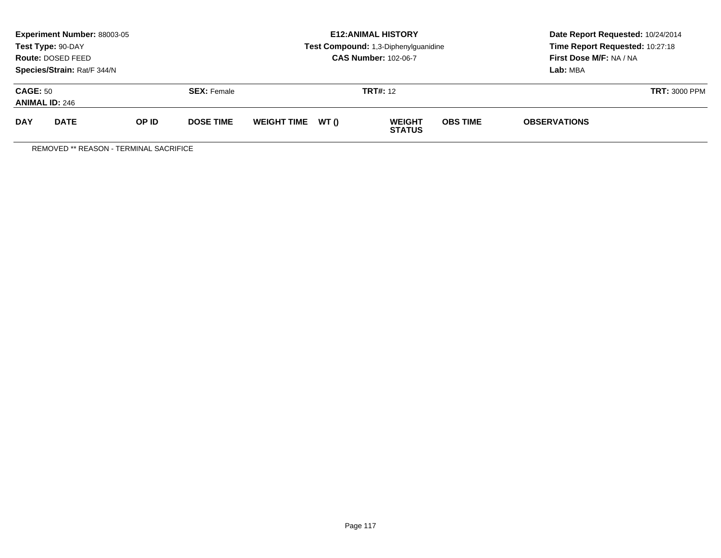|                                          | <b>Experiment Number: 88003-05</b><br>Test Type: 90-DAY<br>Route: DOSED FEED<br>Species/Strain: Rat/F 344/N |       |                    |                    |       | <b>E12: ANIMAL HISTORY</b><br>Test Compound: 1,3-Diphenylguanidine<br><b>CAS Number: 102-06-7</b> | Date Report Requested: 10/24/2014<br>Time Report Requested: 10:27:18<br>First Dose M/F: NA / NA<br>Lab: MBA |                     |                      |
|------------------------------------------|-------------------------------------------------------------------------------------------------------------|-------|--------------------|--------------------|-------|---------------------------------------------------------------------------------------------------|-------------------------------------------------------------------------------------------------------------|---------------------|----------------------|
| <b>CAGE: 50</b><br><b>ANIMAL ID: 246</b> |                                                                                                             |       | <b>SEX: Female</b> |                    |       | <b>TRT#:</b> 12                                                                                   |                                                                                                             |                     | <b>TRT: 3000 PPM</b> |
| <b>DAY</b>                               | <b>DATE</b>                                                                                                 | OP ID | <b>DOSE TIME</b>   | <b>WEIGHT TIME</b> | WT () | <b>WEIGHT</b><br><b>STATUS</b>                                                                    | <b>OBS TIME</b>                                                                                             | <b>OBSERVATIONS</b> |                      |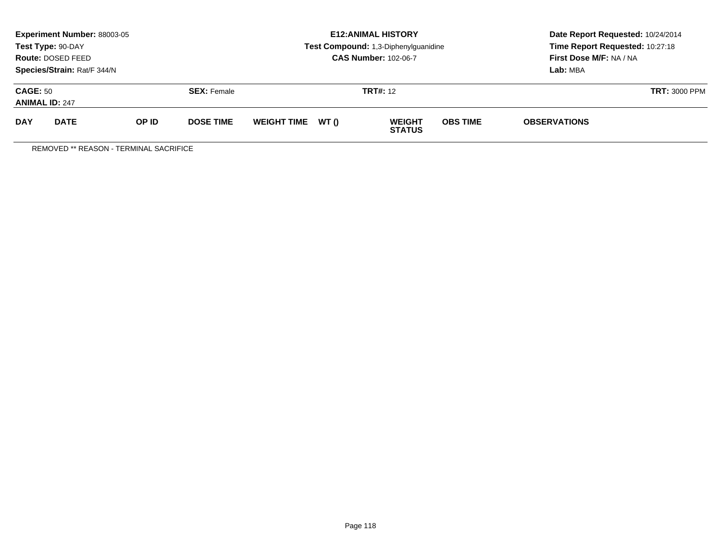|                                          | Experiment Number: 88003-05<br>Test Type: 90-DAY<br>Route: DOSED FEED<br>Species/Strain: Rat/F 344/N |       |                    | <b>E12: ANIMAL HISTORY</b><br>Test Compound: 1,3-Diphenylguanidine<br><b>CAS Number: 102-06-7</b> |       |                                |                 | Date Report Requested: 10/24/2014<br>Time Report Requested: 10:27:18<br>First Dose M/F: NA / NA<br>Lab: MBA |                      |
|------------------------------------------|------------------------------------------------------------------------------------------------------|-------|--------------------|---------------------------------------------------------------------------------------------------|-------|--------------------------------|-----------------|-------------------------------------------------------------------------------------------------------------|----------------------|
| <b>CAGE: 50</b><br><b>ANIMAL ID: 247</b> |                                                                                                      |       | <b>SEX:</b> Female |                                                                                                   |       | <b>TRT#:</b> 12                |                 |                                                                                                             | <b>TRT: 3000 PPM</b> |
| <b>DAY</b>                               | <b>DATE</b>                                                                                          | OP ID | <b>DOSE TIME</b>   | <b>WEIGHT TIME</b>                                                                                | WT () | <b>WEIGHT</b><br><b>STATUS</b> | <b>OBS TIME</b> | <b>OBSERVATIONS</b>                                                                                         |                      |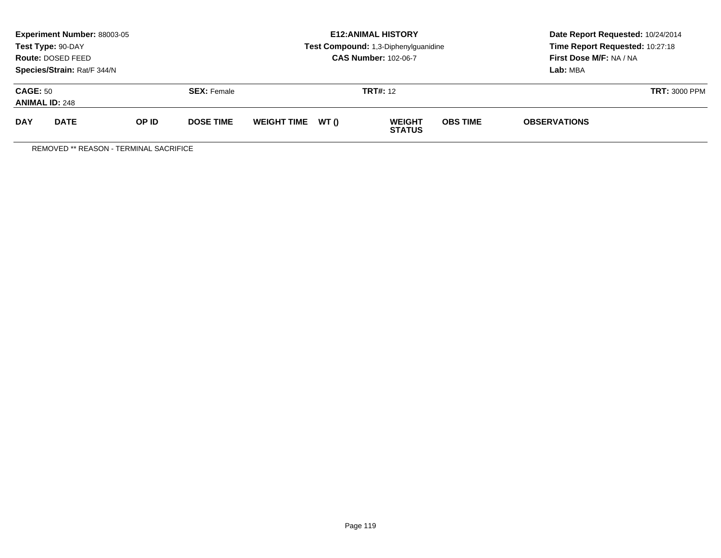|                                          | <b>Experiment Number: 88003-05</b><br>Test Type: 90-DAY<br>Route: DOSED FEED<br>Species/Strain: Rat/F 344/N |       |                    |                    |       | <b>E12: ANIMAL HISTORY</b><br>Test Compound: 1,3-Diphenylguanidine<br><b>CAS Number: 102-06-7</b> | Date Report Requested: 10/24/2014<br>Time Report Requested: 10:27:18<br>First Dose M/F: NA / NA<br>Lab: MBA |                     |                      |
|------------------------------------------|-------------------------------------------------------------------------------------------------------------|-------|--------------------|--------------------|-------|---------------------------------------------------------------------------------------------------|-------------------------------------------------------------------------------------------------------------|---------------------|----------------------|
| <b>CAGE: 50</b><br><b>ANIMAL ID: 248</b> |                                                                                                             |       | <b>SEX: Female</b> |                    |       | <b>TRT#:</b> 12                                                                                   |                                                                                                             |                     | <b>TRT: 3000 PPM</b> |
| <b>DAY</b>                               | <b>DATE</b>                                                                                                 | OP ID | <b>DOSE TIME</b>   | <b>WEIGHT TIME</b> | WT () | <b>WEIGHT</b><br><b>STATUS</b>                                                                    | <b>OBS TIME</b>                                                                                             | <b>OBSERVATIONS</b> |                      |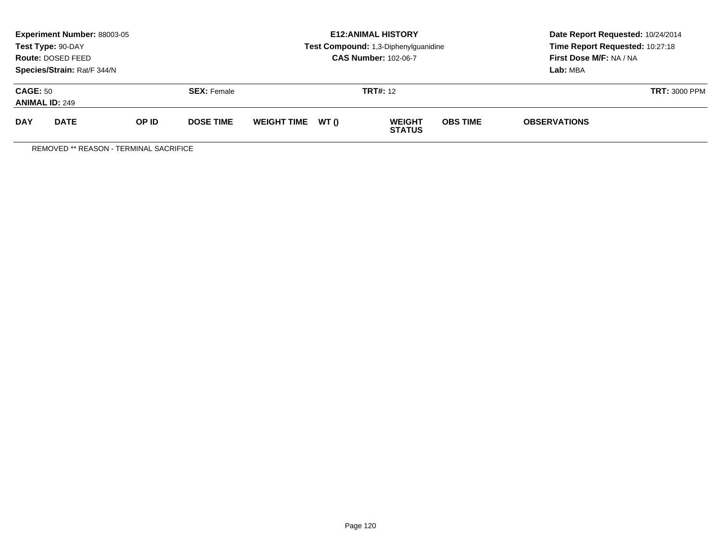|                                          | <b>Experiment Number: 88003-05</b><br>Test Type: 90-DAY<br>Route: DOSED FEED<br>Species/Strain: Rat/F 344/N |       |                    | <b>E12: ANIMAL HISTORY</b><br>Test Compound: 1,3-Diphenylguanidine<br><b>CAS Number: 102-06-7</b> |       |                                |                 | Date Report Requested: 10/24/2014<br>Time Report Requested: 10:27:18<br>First Dose M/F: NA / NA<br>Lab: MBA |                      |
|------------------------------------------|-------------------------------------------------------------------------------------------------------------|-------|--------------------|---------------------------------------------------------------------------------------------------|-------|--------------------------------|-----------------|-------------------------------------------------------------------------------------------------------------|----------------------|
| <b>CAGE: 50</b><br><b>ANIMAL ID: 249</b> |                                                                                                             |       | <b>SEX:</b> Female |                                                                                                   |       | <b>TRT#:</b> 12                |                 |                                                                                                             | <b>TRT: 3000 PPM</b> |
| <b>DAY</b>                               | <b>DATE</b>                                                                                                 | OP ID | <b>DOSE TIME</b>   | <b>WEIGHT TIME</b>                                                                                | WT () | <b>WEIGHT</b><br><b>STATUS</b> | <b>OBS TIME</b> | <b>OBSERVATIONS</b>                                                                                         |                      |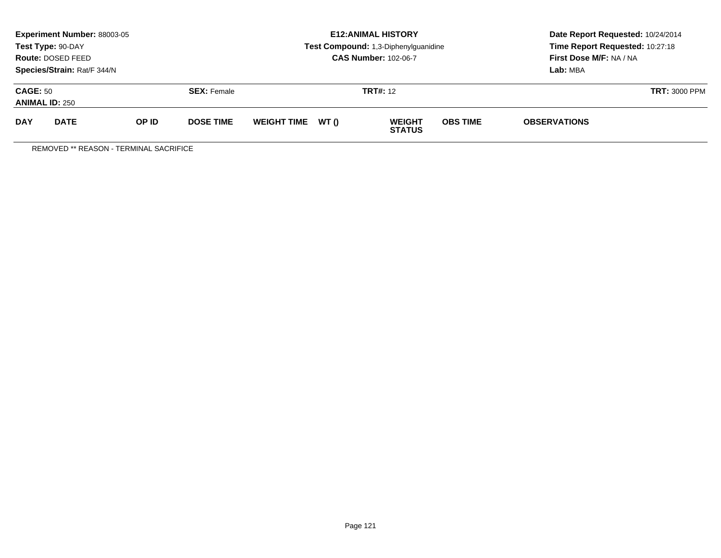| <b>Experiment Number: 88003-05</b><br>Test Type: 90-DAY<br>Route: DOSED FEED<br>Species/Strain: Rat/F 344/N |             |       |                    | <b>E12: ANIMAL HISTORY</b><br>Test Compound: 1,3-Diphenylguanidine<br><b>CAS Number: 102-06-7</b> |       |                                | Date Report Requested: 10/24/2014<br>Time Report Requested: 10:27:18<br>First Dose M/F: NA / NA<br>Lab: MBA |                      |  |
|-------------------------------------------------------------------------------------------------------------|-------------|-------|--------------------|---------------------------------------------------------------------------------------------------|-------|--------------------------------|-------------------------------------------------------------------------------------------------------------|----------------------|--|
| <b>CAGE: 50</b><br><b>ANIMAL ID: 250</b>                                                                    |             |       | <b>SEX:</b> Female | <b>TRT#: 12</b>                                                                                   |       |                                |                                                                                                             | <b>TRT: 3000 PPM</b> |  |
| <b>DAY</b>                                                                                                  | <b>DATE</b> | OP ID | <b>DOSE TIME</b>   | <b>WEIGHT TIME</b>                                                                                | WT () | <b>WEIGHT</b><br><b>STATUS</b> | <b>OBS TIME</b>                                                                                             | <b>OBSERVATIONS</b>  |  |